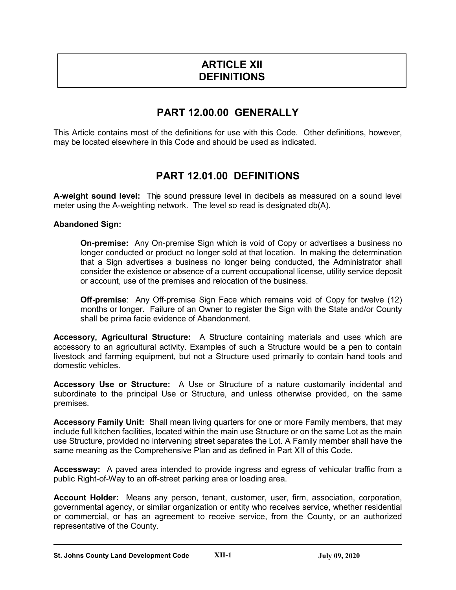# **ARTICLE XII DEFINITIONS**

# **PART 12.00.00 GENERALLY**

This Article contains most of the definitions for use with this Code. Other definitions, however, may be located elsewhere in this Code and should be used as indicated.

# **PART 12.01.00 DEFINITIONS**

**A-weight sound level:** The sound pressure level in decibels as measured on a sound level meter using the A-weighting network. The level so read is designated db(A).

### **Abandoned Sign:**

**On-premise:** Any On-premise Sign which is void of Copy or advertises a business no longer conducted or product no longer sold at that location. In making the determination that a Sign advertises a business no longer being conducted, the Administrator shall consider the existence or absence of a current occupational license, utility service deposit or account, use of the premises and relocation of the business.

**Off-premise**: Any Off-premise Sign Face which remains void of Copy for twelve (12) months or longer. Failure of an Owner to register the Sign with the State and/or County shall be prima facie evidence of Abandonment.

**Accessory, Agricultural Structure:** A Structure containing materials and uses which are accessory to an agricultural activity. Examples of such a Structure would be a pen to contain livestock and farming equipment, but not a Structure used primarily to contain hand tools and domestic vehicles.

**Accessory Use or Structure:** A Use or Structure of a nature customarily incidental and subordinate to the principal Use or Structure, and unless otherwise provided, on the same premises.

**Accessory Family Unit:** Shall mean living quarters for one or more Family members, that may include full kitchen facilities, located within the main use Structure or on the same Lot as the main use Structure, provided no intervening street separates the Lot. A Family member shall have the same meaning as the Comprehensive Plan and as defined in Part XII of this Code.

**Accessway:** A paved area intended to provide ingress and egress of vehicular traffic from a public Right-of-Way to an off-street parking area or loading area.

**Account Holder:** Means any person, tenant, customer, user, firm, association, corporation, governmental agency, or similar organization or entity who receives service, whether residential or commercial, or has an agreement to receive service, from the County, or an authorized representative of the County.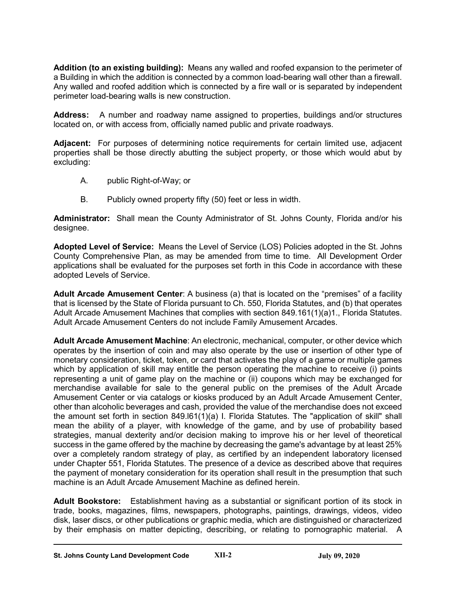**Addition (to an existing building):** Means any walled and roofed expansion to the perimeter of a Building in which the addition is connected by a common load-bearing wall other than a firewall. Any walled and roofed addition which is connected by a fire wall or is separated by independent perimeter load-bearing walls is new construction.

**Address:** A number and roadway name assigned to properties, buildings and/or structures located on, or with access from, officially named public and private roadways.

**Adjacent:** For purposes of determining notice requirements for certain limited use, adjacent properties shall be those directly abutting the subject property, or those which would abut by excluding:

- A. public Right-of-Way; or
- B. Publicly owned property fifty (50) feet or less in width.

**Administrator:** Shall mean the County Administrator of St. Johns County, Florida and/or his designee.

**Adopted Level of Service:** Means the Level of Service (LOS) Policies adopted in the St. Johns County Comprehensive Plan, as may be amended from time to time. All Development Order applications shall be evaluated for the purposes set forth in this Code in accordance with these adopted Levels of Service.

**Adult Arcade Amusement Center**: A business (a) that is located on the "premises" of a facility that is licensed by the State of Florida pursuant to Ch. 550, Florida Statutes, and (b) that operates Adult Arcade Amusement Machines that complies with section 849.161(1)(a)1., Florida Statutes. Adult Arcade Amusement Centers do not include Family Amusement Arcades.

**Adult Arcade Amusement Machine**: An electronic, mechanical, computer, or other device which operates by the insertion of coin and may also operate by the use or insertion of other type of monetary consideration, ticket, token, or card that activates the play of a game or multiple games which by application of skill may entitle the person operating the machine to receive (i) points representing a unit of game play on the machine or (ii) coupons which may be exchanged for merchandise available for sale to the general public on the premises of the Adult Arcade Amusement Center or via catalogs or kiosks produced by an Adult Arcade Amusement Center, other than alcoholic beverages and cash, provided the value of the merchandise does not exceed the amount set forth in section 849.l61(1)(a) I. Florida Statutes. The "application of skill" shall mean the ability of a player, with knowledge of the game, and by use of probability based strategies, manual dexterity and/or decision making to improve his or her level of theoretical success in the game offered by the machine by decreasing the game's advantage by at least 25% over a completely random strategy of play, as certified by an independent laboratory licensed under Chapter 551, Florida Statutes. The presence of a device as described above that requires the payment of monetary consideration for its operation shall result in the presumption that such machine is an Adult Arcade Amusement Machine as defined herein.

**Adult Bookstore:** Establishment having as a substantial or significant portion of its stock in trade, books, magazines, films, newspapers, photographs, paintings, drawings, videos, video disk, laser discs, or other publications or graphic media, which are distinguished or characterized by their emphasis on matter depicting, describing, or relating to pornographic material. A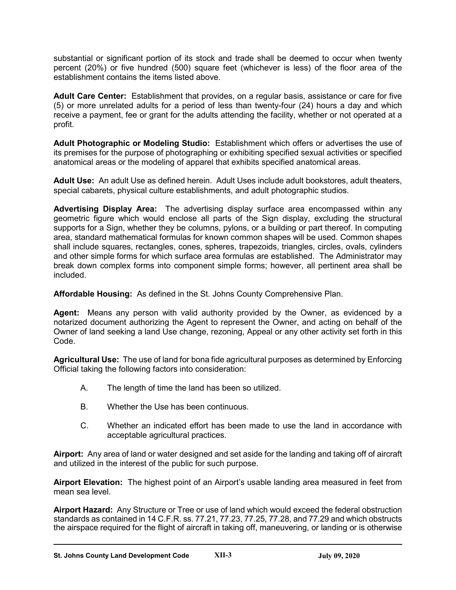substantial or significant portion of its stock and trade shall be deemed to occur when twenty percent (20%) or five hundred (500) square feet (whichever is less) of the floor area of the establishment contains the items listed above.

**Adult Care Center:** Establishment that provides, on a regular basis, assistance or care for five (5) or more unrelated adults for a period of less than twenty-four (24) hours a day and which receive a payment, fee or grant for the adults attending the facility, whether or not operated at a profit.

**Adult Photographic or Modeling Studio:** Establishment which offers or advertises the use of its premises for the purpose of photographing or exhibiting specified sexual activities or specified anatomical areas or the modeling of apparel that exhibits specified anatomical areas.

**Adult Use:** An adult Use as defined herein. Adult Uses include adult bookstores, adult theaters, special cabarets, physical culture establishments, and adult photographic studios.

**Advertising Display Area:** The advertising display surface area encompassed within any geometric figure which would enclose all parts of the Sign display, excluding the structural supports for a Sign, whether they be columns, pylons, or a building or part thereof. In computing area, standard mathematical formulas for known common shapes will be used. Common shapes shall include squares, rectangles, cones, spheres, trapezoids, triangles, circles, ovals, cylinders and other simple forms for which surface area formulas are established. The Administrator may break down complex forms into component simple forms; however, all pertinent area shall be included.

**Affordable Housing:** As defined in the St. Johns County Comprehensive Plan.

**Agent:** Means any person with valid authority provided by the Owner, as evidenced by a notarized document authorizing the Agent to represent the Owner, and acting on behalf of the Owner of land seeking a land Use change, rezoning, Appeal or any other activity set forth in this Code.

**Agricultural Use:** The use of land for bona fide agricultural purposes as determined by Enforcing Official taking the following factors into consideration:

- A. The length of time the land has been so utilized.
- B. Whether the Use has been continuous.
- C. Whether an indicated effort has been made to use the land in accordance with acceptable agricultural practices.

**Airport:** Any area of land or water designed and set aside for the landing and taking off of aircraft and utilized in the interest of the public for such purpose.

**Airport Elevation:** The highest point of an Airport's usable landing area measured in feet from mean sea level.

**Airport Hazard:** Any Structure or Tree or use of land which would exceed the federal obstruction standards as contained in 14 C.F.R. ss. 77.21, 77.23, 77.25, 77.28, and 77.29 and which obstructs the airspace required for the flight of aircraft in taking off, maneuvering, or landing or is otherwise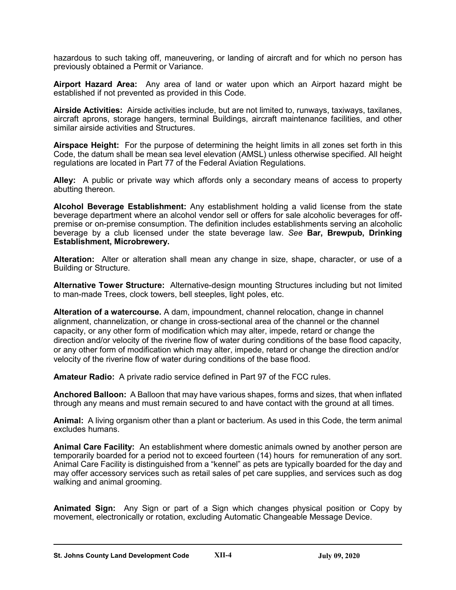hazardous to such taking off, maneuvering, or landing of aircraft and for which no person has previously obtained a Permit or Variance.

**Airport Hazard Area:** Any area of land or water upon which an Airport hazard might be established if not prevented as provided in this Code.

**Airside Activities:** Airside activities include, but are not limited to, runways, taxiways, taxilanes, aircraft aprons, storage hangers, terminal Buildings, aircraft maintenance facilities, and other similar airside activities and Structures.

**Airspace Height:** For the purpose of determining the height limits in all zones set forth in this Code, the datum shall be mean sea level elevation (AMSL) unless otherwise specified. All height regulations are located in Part 77 of the Federal Aviation Regulations.

**Alley:** A public or private way which affords only a secondary means of access to property abutting thereon.

**Alcohol Beverage Establishment:** Any establishment holding a valid license from the state beverage department where an alcohol vendor sell or offers for sale alcoholic beverages for offpremise or on-premise consumption. The definition includes establishments serving an alcoholic beverage by a club licensed under the state beverage law. *See* **Bar, Brewpub, Drinking Establishment, Microbrewery.**

**Alteration:** Alter or alteration shall mean any change in size, shape, character, or use of a Building or Structure.

**Alternative Tower Structure:** Alternative-design mounting Structures including but not limited to man-made Trees, clock towers, bell steeples, light poles, etc.

**Alteration of a watercourse.** A dam, impoundment, channel relocation, change in channel alignment, channelization, or change in cross-sectional area of the channel or the channel capacity, or any other form of modification which may alter, impede, retard or change the direction and/or velocity of the riverine flow of water during conditions of the base flood capacity, or any other form of modification which may alter, impede, retard or change the direction and/or velocity of the riverine flow of water during conditions of the base flood.

**Amateur Radio:** A private radio service defined in Part 97 of the FCC rules.

**Anchored Balloon:** A Balloon that may have various shapes, forms and sizes, that when inflated through any means and must remain secured to and have contact with the ground at all times.

**Animal:** A living organism other than a plant or bacterium. As used in this Code, the term animal excludes humans.

**Animal Care Facility:** An establishment where domestic animals owned by another person are temporarily boarded for a period not to exceed fourteen (14) hours for remuneration of any sort. Animal Care Facility is distinguished from a "kennel" as pets are typically boarded for the day and may offer accessory services such as retail sales of pet care supplies, and services such as dog walking and animal grooming.

**Animated Sign:** Any Sign or part of a Sign which changes physical position or Copy by movement, electronically or rotation, excluding Automatic Changeable Message Device.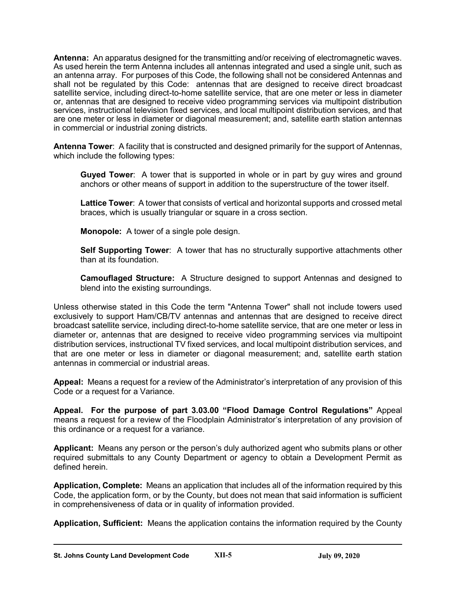**Antenna:** An apparatus designed for the transmitting and/or receiving of electromagnetic waves. As used herein the term Antenna includes all antennas integrated and used a single unit, such as an antenna array. For purposes of this Code, the following shall not be considered Antennas and shall not be regulated by this Code: antennas that are designed to receive direct broadcast satellite service, including direct-to-home satellite service, that are one meter or less in diameter or, antennas that are designed to receive video programming services via multipoint distribution services, instructional television fixed services, and local multipoint distribution services, and that are one meter or less in diameter or diagonal measurement; and, satellite earth station antennas in commercial or industrial zoning districts.

**Antenna Tower**: A facility that is constructed and designed primarily for the support of Antennas, which include the following types:

**Guyed Tower**: A tower that is supported in whole or in part by guy wires and ground anchors or other means of support in addition to the superstructure of the tower itself.

**Lattice Tower**: A tower that consists of vertical and horizontal supports and crossed metal braces, which is usually triangular or square in a cross section.

**Monopole:** A tower of a single pole design.

**Self Supporting Tower**: A tower that has no structurally supportive attachments other than at its foundation.

**Camouflaged Structure:** A Structure designed to support Antennas and designed to blend into the existing surroundings*.* 

Unless otherwise stated in this Code the term "Antenna Tower" shall not include towers used exclusively to support Ham/CB/TV antennas and antennas that are designed to receive direct broadcast satellite service, including direct-to-home satellite service, that are one meter or less in diameter or, antennas that are designed to receive video programming services via multipoint distribution services, instructional TV fixed services, and local multipoint distribution services, and that are one meter or less in diameter or diagonal measurement; and, satellite earth station antennas in commercial or industrial areas.

**Appeal:** Means a request for a review of the Administrator's interpretation of any provision of this Code or a request for a Variance.

**Appeal. For the purpose of part 3.03.00 "Flood Damage Control Regulations"** Appeal means a request for a review of the Floodplain Administrator's interpretation of any provision of this ordinance or a request for a variance.

**Applicant:** Means any person or the person's duly authorized agent who submits plans or other required submittals to any County Department or agency to obtain a Development Permit as defined herein.

**Application, Complete:** Means an application that includes all of the information required by this Code, the application form, or by the County, but does not mean that said information is sufficient in comprehensiveness of data or in quality of information provided.

**Application, Sufficient:** Means the application contains the information required by the County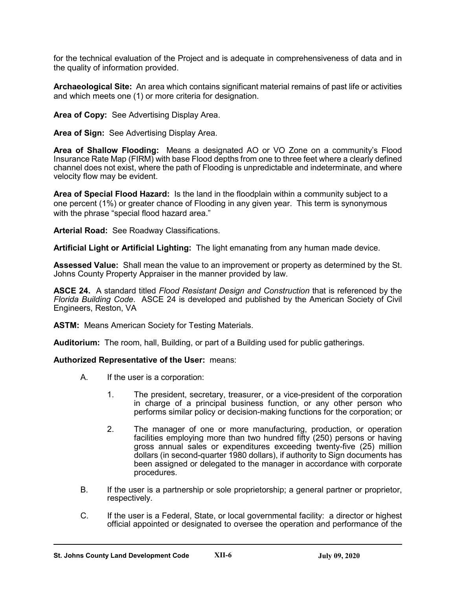for the technical evaluation of the Project and is adequate in comprehensiveness of data and in the quality of information provided.

**Archaeological Site:** An area which contains significant material remains of past life or activities and which meets one (1) or more criteria for designation.

**Area of Copy:** See Advertising Display Area.

**Area of Sign:** See Advertising Display Area.

**Area of Shallow Flooding:** Means a designated AO or VO Zone on a community's Flood Insurance Rate Map (FIRM) with base Flood depths from one to three feet where a clearly defined channel does not exist, where the path of Flooding is unpredictable and indeterminate, and where velocity flow may be evident.

**Area of Special Flood Hazard:** Is the land in the floodplain within a community subject to a one percent (1%) or greater chance of Flooding in any given year. This term is synonymous with the phrase "special flood hazard area."

**Arterial Road:** See Roadway Classifications.

**Artificial Light or Artificial Lighting:** The light emanating from any human made device.

**Assessed Value:** Shall mean the value to an improvement or property as determined by the St. Johns County Property Appraiser in the manner provided by law.

**ASCE 24.** A standard titled *Flood Resistant Design and Construction* that is referenced by the *Florida Building Code*. ASCE 24 is developed and published by the American Society of Civil Engineers, Reston, VA

**ASTM:** Means American Society for Testing Materials.

**Auditorium:** The room, hall, Building, or part of a Building used for public gatherings.

#### **Authorized Representative of the User:** means:

- A. If the user is a corporation:
	- 1. The president, secretary, treasurer, or a vice-president of the corporation in charge of a principal business function, or any other person who performs similar policy or decision-making functions for the corporation; or
	- 2. The manager of one or more manufacturing, production, or operation facilities employing more than two hundred fifty (250) persons or having gross annual sales or expenditures exceeding twenty-five (25) million dollars (in second-quarter 1980 dollars), if authority to Sign documents has been assigned or delegated to the manager in accordance with corporate procedures.
- B. If the user is a partnership or sole proprietorship; a general partner or proprietor, respectively.
- C. If the user is a Federal, State, or local governmental facility: a director or highest official appointed or designated to oversee the operation and performance of the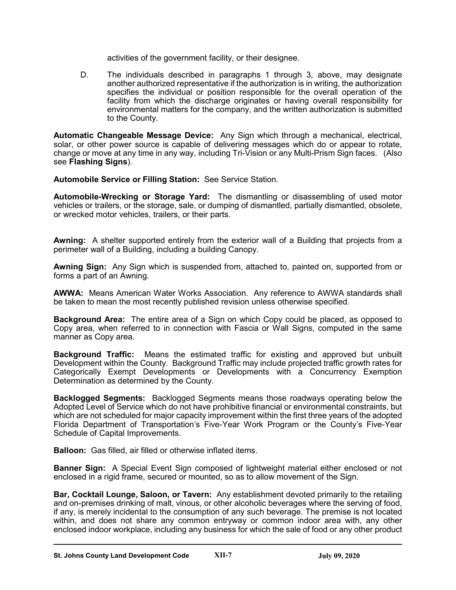activities of the government facility, or their designee.

D. The individuals described in paragraphs 1 through 3, above, may designate another authorized representative if the authorization is in writing, the authorization specifies the individual or position responsible for the overall operation of the facility from which the discharge originates or having overall responsibility for environmental matters for the company, and the written authorization is submitted to the County.

**Automatic Changeable Message Device:** Any Sign which through a mechanical, electrical, solar, or other power source is capable of delivering messages which do or appear to rotate, change or move at any time in any way, including Tri-Vision or any Multi-Prism Sign faces. (Also see **Flashing Signs**).

**Automobile Service or Filling Station:** See Service Station.

**Automobile-Wrecking or Storage Yard:** The dismantling or disassembling of used motor vehicles or trailers, or the storage, sale, or dumping of dismantled, partially dismantled, obsolete, or wrecked motor vehicles, trailers, or their parts.

**Awning:** A shelter supported entirely from the exterior wall of a Building that projects from a perimeter wall of a Building, including a building Canopy.

**Awning Sign:** Any Sign which is suspended from, attached to, painted on, supported from or forms a part of an Awning.

**AWWA:** Means American Water Works Association. Any reference to AWWA standards shall be taken to mean the most recently published revision unless otherwise specified.

**Background Area:** The entire area of a Sign on which Copy could be placed, as opposed to Copy area, when referred to in connection with Fascia or Wall Signs, computed in the same manner as Copy area.

**Background Traffic:** Means the estimated traffic for existing and approved but unbuilt Development within the County. Background Traffic may include projected traffic growth rates for Categorically Exempt Developments or Developments with a Concurrency Exemption Determination as determined by the County.

**Backlogged Segments:** Backlogged Segments means those roadways operating below the Adopted Level of Service which do not have prohibitive financial or environmental constraints, but which are not scheduled for major capacity improvement within the first three years of the adopted Florida Department of Transportation's Five-Year Work Program or the County's Five-Year Schedule of Capital Improvements.

**Balloon:** Gas filled, air filled or otherwise inflated items.

**Banner Sign:** A Special Event Sign composed of lightweight material either enclosed or not enclosed in a rigid frame, secured or mounted, so as to allow movement of the Sign.

**Bar, Cocktail Lounge, Saloon, or Tavern:** Any establishment devoted primarily to the retailing and on-premises drinking of malt, vinous, or other alcoholic beverages where the serving of food, if any, is merely incidental to the consumption of any such beverage. The premise is not located within, and does not share any common entryway or common indoor area with, any other enclosed indoor workplace, including any business for which the sale of food or any other product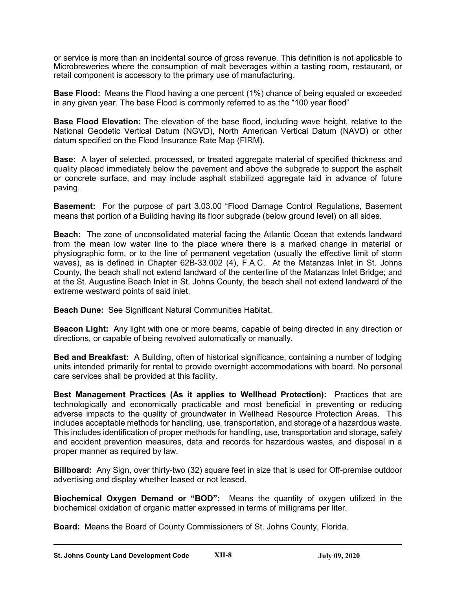or service is more than an incidental source of gross revenue. This definition is not applicable to Microbreweries where the consumption of malt beverages within a tasting room, restaurant, or retail component is accessory to the primary use of manufacturing.

**Base Flood:** Means the Flood having a one percent (1%) chance of being equaled or exceeded in any given year. The base Flood is commonly referred to as the "100 year flood"

**Base Flood Elevation:** The elevation of the base flood, including wave height, relative to the National Geodetic Vertical Datum (NGVD), North American Vertical Datum (NAVD) or other datum specified on the Flood Insurance Rate Map (FIRM).

**Base:** A layer of selected, processed, or treated aggregate material of specified thickness and quality placed immediately below the pavement and above the subgrade to support the asphalt or concrete surface, and may include asphalt stabilized aggregate laid in advance of future paving.

**Basement:** For the purpose of part 3.03.00 "Flood Damage Control Regulations, Basement means that portion of a Building having its floor subgrade (below ground level) on all sides.

**Beach:** The zone of unconsolidated material facing the Atlantic Ocean that extends landward from the mean low water line to the place where there is a marked change in material or physiographic form, or to the line of permanent vegetation (usually the effective limit of storm waves), as is defined in Chapter 62B-33.002 (4), F.A.C. At the Matanzas Inlet in St. Johns County, the beach shall not extend landward of the centerline of the Matanzas Inlet Bridge; and at the St. Augustine Beach Inlet in St. Johns County, the beach shall not extend landward of the extreme westward points of said inlet.

**Beach Dune:** See Significant Natural Communities Habitat.

**Beacon Light:** Any light with one or more beams, capable of being directed in any direction or directions, or capable of being revolved automatically or manually.

**Bed and Breakfast:** A Building, often of historical significance, containing a number of lodging units intended primarily for rental to provide overnight accommodations with board. No personal care services shall be provided at this facility.

**Best Management Practices (As it applies to Wellhead Protection):** Practices that are technologically and economically practicable and most beneficial in preventing or reducing adverse impacts to the quality of groundwater in Wellhead Resource Protection Areas. This includes acceptable methods for handling, use, transportation, and storage of a hazardous waste. This includes identification of proper methods for handling, use, transportation and storage, safely and accident prevention measures, data and records for hazardous wastes, and disposal in a proper manner as required by law.

**Billboard:** Any Sign, over thirty-two (32) square feet in size that is used for Off-premise outdoor advertising and display whether leased or not leased.

**Biochemical Oxygen Demand or "BOD":** Means the quantity of oxygen utilized in the biochemical oxidation of organic matter expressed in terms of milligrams per liter.

**Board:** Means the Board of County Commissioners of St. Johns County, Florida.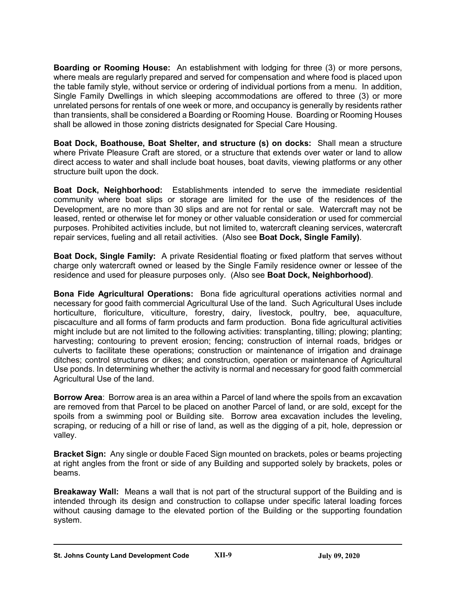**Boarding or Rooming House:** An establishment with lodging for three (3) or more persons, where meals are regularly prepared and served for compensation and where food is placed upon the table family style, without service or ordering of individual portions from a menu. In addition, Single Family Dwellings in which sleeping accommodations are offered to three (3) or more unrelated persons for rentals of one week or more, and occupancy is generally by residents rather than transients, shall be considered a Boarding or Rooming House. Boarding or Rooming Houses shall be allowed in those zoning districts designated for Special Care Housing.

**Boat Dock, Boathouse, Boat Shelter, and structure (s) on docks:** Shall mean a structure where Private Pleasure Craft are stored, or a structure that extends over water or land to allow direct access to water and shall include boat houses, boat davits, viewing platforms or any other structure built upon the dock.

**Boat Dock, Neighborhood:** Establishments intended to serve the immediate residential community where boat slips or storage are limited for the use of the residences of the Development, are no more than 30 slips and are not for rental or sale. Watercraft may not be leased, rented or otherwise let for money or other valuable consideration or used for commercial purposes. Prohibited activities include, but not limited to, watercraft cleaning services, watercraft repair services, fueling and all retail activities. (Also see **Boat Dock, Single Family)**.

**Boat Dock, Single Family:** A private Residential floating or fixed platform that serves without charge only watercraft owned or leased by the Single Family residence owner or lessee of the residence and used for pleasure purposes only. (Also see **Boat Dock, Neighborhood)**.

**Bona Fide Agricultural Operations:** Bona fide agricultural operations activities normal and necessary for good faith commercial Agricultural Use of the land. Such Agricultural Uses include horticulture, floriculture, viticulture, forestry, dairy, livestock, poultry, bee, aquaculture, piscaculture and all forms of farm products and farm production. Bona fide agricultural activities might include but are not limited to the following activities: transplanting, tilling; plowing; planting; harvesting; contouring to prevent erosion; fencing; construction of internal roads, bridges or culverts to facilitate these operations; construction or maintenance of irrigation and drainage ditches; control structures or dikes; and construction, operation or maintenance of Agricultural Use ponds. In determining whether the activity is normal and necessary for good faith commercial Agricultural Use of the land.

**Borrow Area**: Borrow area is an area within a Parcel of land where the spoils from an excavation are removed from that Parcel to be placed on another Parcel of land, or are sold, except for the spoils from a swimming pool or Building site. Borrow area excavation includes the leveling, scraping, or reducing of a hill or rise of land, as well as the digging of a pit, hole, depression or valley.

**Bracket Sign:** Any single or double Faced Sign mounted on brackets, poles or beams projecting at right angles from the front or side of any Building and supported solely by brackets, poles or beams.

**Breakaway Wall:** Means a wall that is not part of the structural support of the Building and is intended through its design and construction to collapse under specific lateral loading forces without causing damage to the elevated portion of the Building or the supporting foundation system.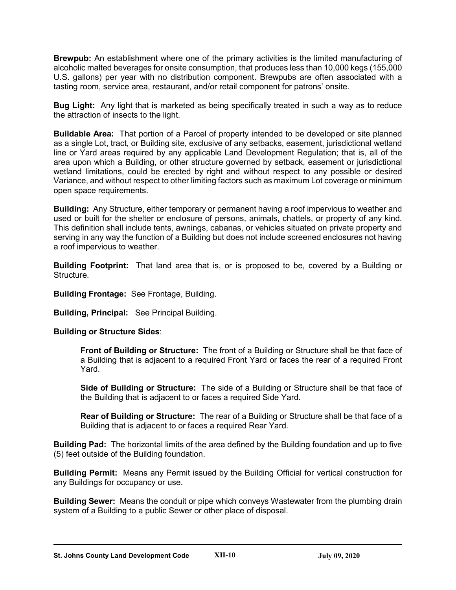**Brewpub:** An establishment where one of the primary activities is the limited manufacturing of alcoholic malted beverages for onsite consumption, that produces less than 10,000 kegs (155,000 U.S. gallons) per year with no distribution component. Brewpubs are often associated with a tasting room, service area, restaurant, and/or retail component for patrons' onsite.

**Bug Light:** Any light that is marketed as being specifically treated in such a way as to reduce the attraction of insects to the light.

**Buildable Area:** That portion of a Parcel of property intended to be developed or site planned as a single Lot, tract, or Building site, exclusive of any setbacks, easement, jurisdictional wetland line or Yard areas required by any applicable Land Development Regulation; that is, all of the area upon which a Building, or other structure governed by setback, easement or jurisdictional wetland limitations, could be erected by right and without respect to any possible or desired Variance, and without respect to other limiting factors such as maximum Lot coverage or minimum open space requirements.

**Building:** Any Structure, either temporary or permanent having a roof impervious to weather and used or built for the shelter or enclosure of persons, animals, chattels, or property of any kind. This definition shall include tents, awnings, cabanas, or vehicles situated on private property and serving in any way the function of a Building but does not include screened enclosures not having a roof impervious to weather.

**Building Footprint:** That land area that is, or is proposed to be, covered by a Building or Structure.

**Building Frontage:** See Frontage, Building.

**Building, Principal:** See Principal Building.

# **Building or Structure Sides**:

**Front of Building or Structure:** The front of a Building or Structure shall be that face of a Building that is adjacent to a required Front Yard or faces the rear of a required Front Yard.

**Side of Building or Structure:** The side of a Building or Structure shall be that face of the Building that is adjacent to or faces a required Side Yard.

**Rear of Building or Structure:** The rear of a Building or Structure shall be that face of a Building that is adjacent to or faces a required Rear Yard.

**Building Pad:** The horizontal limits of the area defined by the Building foundation and up to five (5) feet outside of the Building foundation.

**Building Permit:** Means any Permit issued by the Building Official for vertical construction for any Buildings for occupancy or use.

**Building Sewer:** Means the conduit or pipe which conveys Wastewater from the plumbing drain system of a Building to a public Sewer or other place of disposal.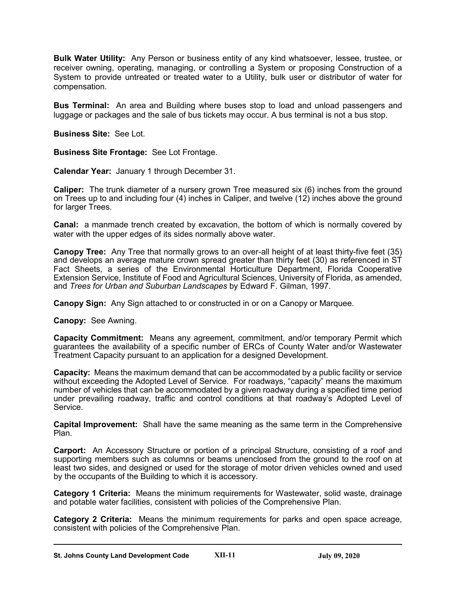**Bulk Water Utility:** Any Person or business entity of any kind whatsoever, lessee, trustee, or receiver owning, operating, managing, or controlling a System or proposing Construction of a System to provide untreated or treated water to a Utility, bulk user or distributor of water for compensation.

**Bus Terminal:** An area and Building where buses stop to load and unload passengers and luggage or packages and the sale of bus tickets may occur. A bus terminal is not a bus stop.

**Business Site:** See Lot.

**Business Site Frontage:** See Lot Frontage.

**Calendar Year:** January 1 through December 31.

**Caliper:** The trunk diameter of a nursery grown Tree measured six (6) inches from the ground on Trees up to and including four (4) inches in Caliper, and twelve (12) inches above the ground for larger Trees.

**Canal:** a manmade trench created by excavation, the bottom of which is normally covered by water with the upper edges of its sides normally above water.

**Canopy Tree:** Any Tree that normally grows to an over-all height of at least thirty-five feet (35) and develops an average mature crown spread greater than thirty feet (30) as referenced in ST Fact Sheets, a series of the Environmental Horticulture Department, Florida Cooperative Extension Service, Institute of Food and Agricultural Sciences, University of Florida, as amended, and *Trees for Urban and Suburban Landscapes* by Edward F. Gilman, 1997.

**Canopy Sign:** Any Sign attached to or constructed in or on a Canopy or Marquee.

**Canopy:** See Awning.

**Capacity Commitment:** Means any agreement, commitment, and/or temporary Permit which guarantees the availability of a specific number of ERCs of County Water and/or Wastewater Treatment Capacity pursuant to an application for a designed Development.

**Capacity:** Means the maximum demand that can be accommodated by a public facility or service without exceeding the Adopted Level of Service. For roadways, "capacity" means the maximum number of vehicles that can be accommodated by a given roadway during a specified time period under prevailing roadway, traffic and control conditions at that roadway's Adopted Level of Service.

**Capital Improvement:** Shall have the same meaning as the same term in the Comprehensive Plan.

**Carport:** An Accessory Structure or portion of a principal Structure, consisting of a roof and supporting members such as columns or beams unenclosed from the ground to the roof on at least two sides, and designed or used for the storage of motor driven vehicles owned and used by the occupants of the Building to which it is accessory.

**Category 1 Criteria:** Means the minimum requirements for Wastewater, solid waste, drainage and potable water facilities, consistent with policies of the Comprehensive Plan.

**Category 2 Criteria:** Means the minimum requirements for parks and open space acreage, consistent with policies of the Comprehensive Plan.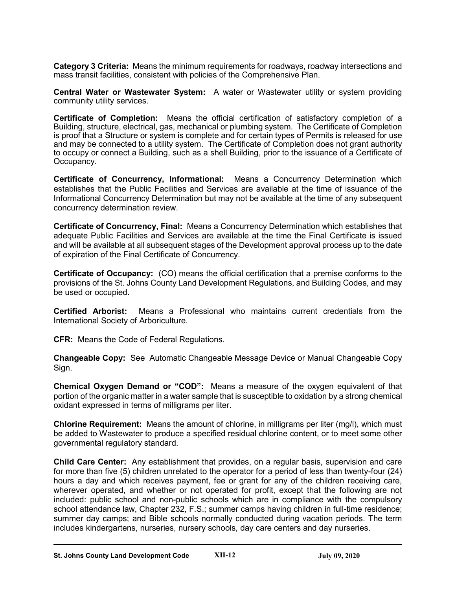**Category 3 Criteria:** Means the minimum requirements for roadways, roadway intersections and mass transit facilities, consistent with policies of the Comprehensive Plan.

**Central Water or Wastewater System:** A water or Wastewater utility or system providing community utility services.

**Certificate of Completion:** Means the official certification of satisfactory completion of a Building, structure, electrical, gas, mechanical or plumbing system. The Certificate of Completion is proof that a Structure or system is complete and for certain types of Permits is released for use and may be connected to a utility system. The Certificate of Completion does not grant authority to occupy or connect a Building, such as a shell Building, prior to the issuance of a Certificate of Occupancy.

**Certificate of Concurrency, Informational:** Means a Concurrency Determination which establishes that the Public Facilities and Services are available at the time of issuance of the Informational Concurrency Determination but may not be available at the time of any subsequent concurrency determination review.

**Certificate of Concurrency, Final:** Means a Concurrency Determination which establishes that adequate Public Facilities and Services are available at the time the Final Certificate is issued and will be available at all subsequent stages of the Development approval process up to the date of expiration of the Final Certificate of Concurrency.

**Certificate of Occupancy:** (CO) means the official certification that a premise conforms to the provisions of the St. Johns County Land Development Regulations, and Building Codes, and may be used or occupied.

**Certified Arborist:** Means a Professional who maintains current credentials from the International Society of Arboriculture.

**CFR:** Means the Code of Federal Regulations.

**Changeable Copy:** See Automatic Changeable Message Device or Manual Changeable Copy Sign.

**Chemical Oxygen Demand or "COD":** Means a measure of the oxygen equivalent of that portion of the organic matter in a water sample that is susceptible to oxidation by a strong chemical oxidant expressed in terms of milligrams per liter.

**Chlorine Requirement:** Means the amount of chlorine, in milligrams per liter (mg/l), which must be added to Wastewater to produce a specified residual chlorine content, or to meet some other governmental regulatory standard.

**Child Care Center:** Any establishment that provides, on a regular basis, supervision and care for more than five (5) children unrelated to the operator for a period of less than twenty-four (24) hours a day and which receives payment, fee or grant for any of the children receiving care, wherever operated, and whether or not operated for profit, except that the following are not included: public school and non-public schools which are in compliance with the compulsory school attendance law, Chapter 232, F.S.; summer camps having children in full-time residence; summer day camps; and Bible schools normally conducted during vacation periods. The term includes kindergartens, nurseries, nursery schools, day care centers and day nurseries.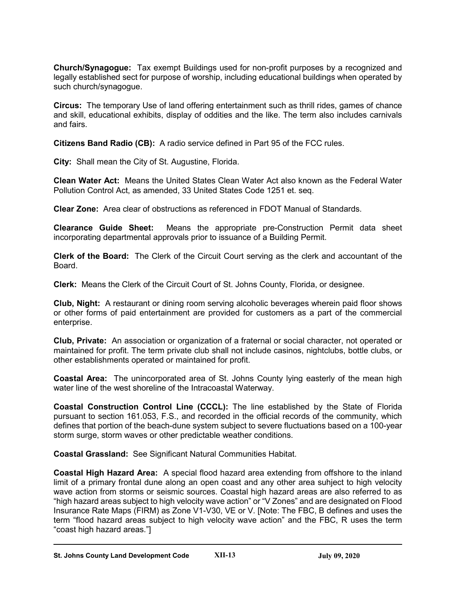**Church/Synagogue:** Tax exempt Buildings used for non-profit purposes by a recognized and legally established sect for purpose of worship, including educational buildings when operated by such church/synagogue.

**Circus:** The temporary Use of land offering entertainment such as thrill rides, games of chance and skill, educational exhibits, display of oddities and the like. The term also includes carnivals and fairs.

**Citizens Band Radio (CB):** A radio service defined in Part 95 of the FCC rules.

**City:** Shall mean the City of St. Augustine, Florida.

**Clean Water Act:** Means the United States Clean Water Act also known as the Federal Water Pollution Control Act, as amended, 33 United States Code 1251 et. seq.

**Clear Zone:** Area clear of obstructions as referenced in FDOT Manual of Standards.

**Clearance Guide Sheet:** Means the appropriate pre-Construction Permit data sheet incorporating departmental approvals prior to issuance of a Building Permit.

**Clerk of the Board:** The Clerk of the Circuit Court serving as the clerk and accountant of the Board.

**Clerk:** Means the Clerk of the Circuit Court of St. Johns County, Florida, or designee.

**Club, Night:** A restaurant or dining room serving alcoholic beverages wherein paid floor shows or other forms of paid entertainment are provided for customers as a part of the commercial enterprise.

**Club, Private:** An association or organization of a fraternal or social character, not operated or maintained for profit. The term private club shall not include casinos, nightclubs, bottle clubs, or other establishments operated or maintained for profit.

**Coastal Area:** The unincorporated area of St. Johns County lying easterly of the mean high water line of the west shoreline of the Intracoastal Waterway.

**Coastal Construction Control Line (CCCL):** The line established by the State of Florida pursuant to section 161.053, F.S., and recorded in the official records of the community, which defines that portion of the beach-dune system subject to severe fluctuations based on a 100-year storm surge, storm waves or other predictable weather conditions.

**Coastal Grassland:** See Significant Natural Communities Habitat.

**Coastal High Hazard Area:** A special flood hazard area extending from offshore to the inland limit of a primary frontal dune along an open coast and any other area suhject to high velocity wave action from storms or seismic sources. Coastal high hazard areas are also referred to as "high hazard areas subject to high velocity wave action" or "V Zones" and are designated on Flood Insurance Rate Maps (FIRM) as Zone V1-V30, VE or V. [Note: The FBC, B defines and uses the term "flood hazard areas subject to high velocity wave action" and the FBC, R uses the term "coast high hazard areas."]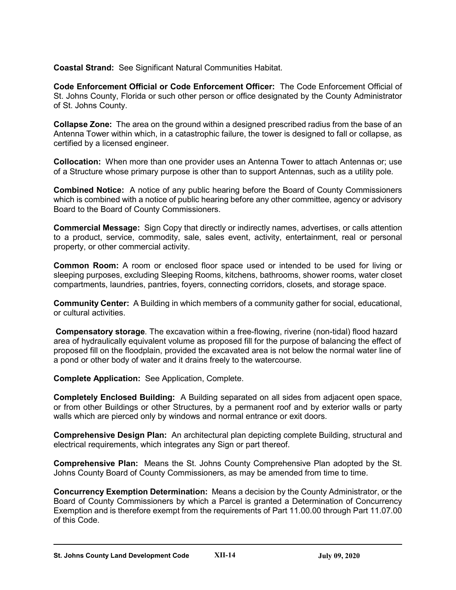**Coastal Strand:** See Significant Natural Communities Habitat.

**Code Enforcement Official or Code Enforcement Officer:** The Code Enforcement Official of St. Johns County, Florida or such other person or office designated by the County Administrator of St. Johns County.

**Collapse Zone:** The area on the ground within a designed prescribed radius from the base of an Antenna Tower within which, in a catastrophic failure, the tower is designed to fall or collapse, as certified by a licensed engineer.

**Collocation:** When more than one provider uses an Antenna Tower to attach Antennas or; use of a Structure whose primary purpose is other than to support Antennas, such as a utility pole*.*

**Combined Notice:** A notice of any public hearing before the Board of County Commissioners which is combined with a notice of public hearing before any other committee, agency or advisory Board to the Board of County Commissioners.

**Commercial Message:** Sign Copy that directly or indirectly names, advertises, or calls attention to a product, service, commodity, sale, sales event, activity, entertainment, real or personal property, or other commercial activity.

**Common Room:** A room or enclosed floor space used or intended to be used for living or sleeping purposes, excluding Sleeping Rooms, kitchens, bathrooms, shower rooms, water closet compartments, laundries, pantries, foyers, connecting corridors, closets, and storage space.

**Community Center:** A Building in which members of a community gather for social, educational, or cultural activities.

**Compensatory storage***.* The excavation within a free-flowing, riverine (non-tidal) flood hazard area of hydraulically equivalent volume as proposed fill for the purpose of balancing the effect of proposed fill on the floodplain, provided the excavated area is not below the normal water line of a pond or other body of water and it drains freely to the watercourse.

**Complete Application:** See Application, Complete.

**Completely Enclosed Building:** A Building separated on all sides from adjacent open space, or from other Buildings or other Structures, by a permanent roof and by exterior walls or party walls which are pierced only by windows and normal entrance or exit doors.

**Comprehensive Design Plan:** An architectural plan depicting complete Building, structural and electrical requirements, which integrates any Sign or part thereof.

**Comprehensive Plan:** Means the St. Johns County Comprehensive Plan adopted by the St. Johns County Board of County Commissioners, as may be amended from time to time.

**Concurrency Exemption Determination:** Means a decision by the County Administrator, or the Board of County Commissioners by which a Parcel is granted a Determination of Concurrency Exemption and is therefore exempt from the requirements of Part 11.00.00 through Part 11.07.00 of this Code.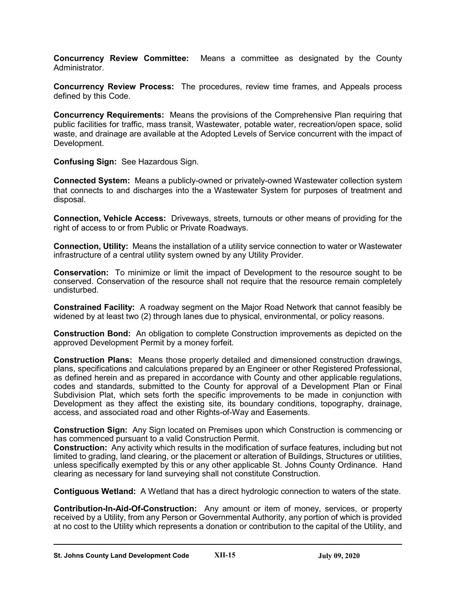**Concurrency Review Committee:** Means a committee as designated by the County Administrator.

**Concurrency Review Process:** The procedures, review time frames, and Appeals process defined by this Code.

**Concurrency Requirements:** Means the provisions of the Comprehensive Plan requiring that public facilities for traffic, mass transit, Wastewater, potable water, recreation/open space, solid waste, and drainage are available at the Adopted Levels of Service concurrent with the impact of Development.

**Confusing Sign:** See Hazardous Sign.

**Connected System:** Means a publicly-owned or privately-owned Wastewater collection system that connects to and discharges into the a Wastewater System for purposes of treatment and disposal.

**Connection, Vehicle Access:** Driveways, streets, turnouts or other means of providing for the right of access to or from Public or Private Roadways.

**Connection, Utility:** Means the installation of a utility service connection to water or Wastewater infrastructure of a central utility system owned by any Utility Provider.

**Conservation:** To minimize or limit the impact of Development to the resource sought to be conserved. Conservation of the resource shall not require that the resource remain completely undisturbed.

**Constrained Facility:** A roadway segment on the Major Road Network that cannot feasibly be widened by at least two (2) through lanes due to physical, environmental, or policy reasons.

**Construction Bond:** An obligation to complete Construction improvements as depicted on the approved Development Permit by a money forfeit.

**Construction Plans:** Means those properly detailed and dimensioned construction drawings, plans, specifications and calculations prepared by an Engineer or other Registered Professional, as defined herein and as prepared in accordance with County and other applicable regulations, codes and standards, submitted to the County for approval of a Development Plan or Final Subdivision Plat, which sets forth the specific improvements to be made in conjunction with Development as they affect the existing site, its boundary conditions, topography, drainage, access, and associated road and other Rights-of-Way and Easements.

**Construction Sign:** Any Sign located on Premises upon which Construction is commencing or has commenced pursuant to a valid Construction Permit.

**Construction:** Any activity which results in the modification of surface features, including but not limited to grading, land clearing, or the placement or alteration of Buildings, Structures or utilities, unless specifically exempted by this or any other applicable St. Johns County Ordinance. Hand clearing as necessary for land surveying shall not constitute Construction.

**Contiguous Wetland:** A Wetland that has a direct hydrologic connection to waters of the state.

**Contribution-In-Aid-Of-Construction:** Any amount or item of money, services, or property received by a Utility, from any Person or Governmental Authority, any portion of which is provided at no cost to the Utility which represents a donation or contribution to the capital of the Utility, and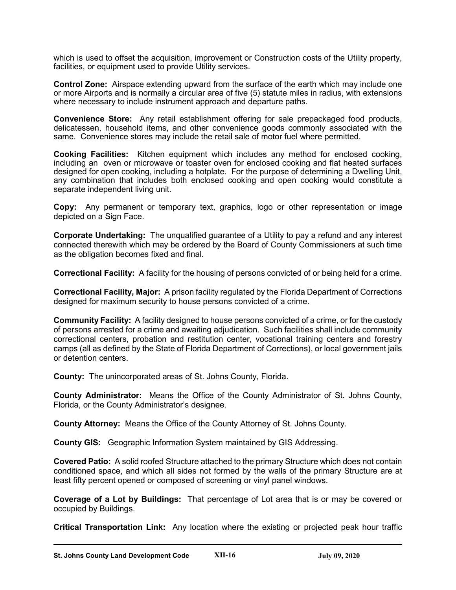which is used to offset the acquisition, improvement or Construction costs of the Utility property, facilities, or equipment used to provide Utility services.

**Control Zone:** Airspace extending upward from the surface of the earth which may include one or more Airports and is normally a circular area of five (5) statute miles in radius, with extensions where necessary to include instrument approach and departure paths.

**Convenience Store:** Any retail establishment offering for sale prepackaged food products, delicatessen, household items, and other convenience goods commonly associated with the same. Convenience stores may include the retail sale of motor fuel where permitted.

**Cooking Facilities:** Kitchen equipment which includes any method for enclosed cooking, including an oven or microwave or toaster oven for enclosed cooking and flat heated surfaces designed for open cooking, including a hotplate. For the purpose of determining a Dwelling Unit, any combination that includes both enclosed cooking and open cooking would constitute a separate independent living unit.

**Copy:** Any permanent or temporary text, graphics, logo or other representation or image depicted on a Sign Face.

**Corporate Undertaking:** The unqualified guarantee of a Utility to pay a refund and any interest connected therewith which may be ordered by the Board of County Commissioners at such time as the obligation becomes fixed and final.

**Correctional Facility:** A facility for the housing of persons convicted of or being held for a crime.

**Correctional Facility, Major:** A prison facility regulated by the Florida Department of Corrections designed for maximum security to house persons convicted of a crime.

**Community Facility:** A facility designed to house persons convicted of a crime, or for the custody of persons arrested for a crime and awaiting adjudication. Such facilities shall include community correctional centers, probation and restitution center, vocational training centers and forestry camps (all as defined by the State of Florida Department of Corrections), or local government jails or detention centers.

**County:** The unincorporated areas of St. Johns County, Florida.

**County Administrator:** Means the Office of the County Administrator of St. Johns County, Florida, or the County Administrator's designee.

**County Attorney:** Means the Office of the County Attorney of St. Johns County.

**County GIS:** Geographic Information System maintained by GIS Addressing.

**Covered Patio:** A solid roofed Structure attached to the primary Structure which does not contain conditioned space, and which all sides not formed by the walls of the primary Structure are at least fifty percent opened or composed of screening or vinyl panel windows.

**Coverage of a Lot by Buildings:** That percentage of Lot area that is or may be covered or occupied by Buildings.

**Critical Transportation Link:** Any location where the existing or projected peak hour traffic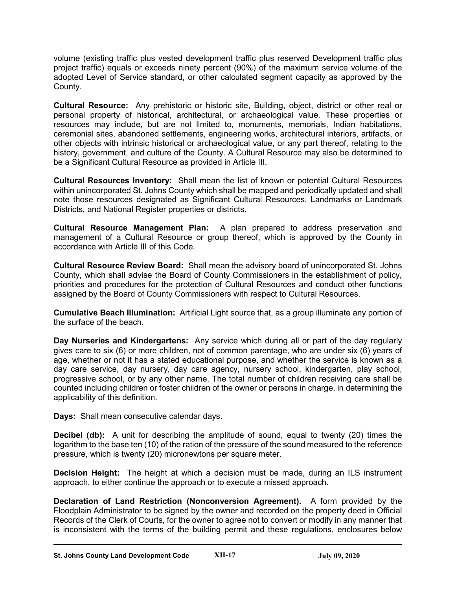volume (existing traffic plus vested development traffic plus reserved Development traffic plus project traffic) equals or exceeds ninety percent (90%) of the maximum service volume of the adopted Level of Service standard, or other calculated segment capacity as approved by the County.

**Cultural Resource:** Any prehistoric or historic site, Building, object, district or other real or personal property of historical, architectural, or archaeological value. These properties or resources may include, but are not limited to, monuments, memorials, Indian habitations, ceremonial sites, abandoned settlements, engineering works, architectural interiors, artifacts, or other objects with intrinsic historical or archaeological value, or any part thereof, relating to the history, government, and culture of the County. A Cultural Resource may also be determined to be a Significant Cultural Resource as provided in Article III.

**Cultural Resources Inventory:** Shall mean the list of known or potential Cultural Resources within unincorporated St. Johns County which shall be mapped and periodically updated and shall note those resources designated as Significant Cultural Resources, Landmarks or Landmark Districts, and National Register properties or districts.

**Cultural Resource Management Plan:** A plan prepared to address preservation and management of a Cultural Resource or group thereof, which is approved by the County in accordance with Article III of this Code.

**Cultural Resource Review Board:** Shall mean the advisory board of unincorporated St. Johns County, which shall advise the Board of County Commissioners in the establishment of policy, priorities and procedures for the protection of Cultural Resources and conduct other functions assigned by the Board of County Commissioners with respect to Cultural Resources.

**Cumulative Beach Illumination:** Artificial Light source that, as a group illuminate any portion of the surface of the beach.

**Day Nurseries and Kindergartens:** Any service which during all or part of the day regularly gives care to six (6) or more children, not of common parentage, who are under six (6) years of age, whether or not it has a stated educational purpose, and whether the service is known as a day care service, day nursery, day care agency, nursery school, kindergarten, play school, progressive school, or by any other name. The total number of children receiving care shall be counted including children or foster children of the owner or persons in charge, in determining the applicability of this definition.

**Days:** Shall mean consecutive calendar days.

**Decibel (db):** A unit for describing the amplitude of sound, equal to twenty (20) times the logarithm to the base ten (10) of the ration of the pressure of the sound measured to the reference pressure, which is twenty (20) micronewtons per square meter.

**Decision Height:** The height at which a decision must be made, during an ILS instrument approach, to either continue the approach or to execute a missed approach.

**Declaration of Land Restriction (Nonconversion Agreement).** A form provided by the Floodplain Administrator to be signed by the owner and recorded on the property deed in Official Records of the Clerk of Courts, for the owner to agree not to convert or modify in any manner that is inconsistent with the terms of the building permit and these regulations, enclosures below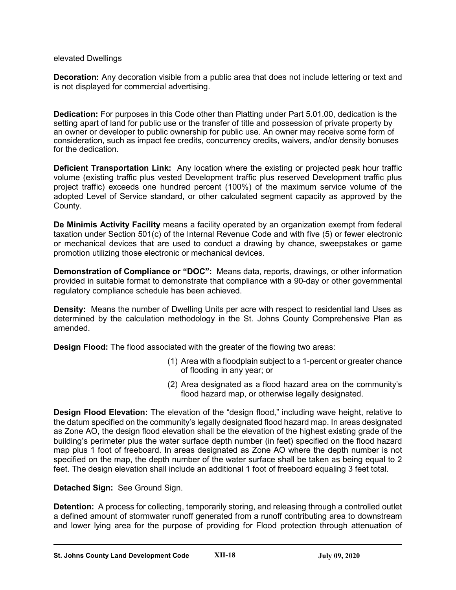#### elevated Dwellings

**Decoration:** Any decoration visible from a public area that does not include lettering or text and is not displayed for commercial advertising.

**Dedication:** For purposes in this Code other than Platting under Part 5.01.00, dedication is the setting apart of land for public use or the transfer of title and possession of private property by an owner or developer to public ownership for public use. An owner may receive some form of consideration, such as impact fee credits, concurrency credits, waivers, and/or density bonuses for the dedication.

**Deficient Transportation Link:** Any location where the existing or projected peak hour traffic volume (existing traffic plus vested Development traffic plus reserved Development traffic plus project traffic) exceeds one hundred percent (100%) of the maximum service volume of the adopted Level of Service standard, or other calculated segment capacity as approved by the County.

**De Minimis Activity Facility** means a facility operated by an organization exempt from federal taxation under Section 501(c) of the Internal Revenue Code and with five (5) or fewer electronic or mechanical devices that are used to conduct a drawing by chance, sweepstakes or game promotion utilizing those electronic or mechanical devices.

**Demonstration of Compliance or "DOC":** Means data, reports, drawings, or other information provided in suitable format to demonstrate that compliance with a 90-day or other governmental regulatory compliance schedule has been achieved.

**Density:** Means the number of Dwelling Units per acre with respect to residential land Uses as determined by the calculation methodology in the St. Johns County Comprehensive Plan as amended.

**Design Flood:** The flood associated with the greater of the flowing two areas:

- (1) Area with a floodplain subject to a 1-percent or greater chance of flooding in any year; or
- (2) Area designated as a flood hazard area on the community's flood hazard map, or otherwise legally designated.

**Design Flood Elevation:** The elevation of the "design flood," including wave height, relative to the datum specified on the community's legally designated flood hazard map. In areas designated as Zone AO, the design flood elevation shall be the elevation of the highest existing grade of the building's perimeter plus the water surface depth number (in feet) specified on the flood hazard map plus 1 foot of freeboard. In areas designated as Zone AO where the depth number is not specified on the map, the depth number of the water surface shall be taken as being equal to 2 feet. The design elevation shall include an additional 1 foot of freeboard equaling 3 feet total.

# **Detached Sign:** See Ground Sign.

**Detention:** A process for collecting, temporarily storing, and releasing through a controlled outlet a defined amount of stormwater runoff generated from a runoff contributing area to downstream and lower lying area for the purpose of providing for Flood protection through attenuation of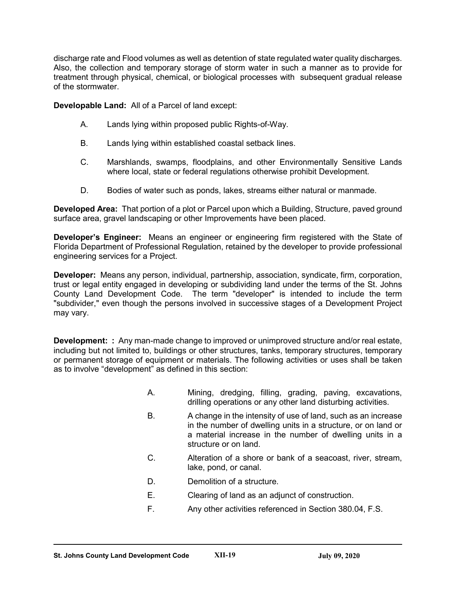discharge rate and Flood volumes as well as detention of state regulated water quality discharges. Also, the collection and temporary storage of storm water in such a manner as to provide for treatment through physical, chemical, or biological processes with subsequent gradual release of the stormwater.

**Developable Land:** All of a Parcel of land except:

- A. Lands lying within proposed public Rights-of-Way.
- B. Lands lying within established coastal setback lines.
- C. Marshlands, swamps, floodplains, and other Environmentally Sensitive Lands where local, state or federal regulations otherwise prohibit Development.
- D. Bodies of water such as ponds, lakes, streams either natural or manmade.

**Developed Area:** That portion of a plot or Parcel upon which a Building, Structure, paved ground surface area, gravel landscaping or other Improvements have been placed.

**Developer's Engineer:** Means an engineer or engineering firm registered with the State of Florida Department of Professional Regulation, retained by the developer to provide professional engineering services for a Project.

**Developer:** Means any person, individual, partnership, association, syndicate, firm, corporation, trust or legal entity engaged in developing or subdividing land under the terms of the St. Johns County Land Development Code. The term "developer" is intended to include the term "subdivider," even though the persons involved in successive stages of a Development Project may vary.

**Development: :** Any man-made change to improved or unimproved structure and/or real estate, including but not limited to, buildings or other structures, tanks, temporary structures, temporary or permanent storage of equipment or materials. The following activities or uses shall be taken as to involve "development" as defined in this section:

- A. Mining, dredging, filling, grading, paving, excavations, drilling operations or any other land disturbing activities.
- B. A change in the intensity of use of land, such as an increase in the number of dwelling units in a structure, or on land or a material increase in the number of dwelling units in a structure or on land.
- C. Alteration of a shore or bank of a seacoast, river, stream, lake, pond, or canal.
- D. Demolition of a structure.
- E. Clearing of land as an adjunct of construction.
- F. Any other activities referenced in Section 380.04, F.S.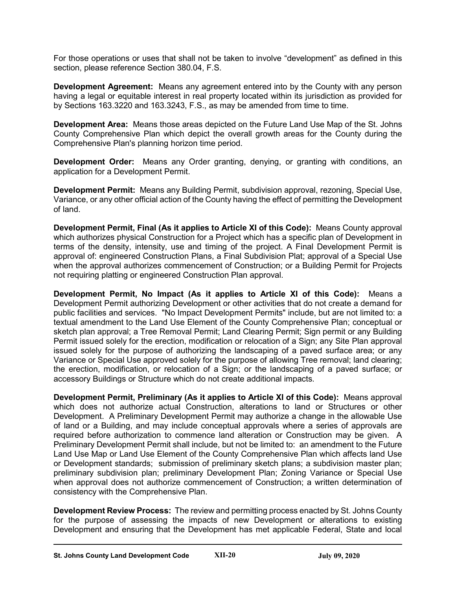For those operations or uses that shall not be taken to involve "development" as defined in this section, please reference Section 380.04, F.S.

**Development Agreement:** Means any agreement entered into by the County with any person having a legal or equitable interest in real property located within its jurisdiction as provided for by Sections 163.3220 and 163.3243, F.S., as may be amended from time to time.

**Development Area:** Means those areas depicted on the Future Land Use Map of the St. Johns County Comprehensive Plan which depict the overall growth areas for the County during the Comprehensive Plan's planning horizon time period.

**Development Order:** Means any Order granting, denying, or granting with conditions, an application for a Development Permit.

**Development Permit:** Means any Building Permit, subdivision approval, rezoning, Special Use, Variance, or any other official action of the County having the effect of permitting the Development of land.

**Development Permit, Final (As it applies to Article XI of this Code):** Means County approval which authorizes physical Construction for a Project which has a specific plan of Development in terms of the density, intensity, use and timing of the project. A Final Development Permit is approval of: engineered Construction Plans, a Final Subdivision Plat; approval of a Special Use when the approval authorizes commencement of Construction; or a Building Permit for Projects not requiring platting or engineered Construction Plan approval.

**Development Permit, No Impact (As it applies to Article XI of this Code):** Means a Development Permit authorizing Development or other activities that do not create a demand for public facilities and services. "No Impact Development Permits" include, but are not limited to: a textual amendment to the Land Use Element of the County Comprehensive Plan; conceptual or sketch plan approval; a Tree Removal Permit; Land Clearing Permit; Sign permit or any Building Permit issued solely for the erection, modification or relocation of a Sign; any Site Plan approval issued solely for the purpose of authorizing the landscaping of a paved surface area; or any Variance or Special Use approved solely for the purpose of allowing Tree removal; land clearing; the erection, modification, or relocation of a Sign; or the landscaping of a paved surface; or accessory Buildings or Structure which do not create additional impacts.

**Development Permit, Preliminary (As it applies to Article XI of this Code):** Means approval which does not authorize actual Construction, alterations to land or Structures or other Development. A Preliminary Development Permit may authorize a change in the allowable Use of land or a Building, and may include conceptual approvals where a series of approvals are required before authorization to commence land alteration or Construction may be given. A Preliminary Development Permit shall include, but not be limited to: an amendment to the Future Land Use Map or Land Use Element of the County Comprehensive Plan which affects land Use or Development standards; submission of preliminary sketch plans; a subdivision master plan; preliminary subdivision plan; preliminary Development Plan; Zoning Variance or Special Use when approval does not authorize commencement of Construction; a written determination of consistency with the Comprehensive Plan.

**Development Review Process:** The review and permitting process enacted by St. Johns County for the purpose of assessing the impacts of new Development or alterations to existing Development and ensuring that the Development has met applicable Federal, State and local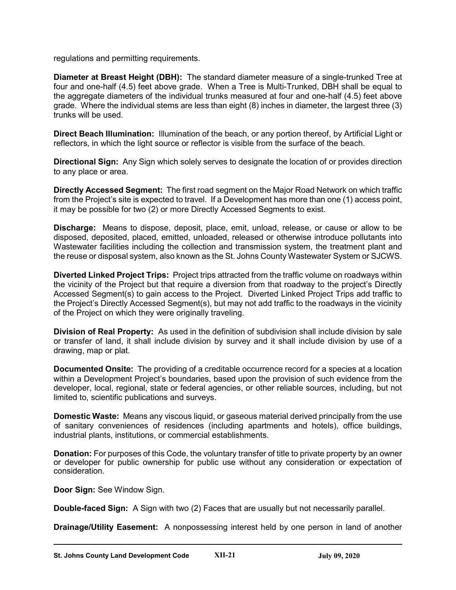regulations and permitting requirements.

**Diameter at Breast Height (DBH):** The standard diameter measure of a single-trunked Tree at four and one-half (4.5) feet above grade. When a Tree is Multi-Trunked, DBH shall be equal to the aggregate diameters of the individual trunks measured at four and one-half (4.5) feet above grade. Where the individual stems are less than eight (8) inches in diameter, the largest three (3) trunks will be used.

**Direct Beach Illumination:** Illumination of the beach, or any portion thereof, by Artificial Light or reflectors, in which the light source or reflector is visible from the surface of the beach.

**Directional Sign:** Any Sign which solely serves to designate the location of or provides direction to any place or area.

**Directly Accessed Segment:** The first road segment on the Major Road Network on which traffic from the Project's site is expected to travel. If a Development has more than one (1) access point, it may be possible for two (2) or more Directly Accessed Segments to exist.

**Discharge:** Means to dispose, deposit, place, emit, unload, release, or cause or allow to be disposed, deposited, placed, emitted, unloaded, released or otherwise introduce pollutants into Wastewater facilities including the collection and transmission system, the treatment plant and the reuse or disposal system, also known as the St. Johns County Wastewater System or SJCWS.

**Diverted Linked Project Trips:** Project trips attracted from the traffic volume on roadways within the vicinity of the Project but that require a diversion from that roadway to the project's Directly Accessed Segment(s) to gain access to the Project. Diverted Linked Project Trips add traffic to the Project's Directly Accessed Segment(s), but may not add traffic to the roadways in the vicinity of the Project on which they were originally traveling.

**Division of Real Property:** As used in the definition of subdivision shall include division by sale or transfer of land, it shall include division by survey and it shall include division by use of a drawing, map or plat.

**Documented Onsite:** The providing of a creditable occurrence record for a species at a location within a Development Project's boundaries, based upon the provision of such evidence from the developer, local, regional, state or federal agencies, or other reliable sources, including, but not limited to, scientific publications and surveys.

**Domestic Waste:** Means any viscous liquid, or gaseous material derived principally from the use of sanitary conveniences of residences (including apartments and hotels), office buildings, industrial plants, institutions, or commercial establishments.

**Donation:** For purposes of this Code, the voluntary transfer of title to private property by an owner or developer for public ownership for public use without any consideration or expectation of consideration.

**Door Sign:** See Window Sign.

**Double-faced Sign:** A Sign with two (2) Faces that are usually but not necessarily parallel.

**Drainage/Utility Easement:** A nonpossessing interest held by one person in land of another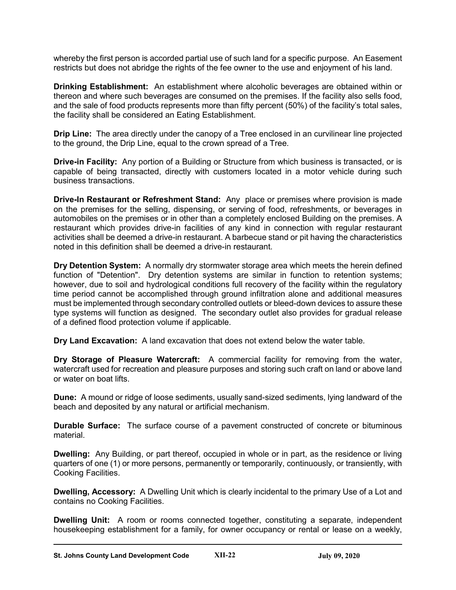whereby the first person is accorded partial use of such land for a specific purpose. An Easement restricts but does not abridge the rights of the fee owner to the use and enjoyment of his land.

**Drinking Establishment:** An establishment where alcoholic beverages are obtained within or thereon and where such beverages are consumed on the premises. If the facility also sells food, and the sale of food products represents more than fifty percent (50%) of the facility's total sales, the facility shall be considered an Eating Establishment.

**Drip Line:** The area directly under the canopy of a Tree enclosed in an curvilinear line projected to the ground, the Drip Line, equal to the crown spread of a Tree.

**Drive-in Facility:** Any portion of a Building or Structure from which business is transacted, or is capable of being transacted, directly with customers located in a motor vehicle during such business transactions.

**Drive-In Restaurant or Refreshment Stand:** Any place or premises where provision is made on the premises for the selling, dispensing, or serving of food, refreshments, or beverages in automobiles on the premises or in other than a completely enclosed Building on the premises. A restaurant which provides drive-in facilities of any kind in connection with regular restaurant activities shall be deemed a drive-in restaurant. A barbecue stand or pit having the characteristics noted in this definition shall be deemed a drive-in restaurant.

**Dry Detention System:** A normally dry stormwater storage area which meets the herein defined function of "Detention". Dry detention systems are similar in function to retention systems; however, due to soil and hydrological conditions full recovery of the facility within the regulatory time period cannot be accomplished through ground infiltration alone and additional measures must be implemented through secondary controlled outlets or bleed-down devices to assure these type systems will function as designed. The secondary outlet also provides for gradual release of a defined flood protection volume if applicable.

**Dry Land Excavation:** A land excavation that does not extend below the water table.

**Dry Storage of Pleasure Watercraft:** A commercial facility for removing from the water, watercraft used for recreation and pleasure purposes and storing such craft on land or above land or water on boat lifts.

**Dune:** A mound or ridge of loose sediments, usually sand-sized sediments, lying landward of the beach and deposited by any natural or artificial mechanism.

**Durable Surface:** The surface course of a pavement constructed of concrete or bituminous material.

**Dwelling:** Any Building, or part thereof, occupied in whole or in part, as the residence or living quarters of one (1) or more persons, permanently or temporarily, continuously, or transiently, with Cooking Facilities.

**Dwelling, Accessory:** A Dwelling Unit which is clearly incidental to the primary Use of a Lot and contains no Cooking Facilities.

**Dwelling Unit:** A room or rooms connected together, constituting a separate, independent housekeeping establishment for a family, for owner occupancy or rental or lease on a weekly,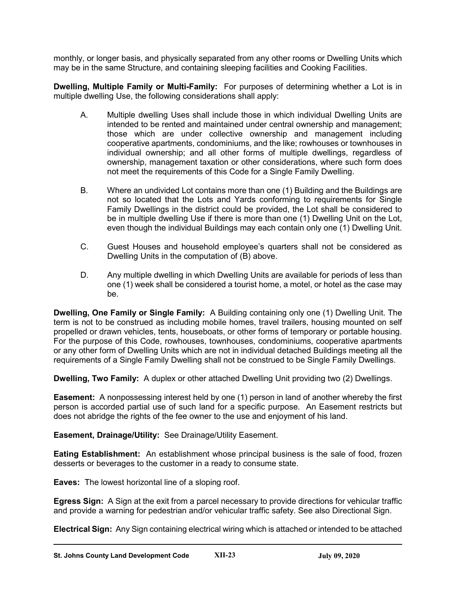monthly, or longer basis, and physically separated from any other rooms or Dwelling Units which may be in the same Structure, and containing sleeping facilities and Cooking Facilities.

**Dwelling, Multiple Family or Multi-Family:** For purposes of determining whether a Lot is in multiple dwelling Use, the following considerations shall apply:

- A. Multiple dwelling Uses shall include those in which individual Dwelling Units are intended to be rented and maintained under central ownership and management; those which are under collective ownership and management including cooperative apartments, condominiums, and the like; rowhouses or townhouses in individual ownership; and all other forms of multiple dwellings, regardless of ownership, management taxation or other considerations, where such form does not meet the requirements of this Code for a Single Family Dwelling.
- B. Where an undivided Lot contains more than one (1) Building and the Buildings are not so located that the Lots and Yards conforming to requirements for Single Family Dwellings in the district could be provided, the Lot shall be considered to be in multiple dwelling Use if there is more than one (1) Dwelling Unit on the Lot, even though the individual Buildings may each contain only one (1) Dwelling Unit.
- C. Guest Houses and household employee's quarters shall not be considered as Dwelling Units in the computation of (B) above.
- D. Any multiple dwelling in which Dwelling Units are available for periods of less than one (1) week shall be considered a tourist home, a motel, or hotel as the case may be.

**Dwelling, One Family or Single Family:** A Building containing only one (1) Dwelling Unit. The term is not to be construed as including mobile homes, travel trailers, housing mounted on self propelled or drawn vehicles, tents, houseboats, or other forms of temporary or portable housing. For the purpose of this Code, rowhouses, townhouses, condominiums, cooperative apartments or any other form of Dwelling Units which are not in individual detached Buildings meeting all the requirements of a Single Family Dwelling shall not be construed to be Single Family Dwellings.

**Dwelling, Two Family:** A duplex or other attached Dwelling Unit providing two (2) Dwellings.

**Easement:** A nonpossessing interest held by one (1) person in land of another whereby the first person is accorded partial use of such land for a specific purpose. An Easement restricts but does not abridge the rights of the fee owner to the use and enjoyment of his land.

**Easement, Drainage/Utility:** See Drainage/Utility Easement.

**Eating Establishment:** An establishment whose principal business is the sale of food, frozen desserts or beverages to the customer in a ready to consume state.

**Eaves:** The lowest horizontal line of a sloping roof.

**Egress Sign:** A Sign at the exit from a parcel necessary to provide directions for vehicular traffic and provide a warning for pedestrian and/or vehicular traffic safety. See also Directional Sign.

**Electrical Sign:** Any Sign containing electrical wiring which is attached or intended to be attached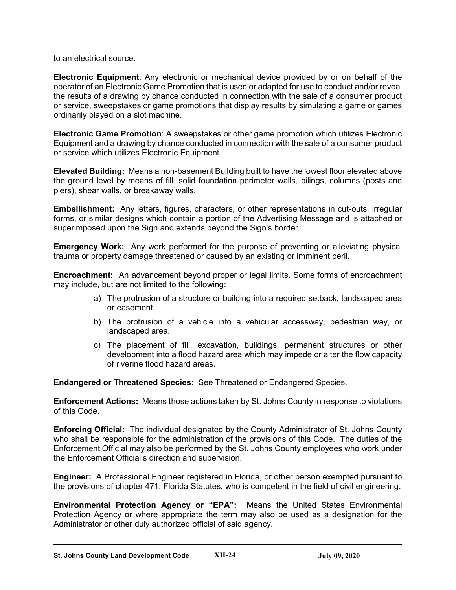to an electrical source.

**Electronic Equipment**: Any electronic or mechanical device provided by or on behalf of the operator of an Electronic Game Promotion that is used or adapted for use to conduct and/or reveal the results of a drawing by chance conducted in connection with the sale of a consumer product or service, sweepstakes or game promotions that display results by simulating a game or games ordinarily played on a slot machine.

**Electronic Game Promotion**: A sweepstakes or other game promotion which utilizes Electronic Equipment and a drawing by chance conducted in connection with the sale of a consumer product or service which utilizes Electronic Equipment.

**Elevated Building:** Means a non-basement Building built to have the lowest floor elevated above the ground level by means of fill, solid foundation perimeter walls, pilings, columns (posts and piers), shear walls, or breakaway walls.

**Embellishment:** Any letters, figures, characters, or other representations in cut-outs, irregular forms, or similar designs which contain a portion of the Advertising Message and is attached or superimposed upon the Sign and extends beyond the Sign's border.

**Emergency Work:** Any work performed for the purpose of preventing or alleviating physical trauma or property damage threatened or caused by an existing or imminent peril.

**Encroachment:** An advancement beyond proper or legal limits. Some forms of encroachment may include, but are not limited to the following:

- a) The protrusion of a structure or building into a required setback, landscaped area or easement.
- b) The protrusion of a vehicle into a vehicular accessway, pedestrian way, or landscaped area.
- c) The placement of fill, excavation, buildings, permanent structures or other development into a flood hazard area which may impede or alter the flow capacity of riverine flood hazard areas.

**Endangered or Threatened Species:** See Threatened or Endangered Species.

**Enforcement Actions:** Means those actions taken by St. Johns County in response to violations of this Code.

**Enforcing Official:** The individual designated by the County Administrator of St. Johns County who shall be responsible for the administration of the provisions of this Code. The duties of the Enforcement Official may also be performed by the St. Johns County employees who work under the Enforcement Official's direction and supervision.

**Engineer:** A Professional Engineer registered in Florida, or other person exempted pursuant to the provisions of chapter 471, Florida Statutes, who is competent in the field of civil engineering.

**Environmental Protection Agency or "EPA":** Means the United States Environmental Protection Agency or where appropriate the term may also be used as a designation for the Administrator or other duly authorized official of said agency.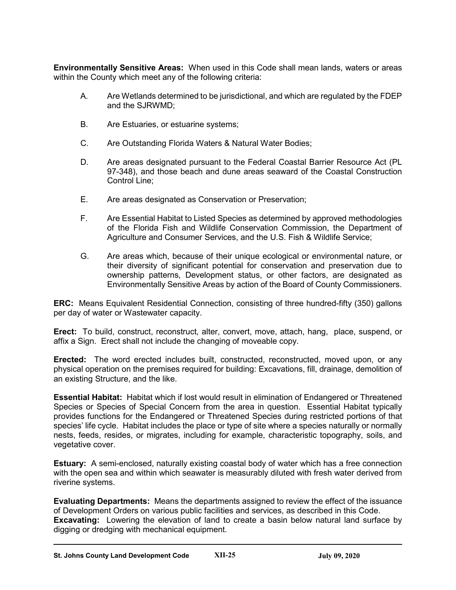**Environmentally Sensitive Areas:** When used in this Code shall mean lands, waters or areas within the County which meet any of the following criteria:

- A. Are Wetlands determined to be jurisdictional, and which are regulated by the FDEP and the SJRWMD;
- B. Are Estuaries, or estuarine systems;
- C. Are Outstanding Florida Waters & Natural Water Bodies;
- D. Are areas designated pursuant to the Federal Coastal Barrier Resource Act (PL 97-348), and those beach and dune areas seaward of the Coastal Construction Control Line;
- E. Are areas designated as Conservation or Preservation;
- F. Are Essential Habitat to Listed Species as determined by approved methodologies of the Florida Fish and Wildlife Conservation Commission, the Department of Agriculture and Consumer Services, and the U.S. Fish & Wildlife Service;
- G. Are areas which, because of their unique ecological or environmental nature, or their diversity of significant potential for conservation and preservation due to ownership patterns, Development status, or other factors, are designated as Environmentally Sensitive Areas by action of the Board of County Commissioners.

**ERC:** Means Equivalent Residential Connection, consisting of three hundred-fifty (350) gallons per day of water or Wastewater capacity.

**Erect:** To build, construct, reconstruct, alter, convert, move, attach, hang, place, suspend, or affix a Sign. Erect shall not include the changing of moveable copy.

**Erected:** The word erected includes built, constructed, reconstructed, moved upon, or any physical operation on the premises required for building: Excavations, fill, drainage, demolition of an existing Structure, and the like.

**Essential Habitat:** Habitat which if lost would result in elimination of Endangered or Threatened Species or Species of Special Concern from the area in question. Essential Habitat typically provides functions for the Endangered or Threatened Species during restricted portions of that species' life cycle. Habitat includes the place or type of site where a species naturally or normally nests, feeds, resides, or migrates, including for example, characteristic topography, soils, and vegetative cover.

**Estuary:** A semi-enclosed, naturally existing coastal body of water which has a free connection with the open sea and within which seawater is measurably diluted with fresh water derived from riverine systems.

**Evaluating Departments:** Means the departments assigned to review the effect of the issuance of Development Orders on various public facilities and services, as described in this Code. **Excavating:** Lowering the elevation of land to create a basin below natural land surface by digging or dredging with mechanical equipment.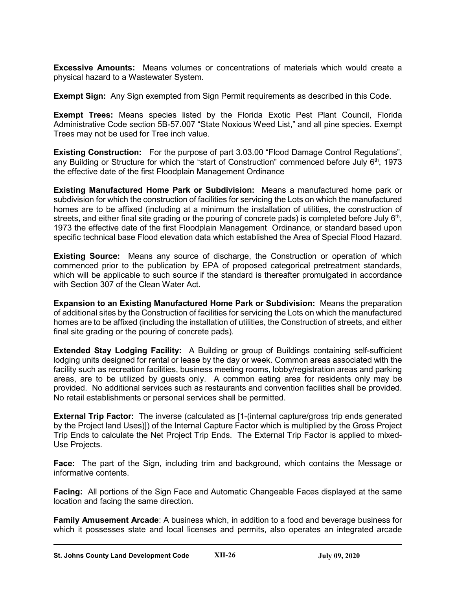**Excessive Amounts:** Means volumes or concentrations of materials which would create a physical hazard to a Wastewater System.

**Exempt Sign:** Any Sign exempted from Sign Permit requirements as described in this Code.

**Exempt Trees:** Means species listed by the Florida Exotic Pest Plant Council, Florida Administrative Code section 5B-57.007 "State Noxious Weed List," and all pine species. Exempt Trees may not be used for Tree inch value.

**Existing Construction:** For the purpose of part 3.03.00 "Flood Damage Control Regulations", any Building or Structure for which the "start of Construction" commenced before July  $6<sup>th</sup>$ , 1973 the effective date of the first Floodplain Management Ordinance

**Existing Manufactured Home Park or Subdivision:** Means a manufactured home park or subdivision for which the construction of facilities for servicing the Lots on which the manufactured homes are to be affixed (including at a minimum the installation of utilities, the construction of streets, and either final site grading or the pouring of concrete pads) is completed before July  $6<sup>th</sup>$ , 1973 the effective date of the first Floodplain Management Ordinance, or standard based upon specific technical base Flood elevation data which established the Area of Special Flood Hazard.

**Existing Source:** Means any source of discharge, the Construction or operation of which commenced prior to the publication by EPA of proposed categorical pretreatment standards, which will be applicable to such source if the standard is thereafter promulgated in accordance with Section 307 of the Clean Water Act.

**Expansion to an Existing Manufactured Home Park or Subdivision:** Means the preparation of additional sites by the Construction of facilities for servicing the Lots on which the manufactured homes are to be affixed (including the installation of utilities, the Construction of streets, and either final site grading or the pouring of concrete pads).

**Extended Stay Lodging Facility:** A Building or group of Buildings containing self-sufficient lodging units designed for rental or lease by the day or week. Common areas associated with the facility such as recreation facilities, business meeting rooms, lobby/registration areas and parking areas, are to be utilized by guests only. A common eating area for residents only may be provided. No additional services such as restaurants and convention facilities shall be provided. No retail establishments or personal services shall be permitted.

**External Trip Factor:** The inverse (calculated as [1-(internal capture/gross trip ends generated by the Project land Uses)]) of the Internal Capture Factor which is multiplied by the Gross Project Trip Ends to calculate the Net Project Trip Ends. The External Trip Factor is applied to mixed-Use Projects.

**Face:** The part of the Sign, including trim and background, which contains the Message or informative contents.

**Facing:** All portions of the Sign Face and Automatic Changeable Faces displayed at the same location and facing the same direction.

**Family Amusement Arcade**: A business which, in addition to a food and beverage business for which it possesses state and local licenses and permits, also operates an integrated arcade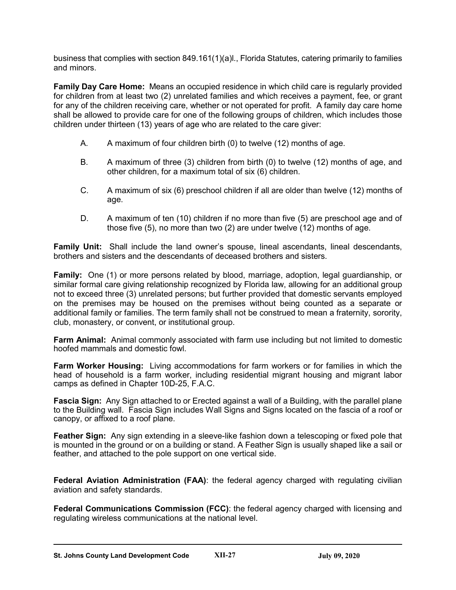business that complies with section 849.161(1)(a)l., Florida Statutes, catering primarily to families and minors.

**Family Day Care Home:** Means an occupied residence in which child care is regularly provided for children from at least two (2) unrelated families and which receives a payment, fee, or grant for any of the children receiving care, whether or not operated for profit. A family day care home shall be allowed to provide care for one of the following groups of children, which includes those children under thirteen (13) years of age who are related to the care giver:

- A. A maximum of four children birth (0) to twelve (12) months of age.
- B. A maximum of three (3) children from birth (0) to twelve (12) months of age, and other children, for a maximum total of six (6) children.
- C. A maximum of six (6) preschool children if all are older than twelve (12) months of age.
- D. A maximum of ten (10) children if no more than five (5) are preschool age and of those five (5), no more than two (2) are under twelve (12) months of age.

**Family Unit:** Shall include the land owner's spouse, lineal ascendants, lineal descendants, brothers and sisters and the descendants of deceased brothers and sisters.

**Family:** One (1) or more persons related by blood, marriage, adoption, legal guardianship, or similar formal care giving relationship recognized by Florida law, allowing for an additional group not to exceed three (3) unrelated persons; but further provided that domestic servants employed on the premises may be housed on the premises without being counted as a separate or additional family or families. The term family shall not be construed to mean a fraternity, sorority, club, monastery, or convent, or institutional group.

**Farm Animal:** Animal commonly associated with farm use including but not limited to domestic hoofed mammals and domestic fowl.

**Farm Worker Housing:** Living accommodations for farm workers or for families in which the head of household is a farm worker, including residential migrant housing and migrant labor camps as defined in Chapter 10D-25, F.A.C.

**Fascia Sign:** Any Sign attached to or Erected against a wall of a Building, with the parallel plane to the Building wall. Fascia Sign includes Wall Signs and Signs located on the fascia of a roof or canopy, or affixed to a roof plane.

**Feather Sign:** Any sign extending in a sleeve-like fashion down a telescoping or fixed pole that is mounted in the ground or on a building or stand. A Feather Sign is usually shaped like a sail or feather, and attached to the pole support on one vertical side.

**Federal Aviation Administration (FAA)**: the federal agency charged with regulating civilian aviation and safety standards.

**Federal Communications Commission (FCC)**: the federal agency charged with licensing and regulating wireless communications at the national level.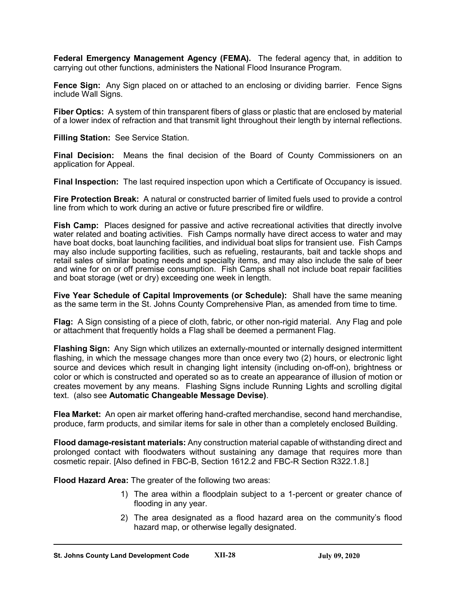**Federal Emergency Management Agency (FEMA).** The federal agency that, in addition to carrying out other functions, administers the National Flood Insurance Program.

**Fence Sign:** Any Sign placed on or attached to an enclosing or dividing barrier. Fence Signs include Wall Signs.

**Fiber Optics:** A system of thin transparent fibers of glass or plastic that are enclosed by material of a lower index of refraction and that transmit light throughout their length by internal reflections.

**Filling Station:** See Service Station.

**Final Decision:** Means the final decision of the Board of County Commissioners on an application for Appeal.

**Final Inspection:** The last required inspection upon which a Certificate of Occupancy is issued.

**Fire Protection Break:** A natural or constructed barrier of limited fuels used to provide a control line from which to work during an active or future prescribed fire or wildfire.

**Fish Camp:** Places designed for passive and active recreational activities that directly involve water related and boating activities. Fish Camps normally have direct access to water and may have boat docks, boat launching facilities, and individual boat slips for transient use. Fish Camps may also include supporting facilities, such as refueling, restaurants, bait and tackle shops and retail sales of similar boating needs and specialty items, and may also include the sale of beer and wine for on or off premise consumption. Fish Camps shall not include boat repair facilities and boat storage (wet or dry) exceeding one week in length.

**Five Year Schedule of Capital Improvements (or Schedule):** Shall have the same meaning as the same term in the St. Johns County Comprehensive Plan, as amended from time to time.

**Flag:** A Sign consisting of a piece of cloth, fabric, or other non-rigid material. Any Flag and pole or attachment that frequently holds a Flag shall be deemed a permanent Flag.

**Flashing Sign:** Any Sign which utilizes an externally-mounted or internally designed intermittent flashing, in which the message changes more than once every two (2) hours, or electronic light source and devices which result in changing light intensity (including on-off-on), brightness or color or which is constructed and operated so as to create an appearance of illusion of motion or creates movement by any means. Flashing Signs include Running Lights and scrolling digital text. (also see **Automatic Changeable Message Devise)**.

**Flea Market:** An open air market offering hand-crafted merchandise, second hand merchandise, produce, farm products, and similar items for sale in other than a completely enclosed Building.

**Flood damage-resistant materials:** Any construction material capable of withstanding direct and prolonged contact with floodwaters without sustaining any damage that requires more than cosmetic repair. [Also defined in FBC-B, Section 1612.2 and FBC-R Section R322.1.8.]

**Flood Hazard Area:** The greater of the following two areas:

- 1) The area within a floodplain subject to a 1-percent or greater chance of flooding in any year.
- 2) The area designated as a flood hazard area on the community's flood hazard map, or otherwise legally designated.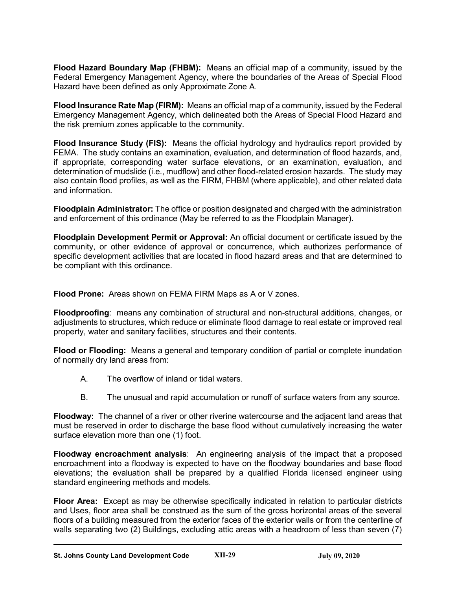**Flood Hazard Boundary Map (FHBM):** Means an official map of a community, issued by the Federal Emergency Management Agency, where the boundaries of the Areas of Special Flood Hazard have been defined as only Approximate Zone A.

**Flood Insurance Rate Map (FIRM):** Means an official map of a community, issued by the Federal Emergency Management Agency, which delineated both the Areas of Special Flood Hazard and the risk premium zones applicable to the community.

**Flood Insurance Study (FIS):** Means the official hydrology and hydraulics report provided by FEMA. The study contains an examination, evaluation, and determination of flood hazards, and, if appropriate, corresponding water surface elevations, or an examination, evaluation, and determination of mudslide (i.e., mudflow) and other flood-related erosion hazards. The study may also contain flood profiles, as well as the FIRM, FHBM (where applicable), and other related data and information.

**Floodplain Administrator:** The office or position designated and charged with the administration and enforcement of this ordinance (May be referred to as the Floodplain Manager).

**Floodplain Development Permit or Approval:** An official document or certificate issued by the community, or other evidence of approval or concurrence, which authorizes performance of specific development activities that are located in flood hazard areas and that are determined to be compliant with this ordinance.

**Flood Prone:** Areas shown on FEMA FIRM Maps as A or V zones.

**Floodproofing**: means any combination of structural and non-structural additions, changes, or adjustments to structures, which reduce or eliminate flood damage to real estate or improved real property, water and sanitary facilities, structures and their contents.

**Flood or Flooding:** Means a general and temporary condition of partial or complete inundation of normally dry land areas from:

- A. The overflow of inland or tidal waters.
- B. The unusual and rapid accumulation or runoff of surface waters from any source.

**Floodway:** The channel of a river or other riverine watercourse and the adjacent land areas that must be reserved in order to discharge the base flood without cumulatively increasing the water surface elevation more than one (1) foot.

**Floodway encroachment analysis**: An engineering analysis of the impact that a proposed encroachment into a floodway is expected to have on the floodway boundaries and base flood elevations; the evaluation shall be prepared by a qualified Florida licensed engineer using standard engineering methods and models.

**Floor Area:** Except as may be otherwise specifically indicated in relation to particular districts and Uses, floor area shall be construed as the sum of the gross horizontal areas of the several floors of a building measured from the exterior faces of the exterior walls or from the centerline of walls separating two (2) Buildings, excluding attic areas with a headroom of less than seven (7)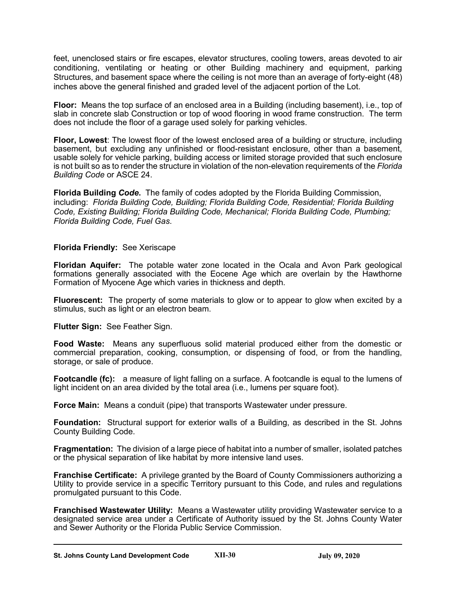feet, unenclosed stairs or fire escapes, elevator structures, cooling towers, areas devoted to air conditioning, ventilating or heating or other Building machinery and equipment, parking Structures, and basement space where the ceiling is not more than an average of forty-eight (48) inches above the general finished and graded level of the adjacent portion of the Lot.

**Floor:** Means the top surface of an enclosed area in a Building (including basement), i.e., top of slab in concrete slab Construction or top of wood flooring in wood frame construction. The term does not include the floor of a garage used solely for parking vehicles.

**Floor, Lowest**: The lowest floor of the lowest enclosed area of a building or structure, including basement, but excluding any unfinished or flood-resistant enclosure, other than a basement, usable solely for vehicle parking, building access or limited storage provided that such enclosure is not built so as to render the structure in violation of the non-elevation requirements of the *Florida Building Code* or ASCE 24.

**Florida Building** *Code***.** The family of codes adopted by the Florida Building Commission, including: *Florida Building Code, Building; Florida Building Code, Residential; Florida Building Code, Existing Building; Florida Building Code, Mechanical; Florida Building Code, Plumbing; Florida Building Code, Fuel Gas*.

# **Florida Friendly:** See Xeriscape

**Floridan Aquifer:** The potable water zone located in the Ocala and Avon Park geological formations generally associated with the Eocene Age which are overlain by the Hawthorne Formation of Myocene Age which varies in thickness and depth.

**Fluorescent:** The property of some materials to glow or to appear to glow when excited by a stimulus, such as light or an electron beam.

**Flutter Sign:** See Feather Sign.

**Food Waste:** Means any superfluous solid material produced either from the domestic or commercial preparation, cooking, consumption, or dispensing of food, or from the handling, storage, or sale of produce.

**Footcandle (fc):** a measure of light falling on a surface. A footcandle is equal to the lumens of light incident on an area divided by the total area (i.e., lumens per square foot).

**Force Main:** Means a conduit (pipe) that transports Wastewater under pressure.

**Foundation:** Structural support for exterior walls of a Building, as described in the St. Johns County Building Code.

**Fragmentation:** The division of a large piece of habitat into a number of smaller, isolated patches or the physical separation of like habitat by more intensive land uses.

**Franchise Certificate:** A privilege granted by the Board of County Commissioners authorizing a Utility to provide service in a specific Territory pursuant to this Code, and rules and regulations promulgated pursuant to this Code.

**Franchised Wastewater Utility:** Means a Wastewater utility providing Wastewater service to a designated service area under a Certificate of Authority issued by the St. Johns County Water and Sewer Authority or the Florida Public Service Commission.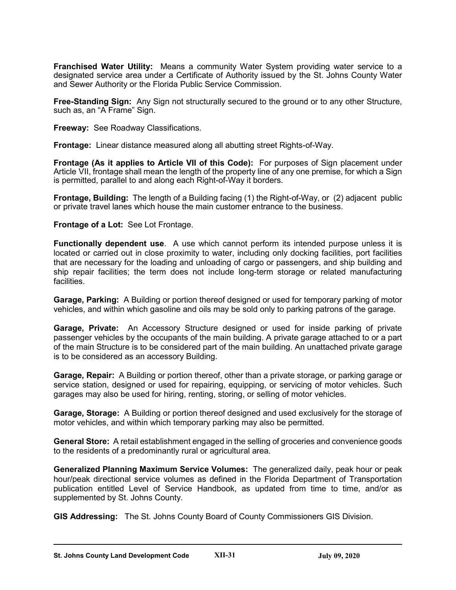**Franchised Water Utility:** Means a community Water System providing water service to a designated service area under a Certificate of Authority issued by the St. Johns County Water and Sewer Authority or the Florida Public Service Commission.

**Free-Standing Sign:** Any Sign not structurally secured to the ground or to any other Structure, such as, an "A Frame" Sign.

**Freeway:** See Roadway Classifications.

**Frontage:** Linear distance measured along all abutting street Rights-of-Way.

**Frontage (As it applies to Article VII of this Code):** For purposes of Sign placement under Article VII, frontage shall mean the length of the property line of any one premise, for which a Sign is permitted, parallel to and along each Right-of-Way it borders.

**Frontage, Building:** The length of a Building facing (1) the Right-of-Way, or (2) adjacent public or private travel lanes which house the main customer entrance to the business.

#### **Frontage of a Lot:** See Lot Frontage.

**Functionally dependent use**. A use which cannot perform its intended purpose unless it is located or carried out in close proximity to water, including only docking facilities, port facilities that are necessary for the loading and unloading of cargo or passengers, and ship building and ship repair facilities; the term does not include long-term storage or related manufacturing facilities.

**Garage, Parking:** A Building or portion thereof designed or used for temporary parking of motor vehicles, and within which gasoline and oils may be sold only to parking patrons of the garage.

**Garage, Private:** An Accessory Structure designed or used for inside parking of private passenger vehicles by the occupants of the main building. A private garage attached to or a part of the main Structure is to be considered part of the main building. An unattached private garage is to be considered as an accessory Building.

**Garage, Repair:** A Building or portion thereof, other than a private storage, or parking garage or service station, designed or used for repairing, equipping, or servicing of motor vehicles. Such garages may also be used for hiring, renting, storing, or selling of motor vehicles.

**Garage, Storage:** A Building or portion thereof designed and used exclusively for the storage of motor vehicles, and within which temporary parking may also be permitted.

**General Store:** A retail establishment engaged in the selling of groceries and convenience goods to the residents of a predominantly rural or agricultural area.

**Generalized Planning Maximum Service Volumes:** The generalized daily, peak hour or peak hour/peak directional service volumes as defined in the Florida Department of Transportation publication entitled Level of Service Handbook, as updated from time to time, and/or as supplemented by St. Johns County.

**GIS Addressing:** The St. Johns County Board of County Commissioners GIS Division.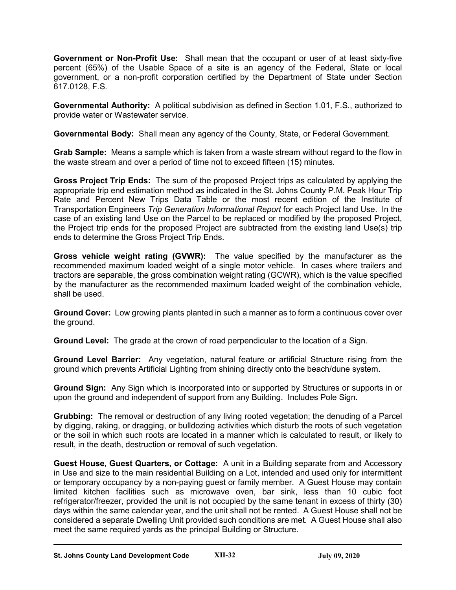**Government or Non-Profit Use:** Shall mean that the occupant or user of at least sixty-five percent (65%) of the Usable Space of a site is an agency of the Federal, State or local government, or a non-profit corporation certified by the Department of State under Section 617.0128, F.S.

**Governmental Authority:** A political subdivision as defined in Section 1.01, F.S., authorized to provide water or Wastewater service.

**Governmental Body:** Shall mean any agency of the County, State, or Federal Government.

**Grab Sample:** Means a sample which is taken from a waste stream without regard to the flow in the waste stream and over a period of time not to exceed fifteen (15) minutes.

**Gross Project Trip Ends:** The sum of the proposed Project trips as calculated by applying the appropriate trip end estimation method as indicated in the St. Johns County P.M. Peak Hour Trip Rate and Percent New Trips Data Table or the most recent edition of the Institute of Transportation Engineers *Trip Generation Informational Report* for each Project land Use. In the case of an existing land Use on the Parcel to be replaced or modified by the proposed Project, the Project trip ends for the proposed Project are subtracted from the existing land Use(s) trip ends to determine the Gross Project Trip Ends.

**Gross vehicle weight rating (GVWR):** The value specified by the manufacturer as the recommended maximum loaded weight of a single motor vehicle. In cases where trailers and tractors are separable, the gross combination weight rating (GCWR), which is the value specified by the manufacturer as the recommended maximum loaded weight of the combination vehicle, shall be used.

**Ground Cover:** Low growing plants planted in such a manner as to form a continuous cover over the ground.

**Ground Level:** The grade at the crown of road perpendicular to the location of a Sign.

**Ground Level Barrier:** Any vegetation, natural feature or artificial Structure rising from the ground which prevents Artificial Lighting from shining directly onto the beach/dune system.

**Ground Sign:** Any Sign which is incorporated into or supported by Structures or supports in or upon the ground and independent of support from any Building. Includes Pole Sign.

**Grubbing:** The removal or destruction of any living rooted vegetation; the denuding of a Parcel by digging, raking, or dragging, or bulldozing activities which disturb the roots of such vegetation or the soil in which such roots are located in a manner which is calculated to result, or likely to result, in the death, destruction or removal of such vegetation.

**Guest House, Guest Quarters, or Cottage:** A unit in a Building separate from and Accessory in Use and size to the main residential Building on a Lot, intended and used only for intermittent or temporary occupancy by a non-paying guest or family member. A Guest House may contain limited kitchen facilities such as microwave oven, bar sink, less than 10 cubic foot refrigerator/freezer, provided the unit is not occupied by the same tenant in excess of thirty (30) days within the same calendar year, and the unit shall not be rented. A Guest House shall not be considered a separate Dwelling Unit provided such conditions are met. A Guest House shall also meet the same required yards as the principal Building or Structure.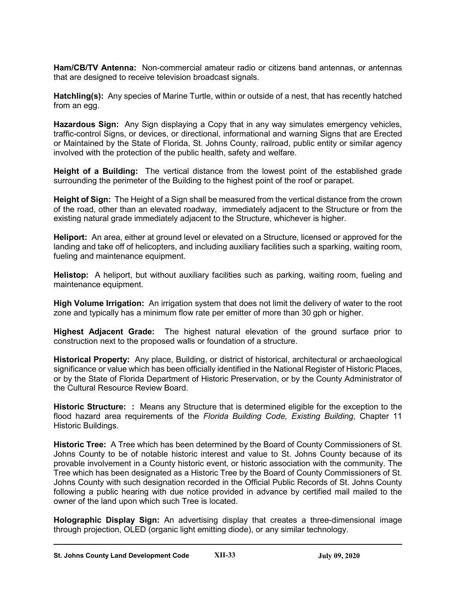**Ham/CB/TV Antenna:** Non-commercial amateur radio or citizens band antennas, or antennas that are designed to receive television broadcast signals.

**Hatchling(s):** Any species of Marine Turtle, within or outside of a nest, that has recently hatched from an egg.

**Hazardous Sign:** Any Sign displaying a Copy that in any way simulates emergency vehicles, traffic-control Signs, or devices, or directional, informational and warning Signs that are Erected or Maintained by the State of Florida, St. Johns County, railroad, public entity or similar agency involved with the protection of the public health, safety and welfare.

**Height of a Building:** The vertical distance from the lowest point of the established grade surrounding the perimeter of the Building to the highest point of the roof or parapet.

**Height of Sign:** The Height of a Sign shall be measured from the vertical distance from the crown of the road, other than an elevated roadway, immediately adjacent to the Structure or from the existing natural grade immediately adjacent to the Structure, whichever is higher.

**Heliport:** An area, either at ground level or elevated on a Structure, licensed or approved for the landing and take off of helicopters, and including auxiliary facilities such a sparking, waiting room, fueling and maintenance equipment.

**Helistop:** A heliport, but without auxiliary facilities such as parking, waiting room, fueling and maintenance equipment.

**High Volume Irrigation:** An irrigation system that does not limit the delivery of water to the root zone and typically has a minimum flow rate per emitter of more than 30 gph or higher.

**Highest Adjacent Grade:** The highest natural elevation of the ground surface prior to construction next to the proposed walls or foundation of a structure.

**Historical Property:** Any place, Building, or district of historical, architectural or archaeological significance or value which has been officially identified in the National Register of Historic Places, or by the State of Florida Department of Historic Preservation, or by the County Administrator of the Cultural Resource Review Board.

**Historic Structure: :** Means any Structure that is determined eligible for the exception to the flood hazard area requirements of the *Florida Building Code, Existing Building*, Chapter 11 Historic Buildings.

**Historic Tree:** A Tree which has been determined by the Board of County Commissioners of St. Johns County to be of notable historic interest and value to St. Johns County because of its provable involvement in a County historic event, or historic association with the community. The Tree which has been designated as a Historic Tree by the Board of County Commissioners of St. Johns County with such designation recorded in the Official Public Records of St. Johns County following a public hearing with due notice provided in advance by certified mail mailed to the owner of the land upon which such Tree is located.

**Holographic Display Sign:** An advertising display that creates a three-dimensional image through projection, OLED (organic light emitting diode), or any similar technology.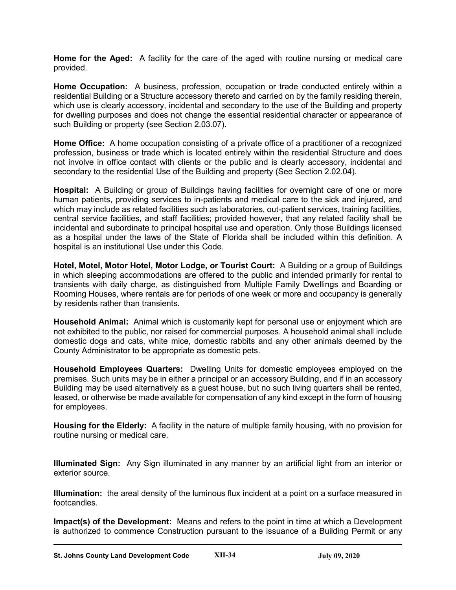**Home for the Aged:** A facility for the care of the aged with routine nursing or medical care provided.

**Home Occupation:** A business, profession, occupation or trade conducted entirely within a residential Building or a Structure accessory thereto and carried on by the family residing therein, which use is clearly accessory, incidental and secondary to the use of the Building and property for dwelling purposes and does not change the essential residential character or appearance of such Building or property (see Section 2.03.07).

**Home Office:** A home occupation consisting of a private office of a practitioner of a recognized profession, business or trade which is located entirely within the residential Structure and does not involve in office contact with clients or the public and is clearly accessory, incidental and secondary to the residential Use of the Building and property (See Section 2.02.04).

**Hospital:** A Building or group of Buildings having facilities for overnight care of one or more human patients, providing services to in-patients and medical care to the sick and injured, and which may include as related facilities such as laboratories, out-patient services, training facilities, central service facilities, and staff facilities; provided however, that any related facility shall be incidental and subordinate to principal hospital use and operation. Only those Buildings licensed as a hospital under the laws of the State of Florida shall be included within this definition. A hospital is an institutional Use under this Code.

**Hotel, Motel, Motor Hotel, Motor Lodge, or Tourist Court:** A Building or a group of Buildings in which sleeping accommodations are offered to the public and intended primarily for rental to transients with daily charge, as distinguished from Multiple Family Dwellings and Boarding or Rooming Houses, where rentals are for periods of one week or more and occupancy is generally by residents rather than transients.

**Household Animal:** Animal which is customarily kept for personal use or enjoyment which are not exhibited to the public, nor raised for commercial purposes. A household animal shall include domestic dogs and cats, white mice, domestic rabbits and any other animals deemed by the County Administrator to be appropriate as domestic pets.

**Household Employees Quarters:** Dwelling Units for domestic employees employed on the premises. Such units may be in either a principal or an accessory Building, and if in an accessory Building may be used alternatively as a guest house, but no such living quarters shall be rented, leased, or otherwise be made available for compensation of any kind except in the form of housing for employees.

**Housing for the Elderly:** A facility in the nature of multiple family housing, with no provision for routine nursing or medical care.

**Illuminated Sign:** Any Sign illuminated in any manner by an artificial light from an interior or exterior source.

**Illumination:** the areal density of the luminous flux incident at a point on a surface measured in footcandles.

**Impact(s) of the Development:** Means and refers to the point in time at which a Development is authorized to commence Construction pursuant to the issuance of a Building Permit or any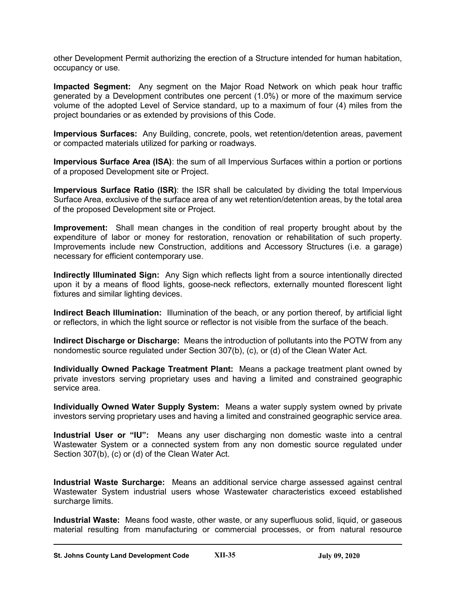other Development Permit authorizing the erection of a Structure intended for human habitation, occupancy or use.

**Impacted Segment:** Any segment on the Major Road Network on which peak hour traffic generated by a Development contributes one percent (1.0%) or more of the maximum service volume of the adopted Level of Service standard, up to a maximum of four (4) miles from the project boundaries or as extended by provisions of this Code.

**Impervious Surfaces:** Any Building, concrete, pools, wet retention/detention areas, pavement or compacted materials utilized for parking or roadways.

**Impervious Surface Area (ISA)**: the sum of all Impervious Surfaces within a portion or portions of a proposed Development site or Project.

**Impervious Surface Ratio (ISR)**: the ISR shall be calculated by dividing the total Impervious Surface Area, exclusive of the surface area of any wet retention/detention areas, by the total area of the proposed Development site or Project.

**Improvement:** Shall mean changes in the condition of real property brought about by the expenditure of labor or money for restoration, renovation or rehabilitation of such property. Improvements include new Construction, additions and Accessory Structures (i.e. a garage) necessary for efficient contemporary use.

**Indirectly Illuminated Sign:** Any Sign which reflects light from a source intentionally directed upon it by a means of flood lights, goose-neck reflectors, externally mounted florescent light fixtures and similar lighting devices.

**Indirect Beach Illumination:** Illumination of the beach, or any portion thereof, by artificial light or reflectors, in which the light source or reflector is not visible from the surface of the beach.

**Indirect Discharge or Discharge:** Means the introduction of pollutants into the POTW from any nondomestic source regulated under Section 307(b), (c), or (d) of the Clean Water Act.

**Individually Owned Package Treatment Plant:** Means a package treatment plant owned by private investors serving proprietary uses and having a limited and constrained geographic service area.

**Individually Owned Water Supply System:** Means a water supply system owned by private investors serving proprietary uses and having a limited and constrained geographic service area.

**Industrial User or "IU":** Means any user discharging non domestic waste into a central Wastewater System or a connected system from any non domestic source regulated under Section 307(b), (c) or (d) of the Clean Water Act.

**Industrial Waste Surcharge:** Means an additional service charge assessed against central Wastewater System industrial users whose Wastewater characteristics exceed established surcharge limits.

**Industrial Waste:** Means food waste, other waste, or any superfluous solid, liquid, or gaseous material resulting from manufacturing or commercial processes, or from natural resource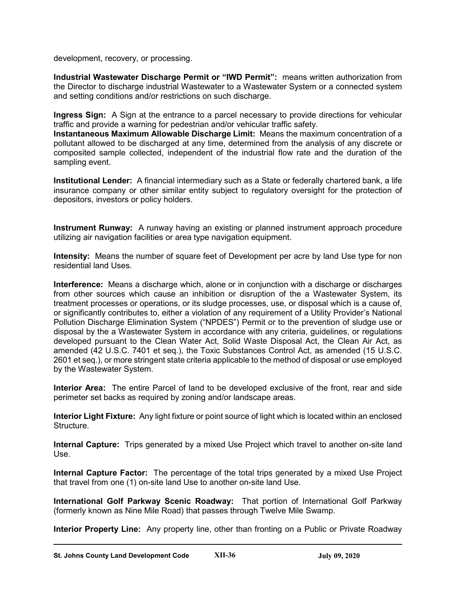development, recovery, or processing.

**Industrial Wastewater Discharge Permit or "IWD Permit":** means written authorization from the Director to discharge industrial Wastewater to a Wastewater System or a connected system and setting conditions and/or restrictions on such discharge.

**Ingress Sign:** A Sign at the entrance to a parcel necessary to provide directions for vehicular traffic and provide a warning for pedestrian and/or vehicular traffic safety.

**Instantaneous Maximum Allowable Discharge Limit:** Means the maximum concentration of a pollutant allowed to be discharged at any time, determined from the analysis of any discrete or composited sample collected, independent of the industrial flow rate and the duration of the sampling event.

**Institutional Lender:** A financial intermediary such as a State or federally chartered bank, a life insurance company or other similar entity subject to regulatory oversight for the protection of depositors, investors or policy holders.

**Instrument Runway:** A runway having an existing or planned instrument approach procedure utilizing air navigation facilities or area type navigation equipment.

**Intensity:** Means the number of square feet of Development per acre by land Use type for non residential land Uses.

**Interference:** Means a discharge which, alone or in conjunction with a discharge or discharges from other sources which cause an inhibition or disruption of the a Wastewater System, its treatment processes or operations, or its sludge processes, use, or disposal which is a cause of, or significantly contributes to, either a violation of any requirement of a Utility Provider's National Pollution Discharge Elimination System ("NPDES") Permit or to the prevention of sludge use or disposal by the a Wastewater System in accordance with any criteria, guidelines, or regulations developed pursuant to the Clean Water Act, Solid Waste Disposal Act, the Clean Air Act, as amended (42 U.S.C. 7401 et seq.), the Toxic Substances Control Act, as amended (15 U.S.C. 2601 et seq.), or more stringent state criteria applicable to the method of disposal or use employed by the Wastewater System.

**Interior Area:** The entire Parcel of land to be developed exclusive of the front, rear and side perimeter set backs as required by zoning and/or landscape areas.

**Interior Light Fixture:** Any light fixture or point source of light which is located within an enclosed Structure.

**Internal Capture:** Trips generated by a mixed Use Project which travel to another on-site land Use.

**Internal Capture Factor:** The percentage of the total trips generated by a mixed Use Project that travel from one (1) on-site land Use to another on-site land Use.

**International Golf Parkway Scenic Roadway:** That portion of International Golf Parkway (formerly known as Nine Mile Road) that passes through Twelve Mile Swamp.

**Interior Property Line:** Any property line, other than fronting on a Public or Private Roadway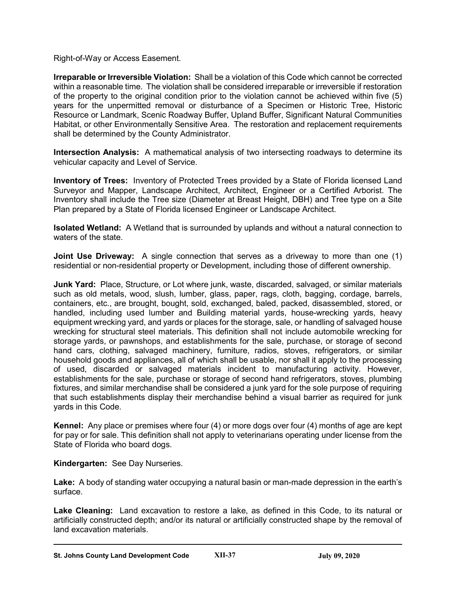Right-of-Way or Access Easement.

**Irreparable or Irreversible Violation:** Shall be a violation of this Code which cannot be corrected within a reasonable time. The violation shall be considered irreparable or irreversible if restoration of the property to the original condition prior to the violation cannot be achieved within five (5) years for the unpermitted removal or disturbance of a Specimen or Historic Tree, Historic Resource or Landmark, Scenic Roadway Buffer, Upland Buffer, Significant Natural Communities Habitat, or other Environmentally Sensitive Area. The restoration and replacement requirements shall be determined by the County Administrator.

**Intersection Analysis:** A mathematical analysis of two intersecting roadways to determine its vehicular capacity and Level of Service.

**Inventory of Trees:** Inventory of Protected Trees provided by a State of Florida licensed Land Surveyor and Mapper, Landscape Architect, Architect, Engineer or a Certified Arborist. The Inventory shall include the Tree size (Diameter at Breast Height, DBH) and Tree type on a Site Plan prepared by a State of Florida licensed Engineer or Landscape Architect.

**Isolated Wetland:** A Wetland that is surrounded by uplands and without a natural connection to waters of the state.

**Joint Use Driveway:** A single connection that serves as a driveway to more than one (1) residential or non-residential property or Development, including those of different ownership.

**Junk Yard:** Place, Structure, or Lot where junk, waste, discarded, salvaged, or similar materials such as old metals, wood, slush, lumber, glass, paper, rags, cloth, bagging, cordage, barrels, containers, etc., are brought, bought, sold, exchanged, baled, packed, disassembled, stored, or handled, including used lumber and Building material yards, house-wrecking yards, heavy equipment wrecking yard, and yards or places for the storage, sale, or handling of salvaged house wrecking for structural steel materials. This definition shall not include automobile wrecking for storage yards, or pawnshops, and establishments for the sale, purchase, or storage of second hand cars, clothing, salvaged machinery, furniture, radios, stoves, refrigerators, or similar household goods and appliances, all of which shall be usable, nor shall it apply to the processing of used, discarded or salvaged materials incident to manufacturing activity. However, establishments for the sale, purchase or storage of second hand refrigerators, stoves, plumbing fixtures, and similar merchandise shall be considered a junk yard for the sole purpose of requiring that such establishments display their merchandise behind a visual barrier as required for junk yards in this Code.

**Kennel:** Any place or premises where four (4) or more dogs over four (4) months of age are kept for pay or for sale. This definition shall not apply to veterinarians operating under license from the State of Florida who board dogs.

**Kindergarten:** See Day Nurseries.

**Lake:** A body of standing water occupying a natural basin or man-made depression in the earth's surface.

**Lake Cleaning:** Land excavation to restore a lake, as defined in this Code, to its natural or artificially constructed depth; and/or its natural or artificially constructed shape by the removal of land excavation materials.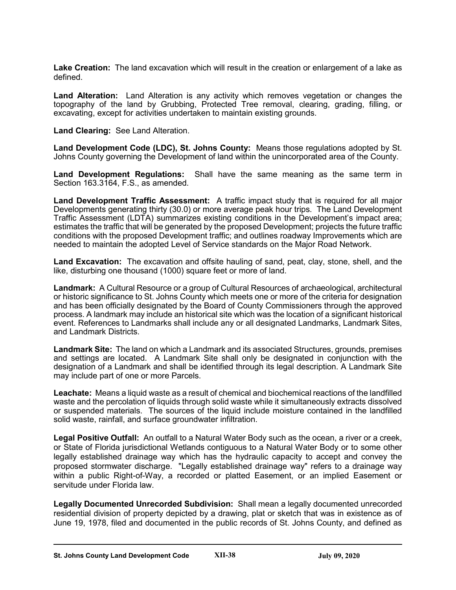**Lake Creation:** The land excavation which will result in the creation or enlargement of a lake as defined.

**Land Alteration:** Land Alteration is any activity which removes vegetation or changes the topography of the land by Grubbing, Protected Tree removal, clearing, grading, filling, or excavating, except for activities undertaken to maintain existing grounds.

**Land Clearing:** See Land Alteration.

**Land Development Code (LDC), St. Johns County:** Means those regulations adopted by St. Johns County governing the Development of land within the unincorporated area of the County.

**Land Development Regulations:** Shall have the same meaning as the same term in Section 163.3164, F.S., as amended.

**Land Development Traffic Assessment:** A traffic impact study that is required for all major Developments generating thirty (30.0) or more average peak hour trips. The Land Development Traffic Assessment (LDTA) summarizes existing conditions in the Development's impact area; estimates the traffic that will be generated by the proposed Development; projects the future traffic conditions with the proposed Development traffic; and outlines roadway Improvements which are needed to maintain the adopted Level of Service standards on the Major Road Network.

**Land Excavation:** The excavation and offsite hauling of sand, peat, clay, stone, shell, and the like, disturbing one thousand (1000) square feet or more of land.

**Landmark:** A Cultural Resource or a group of Cultural Resources of archaeological, architectural or historic significance to St. Johns County which meets one or more of the criteria for designation and has been officially designated by the Board of County Commissioners through the approved process. A landmark may include an historical site which was the location of a significant historical event. References to Landmarks shall include any or all designated Landmarks, Landmark Sites, and Landmark Districts.

**Landmark Site:** The land on which a Landmark and its associated Structures, grounds, premises and settings are located. A Landmark Site shall only be designated in conjunction with the designation of a Landmark and shall be identified through its legal description. A Landmark Site may include part of one or more Parcels.

**Leachate:** Means a liquid waste as a result of chemical and biochemical reactions of the landfilled waste and the percolation of liquids through solid waste while it simultaneously extracts dissolved or suspended materials. The sources of the liquid include moisture contained in the landfilled solid waste, rainfall, and surface groundwater infiltration.

**Legal Positive Outfall:** An outfall to a Natural Water Body such as the ocean, a river or a creek, or State of Florida jurisdictional Wetlands contiguous to a Natural Water Body or to some other legally established drainage way which has the hydraulic capacity to accept and convey the proposed stormwater discharge. "Legally established drainage way" refers to a drainage way within a public Right-of-Way, a recorded or platted Easement, or an implied Easement or servitude under Florida law.

**Legally Documented Unrecorded Subdivision:** Shall mean a legally documented unrecorded residential division of property depicted by a drawing, plat or sketch that was in existence as of June 19, 1978, filed and documented in the public records of St. Johns County, and defined as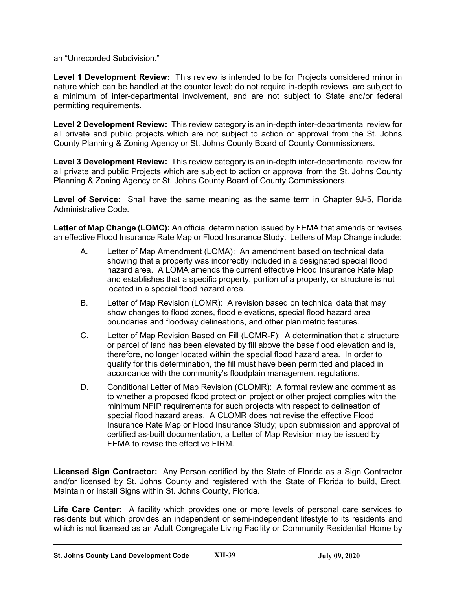an "Unrecorded Subdivision."

**Level 1 Development Review:** This review is intended to be for Projects considered minor in nature which can be handled at the counter level; do not require in-depth reviews, are subject to a minimum of inter-departmental involvement, and are not subject to State and/or federal permitting requirements.

**Level 2 Development Review:** This review category is an in-depth inter-departmental review for all private and public projects which are not subject to action or approval from the St. Johns County Planning & Zoning Agency or St. Johns County Board of County Commissioners.

**Level 3 Development Review:** This review category is an in-depth inter-departmental review for all private and public Projects which are subject to action or approval from the St. Johns County Planning & Zoning Agency or St. Johns County Board of County Commissioners.

**Level of Service:** Shall have the same meaning as the same term in Chapter 9J-5, Florida Administrative Code.

**Letter of Map Change (LOMC):** An official determination issued by FEMA that amends or revises an effective Flood Insurance Rate Map or Flood Insurance Study. Letters of Map Change include:

- A. Letter of Map Amendment (LOMA): An amendment based on technical data showing that a property was incorrectly included in a designated special flood hazard area. A LOMA amends the current effective Flood Insurance Rate Map and establishes that a specific property, portion of a property, or structure is not located in a special flood hazard area.
- B. Letter of Map Revision (LOMR): A revision based on technical data that may show changes to flood zones, flood elevations, special flood hazard area boundaries and floodway delineations, and other planimetric features.
- C. Letter of Map Revision Based on Fill (LOMR-F): A determination that a structure or parcel of land has been elevated by fill above the base flood elevation and is, therefore, no longer located within the special flood hazard area. In order to qualify for this determination, the fill must have been permitted and placed in accordance with the community's floodplain management regulations.
- D. Conditional Letter of Map Revision (CLOMR): A formal review and comment as to whether a proposed flood protection project or other project complies with the minimum NFIP requirements for such projects with respect to delineation of special flood hazard areas. A CLOMR does not revise the effective Flood Insurance Rate Map or Flood Insurance Study; upon submission and approval of certified as-built documentation, a Letter of Map Revision may be issued by FEMA to revise the effective FIRM.

**Licensed Sign Contractor:** Any Person certified by the State of Florida as a Sign Contractor and/or licensed by St. Johns County and registered with the State of Florida to build, Erect, Maintain or install Signs within St. Johns County, Florida.

**Life Care Center:** A facility which provides one or more levels of personal care services to residents but which provides an independent or semi-independent lifestyle to its residents and which is not licensed as an Adult Congregate Living Facility or Community Residential Home by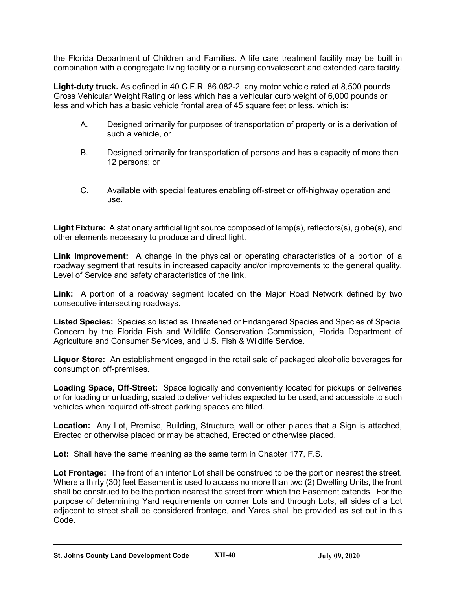the Florida Department of Children and Families. A life care treatment facility may be built in combination with a congregate living facility or a nursing convalescent and extended care facility.

**Light-duty truck.** As defined in 40 C.F.R. 86.082-2, any motor vehicle rated at 8,500 pounds Gross Vehicular Weight Rating or less which has a vehicular curb weight of 6,000 pounds or less and which has a basic vehicle frontal area of 45 square feet or less, which is:

- A. Designed primarily for purposes of transportation of property or is a derivation of such a vehicle, or
- B. Designed primarily for transportation of persons and has a capacity of more than 12 persons; or
- C. Available with special features enabling off-street or off-highway operation and use.

**Light Fixture:** A stationary artificial light source composed of lamp(s), reflectors(s), globe(s), and other elements necessary to produce and direct light.

**Link Improvement:** A change in the physical or operating characteristics of a portion of a roadway segment that results in increased capacity and/or improvements to the general quality, Level of Service and safety characteristics of the link.

**Link:** A portion of a roadway segment located on the Major Road Network defined by two consecutive intersecting roadways.

**Listed Species:** Species so listed as Threatened or Endangered Species and Species of Special Concern by the Florida Fish and Wildlife Conservation Commission, Florida Department of Agriculture and Consumer Services, and U.S. Fish & Wildlife Service.

**Liquor Store:** An establishment engaged in the retail sale of packaged alcoholic beverages for consumption off-premises.

**Loading Space, Off-Street:** Space logically and conveniently located for pickups or deliveries or for loading or unloading, scaled to deliver vehicles expected to be used, and accessible to such vehicles when required off-street parking spaces are filled.

**Location:** Any Lot, Premise, Building, Structure, wall or other places that a Sign is attached, Erected or otherwise placed or may be attached, Erected or otherwise placed.

**Lot:** Shall have the same meaning as the same term in Chapter 177, F.S.

**Lot Frontage:** The front of an interior Lot shall be construed to be the portion nearest the street. Where a thirty (30) feet Easement is used to access no more than two (2) Dwelling Units, the front shall be construed to be the portion nearest the street from which the Easement extends. For the purpose of determining Yard requirements on corner Lots and through Lots, all sides of a Lot adjacent to street shall be considered frontage, and Yards shall be provided as set out in this Code.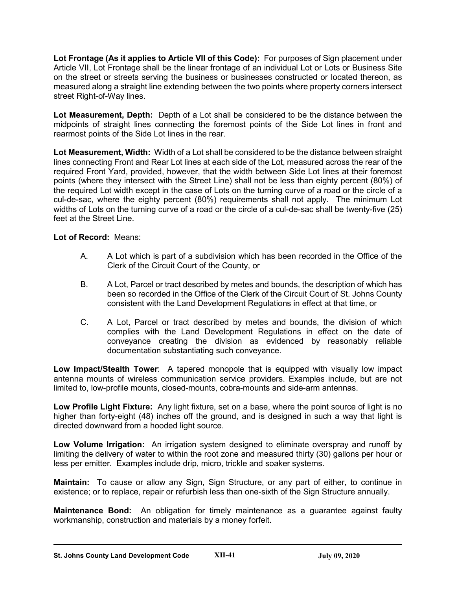**Lot Frontage (As it applies to Article VII of this Code):** For purposes of Sign placement under Article VII, Lot Frontage shall be the linear frontage of an individual Lot or Lots or Business Site on the street or streets serving the business or businesses constructed or located thereon, as measured along a straight line extending between the two points where property corners intersect street Right-of-Way lines.

**Lot Measurement, Depth:** Depth of a Lot shall be considered to be the distance between the midpoints of straight lines connecting the foremost points of the Side Lot lines in front and rearmost points of the Side Lot lines in the rear.

**Lot Measurement, Width:** Width of a Lot shall be considered to be the distance between straight lines connecting Front and Rear Lot lines at each side of the Lot, measured across the rear of the required Front Yard, provided, however, that the width between Side Lot lines at their foremost points (where they intersect with the Street Line) shall not be less than eighty percent (80%) of the required Lot width except in the case of Lots on the turning curve of a road or the circle of a cul-de-sac, where the eighty percent (80%) requirements shall not apply. The minimum Lot widths of Lots on the turning curve of a road or the circle of a cul-de-sac shall be twenty-five (25) feet at the Street Line.

# **Lot of Record:** Means:

- A. A Lot which is part of a subdivision which has been recorded in the Office of the Clerk of the Circuit Court of the County, or
- B. A Lot, Parcel or tract described by metes and bounds, the description of which has been so recorded in the Office of the Clerk of the Circuit Court of St. Johns County consistent with the Land Development Regulations in effect at that time, or
- C. A Lot, Parcel or tract described by metes and bounds, the division of which complies with the Land Development Regulations in effect on the date of conveyance creating the division as evidenced by reasonably reliable documentation substantiating such conveyance.

**Low Impact/Stealth Tower**: A tapered monopole that is equipped with visually low impact antenna mounts of wireless communication service providers. Examples include, but are not limited to, low-profile mounts, closed-mounts, cobra-mounts and side-arm antennas.

**Low Profile Light Fixture:** Any light fixture, set on a base, where the point source of light is no higher than forty-eight (48) inches off the ground, and is designed in such a way that light is directed downward from a hooded light source.

**Low Volume Irrigation:** An irrigation system designed to eliminate overspray and runoff by limiting the delivery of water to within the root zone and measured thirty (30) gallons per hour or less per emitter. Examples include drip, micro, trickle and soaker systems.

**Maintain:** To cause or allow any Sign, Sign Structure, or any part of either, to continue in existence; or to replace, repair or refurbish less than one-sixth of the Sign Structure annually.

**Maintenance Bond:** An obligation for timely maintenance as a guarantee against faulty workmanship, construction and materials by a money forfeit.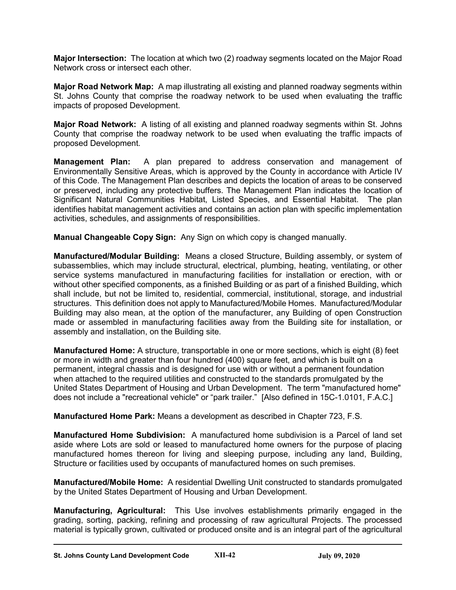**Major Intersection:** The location at which two (2) roadway segments located on the Major Road Network cross or intersect each other.

**Major Road Network Map:** A map illustrating all existing and planned roadway segments within St. Johns County that comprise the roadway network to be used when evaluating the traffic impacts of proposed Development.

**Major Road Network:** A listing of all existing and planned roadway segments within St. Johns County that comprise the roadway network to be used when evaluating the traffic impacts of proposed Development.

**Management Plan:** A plan prepared to address conservation and management of Environmentally Sensitive Areas, which is approved by the County in accordance with Article IV of this Code. The Management Plan describes and depicts the location of areas to be conserved or preserved, including any protective buffers. The Management Plan indicates the location of Significant Natural Communities Habitat, Listed Species, and Essential Habitat. The plan identifies habitat management activities and contains an action plan with specific implementation activities, schedules, and assignments of responsibilities.

**Manual Changeable Copy Sign:** Any Sign on which copy is changed manually.

**Manufactured/Modular Building:** Means a closed Structure, Building assembly, or system of subassemblies, which may include structural, electrical, plumbing, heating, ventilating, or other service systems manufactured in manufacturing facilities for installation or erection, with or without other specified components, as a finished Building or as part of a finished Building, which shall include, but not be limited to, residential, commercial, institutional, storage, and industrial structures. This definition does not apply to Manufactured/Mobile Homes. Manufactured/Modular Building may also mean, at the option of the manufacturer, any Building of open Construction made or assembled in manufacturing facilities away from the Building site for installation, or assembly and installation, on the Building site.

**Manufactured Home:** A structure, transportable in one or more sections, which is eight (8) feet or more in width and greater than four hundred (400) square feet, and which is built on a permanent, integral chassis and is designed for use with or without a permanent foundation when attached to the required utilities and constructed to the standards promulgated by the United States Department of Housing and Urban Development. The term "manufactured home" does not include a "recreational vehicle" or "park trailer." [Also defined in 15C-1.0101, F.A.C.]

**Manufactured Home Park:** Means a development as described in Chapter 723, F.S.

**Manufactured Home Subdivision:** A manufactured home subdivision is a Parcel of land set aside where Lots are sold or leased to manufactured home owners for the purpose of placing manufactured homes thereon for living and sleeping purpose, including any land, Building, Structure or facilities used by occupants of manufactured homes on such premises.

**Manufactured/Mobile Home:** A residential Dwelling Unit constructed to standards promulgated by the United States Department of Housing and Urban Development.

**Manufacturing, Agricultural:** This Use involves establishments primarily engaged in the grading, sorting, packing, refining and processing of raw agricultural Projects. The processed material is typically grown, cultivated or produced onsite and is an integral part of the agricultural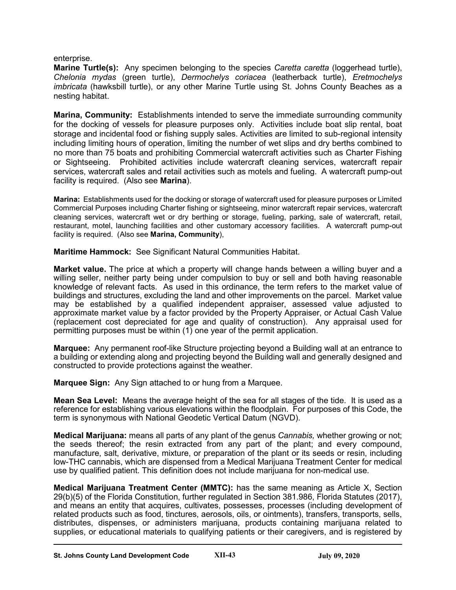enterprise.

**Marine Turtle(s):** Any specimen belonging to the species *Caretta caretta* (loggerhead turtle), *Chelonia mydas* (green turtle), *Dermochelys coriacea* (leatherback turtle), *Eretmochelys imbricata* (hawksbill turtle), or any other Marine Turtle using St. Johns County Beaches as a nesting habitat.

**Marina, Community:** Establishments intended to serve the immediate surrounding community for the docking of vessels for pleasure purposes only. Activities include boat slip rental, boat storage and incidental food or fishing supply sales. Activities are limited to sub-regional intensity including limiting hours of operation, limiting the number of wet slips and dry berths combined to no more than 75 boats and prohibiting Commercial watercraft activities such as Charter Fishing or Sightseeing. Prohibited activities include watercraft cleaning services, watercraft repair services, watercraft sales and retail activities such as motels and fueling. A watercraft pump-out facility is required. (Also see **Marina**).

**Marina:** Establishments used for the docking or storage of watercraft used for pleasure purposes or Limited Commercial Purposes including Charter fishing or sightseeing, minor watercraft repair services, watercraft cleaning services, watercraft wet or dry berthing or storage, fueling, parking, sale of watercraft, retail, restaurant, motel, launching facilities and other customary accessory facilities. A watercraft pump-out facility is required. (Also see **Marina, Community**),

**Maritime Hammock:** See Significant Natural Communities Habitat.

**Market value.** The price at which a property will change hands between a willing buyer and a willing seller, neither party being under compulsion to buy or sell and both having reasonable knowledge of relevant facts. As used in this ordinance, the term refers to the market value of buildings and structures, excluding the land and other improvements on the parcel. Market value may be established by a qualified independent appraiser, assessed value adjusted to approximate market value by a factor provided by the Property Appraiser, or Actual Cash Value (replacement cost depreciated for age and quality of construction). Any appraisal used for permitting purposes must be within (1) one year of the permit application.

**Marquee:** Any permanent roof-like Structure projecting beyond a Building wall at an entrance to a building or extending along and projecting beyond the Building wall and generally designed and constructed to provide protections against the weather.

**Marquee Sign:** Any Sign attached to or hung from a Marquee.

**Mean Sea Level:** Means the average height of the sea for all stages of the tide. It is used as a reference for establishing various elevations within the floodplain. For purposes of this Code, the term is synonymous with National Geodetic Vertical Datum (NGVD).

**Medical Marijuana:** means all parts of any plant of the genus *Cannabis,* whether growing or not; the seeds thereof; the resin extracted from any part of the plant; and every compound, manufacture, salt, derivative, mixture, or preparation of the plant or its seeds or resin, including low-THC cannabis, which are dispensed from a Medical Marijuana Treatment Center for medical use by qualified patient. This definition does not include marijuana for non-medical use.

**Medical Marijuana Treatment Center (MMTC):** has the same meaning as Article X, Section 29(b)(5) of the Florida Constitution, further regulated in Section 381.986, Florida Statutes (2017), and means an entity that acquires, cultivates, possesses, processes (including development of related products such as food, tinctures, aerosols, oils, or ointments), transfers, transports, sells, distributes, dispenses, or administers marijuana, products containing marijuana related to supplies, or educational materials to qualifying patients or their caregivers, and is registered by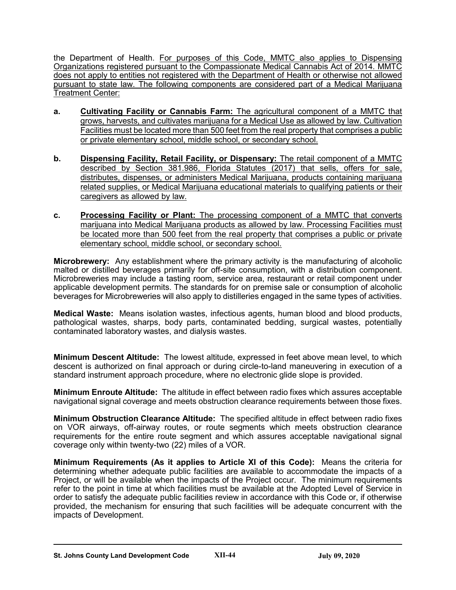the Department of Health. For purposes of this Code, MMTC also applies to Dispensing Organizations registered pursuant to the Compassionate Medical Cannabis Act of 2014. MMTC does not apply to entities not registered with the Department of Health or otherwise not allowed pursuant to state law. The following components are considered part of a Medical Marijuana Treatment Center:

- **a. Cultivating Facility or Cannabis Farm:** The agricultural component of a MMTC that grows, harvests, and cultivates marijuana for a Medical Use as allowed by law. Cultivation Facilities must be located more than 500 feet from the real property that comprises a public or private elementary school, middle school, or secondary school.
- **b. Dispensing Facility, Retail Facility, or Dispensary:** The retail component of a MMTC described by Section 381.986, Florida Statutes (2017) that sells, offers for sale, distributes, dispenses, or administers Medical Marijuana, products containing marijuana related supplies, or Medical Marijuana educational materials to qualifying patients or their caregivers as allowed by law.
- **c. Processing Facility or Plant:** The processing component of a MMTC that converts marijuana into Medical Marijuana products as allowed by law. Processing Facilities must be located more than 500 feet from the real property that comprises a public or private elementary school, middle school, or secondary school.

**Microbrewery:** Any establishment where the primary activity is the manufacturing of alcoholic malted or distilled beverages primarily for off-site consumption, with a distribution component. Microbreweries may include a tasting room, service area, restaurant or retail component under applicable development permits. The standards for on premise sale or consumption of alcoholic beverages for Microbreweries will also apply to distilleries engaged in the same types of activities.

**Medical Waste:** Means isolation wastes, infectious agents, human blood and blood products, pathological wastes, sharps, body parts, contaminated bedding, surgical wastes, potentially contaminated laboratory wastes, and dialysis wastes.

**Minimum Descent Altitude:** The lowest altitude, expressed in feet above mean level, to which descent is authorized on final approach or during circle-to-land maneuvering in execution of a standard instrument approach procedure, where no electronic glide slope is provided.

**Minimum Enroute Altitude:** The altitude in effect between radio fixes which assures acceptable navigational signal coverage and meets obstruction clearance requirements between those fixes.

**Minimum Obstruction Clearance Altitude:** The specified altitude in effect between radio fixes on VOR airways, off-airway routes, or route segments which meets obstruction clearance requirements for the entire route segment and which assures acceptable navigational signal coverage only within twenty-two (22) miles of a VOR.

**Minimum Requirements (As it applies to Article XI of this Code):** Means the criteria for determining whether adequate public facilities are available to accommodate the impacts of a Project, or will be available when the impacts of the Project occur. The minimum requirements refer to the point in time at which facilities must be available at the Adopted Level of Service in order to satisfy the adequate public facilities review in accordance with this Code or, if otherwise provided, the mechanism for ensuring that such facilities will be adequate concurrent with the impacts of Development.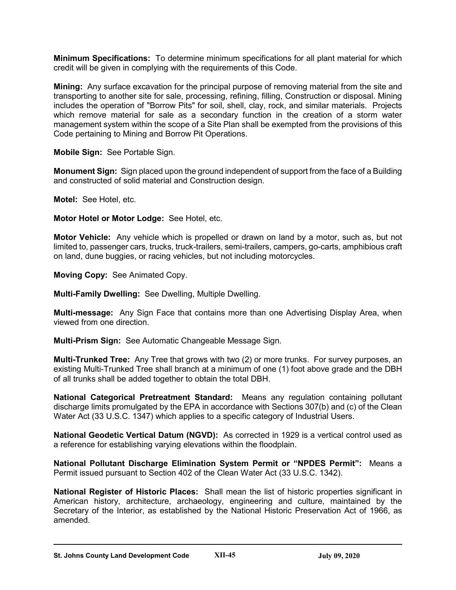**Minimum Specifications:** To determine minimum specifications for all plant material for which credit will be given in complying with the requirements of this Code.

**Mining:** Any surface excavation for the principal purpose of removing material from the site and transporting to another site for sale, processing, refining, filling, Construction or disposal. Mining includes the operation of "Borrow Pits" for soil, shell, clay, rock, and similar materials. Projects which remove material for sale as a secondary function in the creation of a storm water management system within the scope of a Site Plan shall be exempted from the provisions of this Code pertaining to Mining and Borrow Pit Operations.

**Mobile Sign:** See Portable Sign.

**Monument Sign:** Sign placed upon the ground independent of support from the face of a Building and constructed of solid material and Construction design.

**Motel:** See Hotel, etc.

#### **Motor Hotel or Motor Lodge:** See Hotel, etc.

**Motor Vehicle:** Any vehicle which is propelled or drawn on land by a motor, such as, but not limited to, passenger cars, trucks, truck-trailers, semi-trailers, campers, go-carts, amphibious craft on land, dune buggies, or racing vehicles, but not including motorcycles.

**Moving Copy:** See Animated Copy.

**Multi-Family Dwelling:** See Dwelling, Multiple Dwelling.

**Multi-message:** Any Sign Face that contains more than one Advertising Display Area, when viewed from one direction.

**Multi-Prism Sign:** See Automatic Changeable Message Sign.

**Multi-Trunked Tree:** Any Tree that grows with two (2) or more trunks. For survey purposes, an existing Multi-Trunked Tree shall branch at a minimum of one (1) foot above grade and the DBH of all trunks shall be added together to obtain the total DBH.

**National Categorical Pretreatment Standard:** Means any regulation containing pollutant discharge limits promulgated by the EPA in accordance with Sections 307(b) and (c) of the Clean Water Act (33 U.S.C. 1347) which applies to a specific category of Industrial Users.

**National Geodetic Vertical Datum (NGVD):** As corrected in 1929 is a vertical control used as a reference for establishing varying elevations within the floodplain.

**National Pollutant Discharge Elimination System Permit or "NPDES Permit":** Means a Permit issued pursuant to Section 402 of the Clean Water Act (33 U.S.C. 1342).

**National Register of Historic Places:** Shall mean the list of historic properties significant in American history, architecture, archaeology, engineering and culture, maintained by the Secretary of the Interior, as established by the National Historic Preservation Act of 1966, as amended.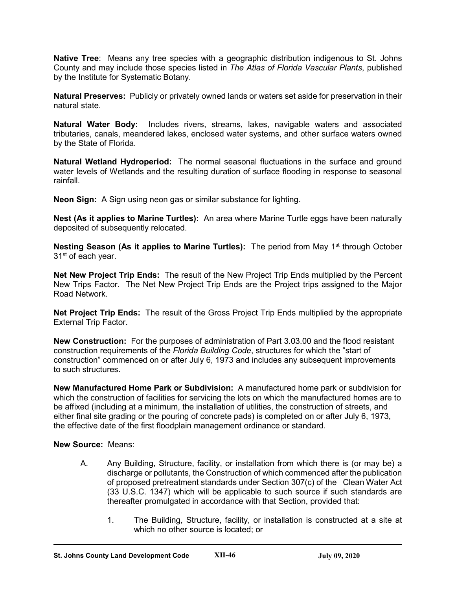**Native Tree**: Means any tree species with a geographic distribution indigenous to St. Johns County and may include those species listed in *The Atlas of Florida Vascular Plants*, published by the Institute for Systematic Botany.

**Natural Preserves:** Publicly or privately owned lands or waters set aside for preservation in their natural state.

**Natural Water Body:** Includes rivers, streams, lakes, navigable waters and associated tributaries, canals, meandered lakes, enclosed water systems, and other surface waters owned by the State of Florida.

**Natural Wetland Hydroperiod:** The normal seasonal fluctuations in the surface and ground water levels of Wetlands and the resulting duration of surface flooding in response to seasonal rainfall.

**Neon Sign:** A Sign using neon gas or similar substance for lighting.

**Nest (As it applies to Marine Turtles):** An area where Marine Turtle eggs have been naturally deposited of subsequently relocated.

**Nesting Season (As it applies to Marine Turtles):** The period from May 1<sup>st</sup> through October 31<sup>st</sup> of each year.

**Net New Project Trip Ends:** The result of the New Project Trip Ends multiplied by the Percent New Trips Factor. The Net New Project Trip Ends are the Project trips assigned to the Major Road Network.

**Net Project Trip Ends:** The result of the Gross Project Trip Ends multiplied by the appropriate External Trip Factor.

**New Construction:** For the purposes of administration of Part 3.03.00 and the flood resistant construction requirements of the *Florida Building Code*, structures for which the "start of construction" commenced on or after July 6, 1973 and includes any subsequent improvements to such structures.

**New Manufactured Home Park or Subdivision:** A manufactured home park or subdivision for which the construction of facilities for servicing the lots on which the manufactured homes are to be affixed (including at a minimum, the installation of utilities, the construction of streets, and either final site grading or the pouring of concrete pads) is completed on or after July 6, 1973, the effective date of the first floodplain management ordinance or standard.

**New Source:** Means:

- A. Any Building, Structure, facility, or installation from which there is (or may be) a discharge or pollutants, the Construction of which commenced after the publication of proposed pretreatment standards under Section 307(c) of the Clean Water Act (33 U.S.C. 1347) which will be applicable to such source if such standards are thereafter promulgated in accordance with that Section, provided that:
	- 1. The Building, Structure, facility, or installation is constructed at a site at which no other source is located; or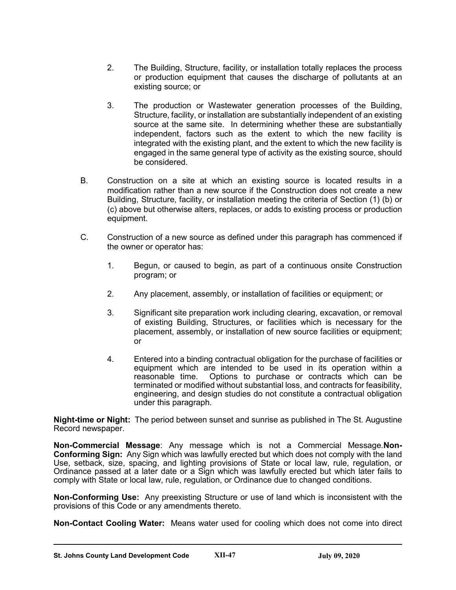- 2. The Building, Structure, facility, or installation totally replaces the process or production equipment that causes the discharge of pollutants at an existing source; or
- 3. The production or Wastewater generation processes of the Building, Structure, facility, or installation are substantially independent of an existing source at the same site. In determining whether these are substantially independent, factors such as the extent to which the new facility is integrated with the existing plant, and the extent to which the new facility is engaged in the same general type of activity as the existing source, should be considered.
- B. Construction on a site at which an existing source is located results in a modification rather than a new source if the Construction does not create a new Building, Structure, facility, or installation meeting the criteria of Section (1) (b) or (c) above but otherwise alters, replaces, or adds to existing process or production equipment.
- C. Construction of a new source as defined under this paragraph has commenced if the owner or operator has:
	- 1. Begun, or caused to begin, as part of a continuous onsite Construction program; or
	- 2. Any placement, assembly, or installation of facilities or equipment; or
	- 3. Significant site preparation work including clearing, excavation, or removal of existing Building, Structures, or facilities which is necessary for the placement, assembly, or installation of new source facilities or equipment; or
	- 4. Entered into a binding contractual obligation for the purchase of facilities or equipment which are intended to be used in its operation within a reasonable time. Options to purchase or contracts which can be Options to purchase or contracts which can be terminated or modified without substantial loss, and contracts for feasibility, engineering, and design studies do not constitute a contractual obligation under this paragraph.

**Night-time or Night:** The period between sunset and sunrise as published in The St. Augustine Record newspaper.

**Non-Commercial Message**: Any message which is not a Commercial Message.**Non-Conforming Sign:** Any Sign which was lawfully erected but which does not comply with the land Use, setback, size, spacing, and lighting provisions of State or local law, rule, regulation, or Ordinance passed at a later date or a Sign which was lawfully erected but which later fails to comply with State or local law, rule, regulation, or Ordinance due to changed conditions.

**Non-Conforming Use:** Any preexisting Structure or use of land which is inconsistent with the provisions of this Code or any amendments thereto.

**Non-Contact Cooling Water:** Means water used for cooling which does not come into direct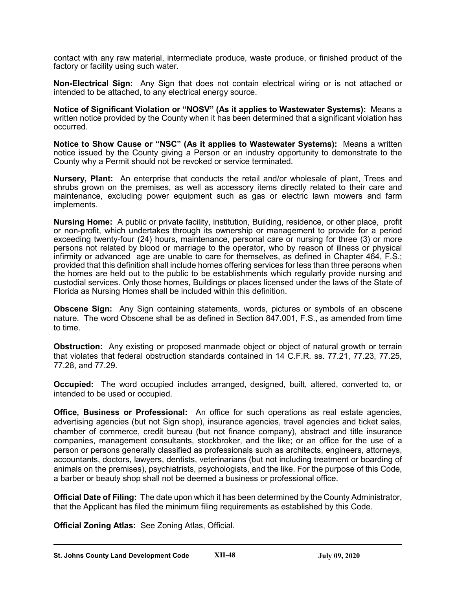contact with any raw material, intermediate produce, waste produce, or finished product of the factory or facility using such water.

**Non-Electrical Sign:** Any Sign that does not contain electrical wiring or is not attached or intended to be attached, to any electrical energy source.

**Notice of Significant Violation or "NOSV" (As it applies to Wastewater Systems):** Means a written notice provided by the County when it has been determined that a significant violation has occurred.

**Notice to Show Cause or "NSC" (As it applies to Wastewater Systems):** Means a written notice issued by the County giving a Person or an industry opportunity to demonstrate to the County why a Permit should not be revoked or service terminated.

**Nursery, Plant:** An enterprise that conducts the retail and/or wholesale of plant, Trees and shrubs grown on the premises, as well as accessory items directly related to their care and maintenance, excluding power equipment such as gas or electric lawn mowers and farm implements.

**Nursing Home:** A public or private facility, institution, Building, residence, or other place, profit or non-profit, which undertakes through its ownership or management to provide for a period exceeding twenty-four (24) hours, maintenance, personal care or nursing for three (3) or more persons not related by blood or marriage to the operator, who by reason of illness or physical infirmity or advanced age are unable to care for themselves, as defined in Chapter 464, F.S.; provided that this definition shall include homes offering services for less than three persons when the homes are held out to the public to be establishments which regularly provide nursing and custodial services. Only those homes, Buildings or places licensed under the laws of the State of Florida as Nursing Homes shall be included within this definition.

**Obscene Sign:** Any Sign containing statements, words, pictures or symbols of an obscene nature. The word Obscene shall be as defined in Section 847.001, F.S., as amended from time to time.

**Obstruction:** Any existing or proposed manmade object or object of natural growth or terrain that violates that federal obstruction standards contained in 14 C.F.R. ss. 77.21, 77.23, 77.25, 77.28, and 77.29.

**Occupied:** The word occupied includes arranged, designed, built, altered, converted to, or intended to be used or occupied.

**Office, Business or Professional:** An office for such operations as real estate agencies, advertising agencies (but not Sign shop), insurance agencies, travel agencies and ticket sales, chamber of commerce, credit bureau (but not finance company), abstract and title insurance companies, management consultants, stockbroker, and the like; or an office for the use of a person or persons generally classified as professionals such as architects, engineers, attorneys, accountants, doctors, lawyers, dentists, veterinarians (but not including treatment or boarding of animals on the premises), psychiatrists, psychologists, and the like. For the purpose of this Code, a barber or beauty shop shall not be deemed a business or professional office.

**Official Date of Filing:** The date upon which it has been determined by the County Administrator, that the Applicant has filed the minimum filing requirements as established by this Code.

**Official Zoning Atlas:** See Zoning Atlas, Official.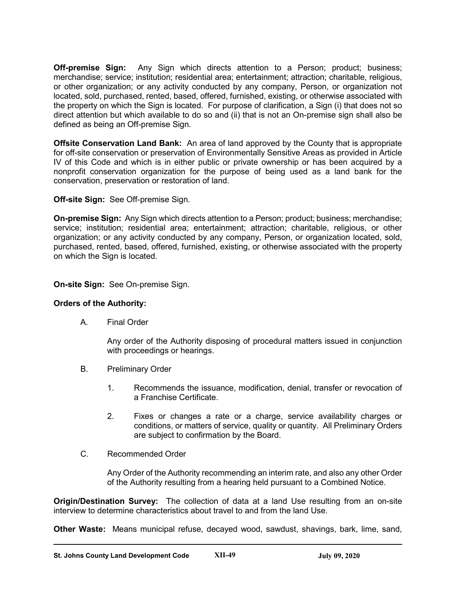**Off-premise Sign:** Any Sign which directs attention to a Person; product; business; merchandise; service; institution; residential area; entertainment; attraction; charitable, religious, or other organization; or any activity conducted by any company, Person, or organization not located, sold, purchased, rented, based, offered, furnished, existing, or otherwise associated with the property on which the Sign is located. For purpose of clarification, a Sign (i) that does not so direct attention but which available to do so and (ii) that is not an On-premise sign shall also be defined as being an Off-premise Sign.

**Offsite Conservation Land Bank:** An area of land approved by the County that is appropriate for off-site conservation or preservation of Environmentally Sensitive Areas as provided in Article IV of this Code and which is in either public or private ownership or has been acquired by a nonprofit conservation organization for the purpose of being used as a land bank for the conservation, preservation or restoration of land.

**Off-site Sign:** See Off-premise Sign.

**On-premise Sign:** Any Sign which directs attention to a Person; product; business; merchandise; service; institution; residential area; entertainment; attraction; charitable, religious, or other organization; or any activity conducted by any company, Person, or organization located, sold, purchased, rented, based, offered, furnished, existing, or otherwise associated with the property on which the Sign is located.

**On-site Sign:** See On-premise Sign.

### **Orders of the Authority:**

A. Final Order

Any order of the Authority disposing of procedural matters issued in conjunction with proceedings or hearings.

- B. Preliminary Order
	- 1. Recommends the issuance, modification, denial, transfer or revocation of a Franchise Certificate.
	- 2. Fixes or changes a rate or a charge, service availability charges or conditions, or matters of service, quality or quantity. All Preliminary Orders are subject to confirmation by the Board.
- C. Recommended Order

Any Order of the Authority recommending an interim rate, and also any other Order of the Authority resulting from a hearing held pursuant to a Combined Notice.

**Origin/Destination Survey:** The collection of data at a land Use resulting from an on-site interview to determine characteristics about travel to and from the land Use.

**Other Waste:** Means municipal refuse, decayed wood, sawdust, shavings, bark, lime, sand,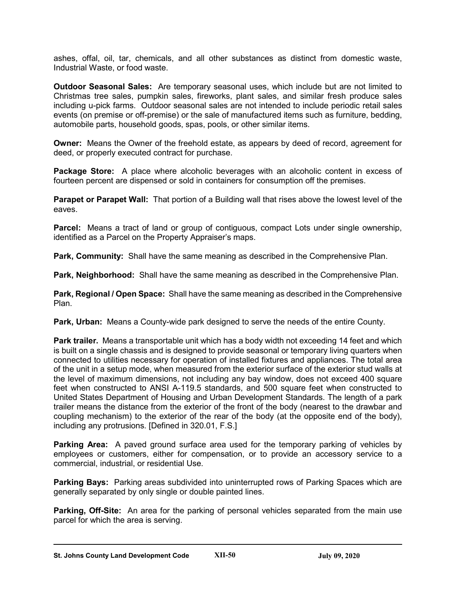ashes, offal, oil, tar, chemicals, and all other substances as distinct from domestic waste, Industrial Waste, or food waste.

**Outdoor Seasonal Sales:** Are temporary seasonal uses, which include but are not limited to Christmas tree sales, pumpkin sales, fireworks, plant sales, and similar fresh produce sales including u-pick farms. Outdoor seasonal sales are not intended to include periodic retail sales events (on premise or off-premise) or the sale of manufactured items such as furniture, bedding, automobile parts, household goods, spas, pools, or other similar items.

**Owner:** Means the Owner of the freehold estate, as appears by deed of record, agreement for deed, or properly executed contract for purchase.

**Package Store:** A place where alcoholic beverages with an alcoholic content in excess of fourteen percent are dispensed or sold in containers for consumption off the premises.

**Parapet or Parapet Wall:** That portion of a Building wall that rises above the lowest level of the eaves.

**Parcel:** Means a tract of land or group of contiguous, compact Lots under single ownership, identified as a Parcel on the Property Appraiser's maps.

**Park, Community:** Shall have the same meaning as described in the Comprehensive Plan.

**Park, Neighborhood:** Shall have the same meaning as described in the Comprehensive Plan.

**Park, Regional / Open Space:** Shall have the same meaning as described in the Comprehensive Plan.

**Park, Urban:** Means a County-wide park designed to serve the needs of the entire County.

**Park trailer.** Means a transportable unit which has a body width not exceeding 14 feet and which is built on a single chassis and is designed to provide seasonal or temporary living quarters when connected to utilities necessary for operation of installed fixtures and appliances. The total area of the unit in a setup mode, when measured from the exterior surface of the exterior stud walls at the level of maximum dimensions, not including any bay window, does not exceed 400 square feet when constructed to ANSI A-119.5 standards, and 500 square feet when constructed to United States Department of Housing and Urban Development Standards. The length of a park trailer means the distance from the exterior of the front of the body (nearest to the drawbar and coupling mechanism) to the exterior of the rear of the body (at the opposite end of the body), including any protrusions. [Defined in 320.01, F.S.]

**Parking Area:** A paved ground surface area used for the temporary parking of vehicles by employees or customers, either for compensation, or to provide an accessory service to a commercial, industrial, or residential Use.

**Parking Bays:** Parking areas subdivided into uninterrupted rows of Parking Spaces which are generally separated by only single or double painted lines.

**Parking, Off-Site:** An area for the parking of personal vehicles separated from the main use parcel for which the area is serving.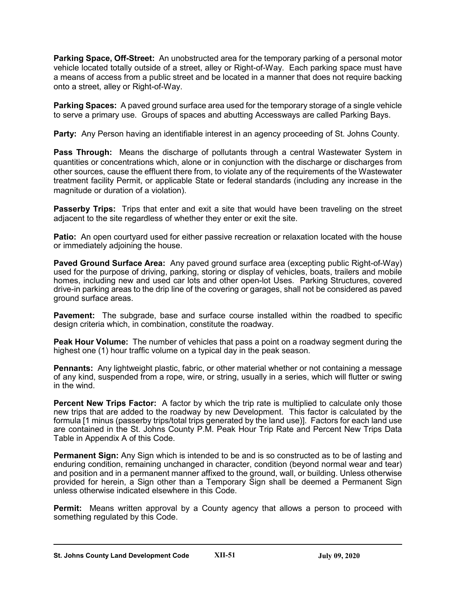**Parking Space, Off-Street:** An unobstructed area for the temporary parking of a personal motor vehicle located totally outside of a street, alley or Right-of-Way. Each parking space must have a means of access from a public street and be located in a manner that does not require backing onto a street, alley or Right-of-Way.

**Parking Spaces:** A paved ground surface area used for the temporary storage of a single vehicle to serve a primary use. Groups of spaces and abutting Accessways are called Parking Bays.

**Party:** Any Person having an identifiable interest in an agency proceeding of St. Johns County.

**Pass Through:** Means the discharge of pollutants through a central Wastewater System in quantities or concentrations which, alone or in conjunction with the discharge or discharges from other sources, cause the effluent there from, to violate any of the requirements of the Wastewater treatment facility Permit, or applicable State or federal standards (including any increase in the magnitude or duration of a violation).

**Passerby Trips:** Trips that enter and exit a site that would have been traveling on the street adjacent to the site regardless of whether they enter or exit the site.

**Patio:** An open courtyard used for either passive recreation or relaxation located with the house or immediately adjoining the house.

**Paved Ground Surface Area:** Any paved ground surface area (excepting public Right-of-Way) used for the purpose of driving, parking, storing or display of vehicles, boats, trailers and mobile homes, including new and used car lots and other open-lot Uses. Parking Structures, covered drive-in parking areas to the drip line of the covering or garages, shall not be considered as paved ground surface areas.

**Pavement:** The subgrade, base and surface course installed within the roadbed to specific design criteria which, in combination, constitute the roadway.

**Peak Hour Volume:** The number of vehicles that pass a point on a roadway segment during the highest one (1) hour traffic volume on a typical day in the peak season.

**Pennants:** Any lightweight plastic, fabric, or other material whether or not containing a message of any kind, suspended from a rope, wire, or string, usually in a series, which will flutter or swing in the wind.

**Percent New Trips Factor:** A factor by which the trip rate is multiplied to calculate only those new trips that are added to the roadway by new Development. This factor is calculated by the formula [1 minus (passerby trips/total trips generated by the land use)]. Factors for each land use are contained in the St. Johns County P.M. Peak Hour Trip Rate and Percent New Trips Data Table in Appendix A of this Code.

**Permanent Sign:** Any Sign which is intended to be and is so constructed as to be of lasting and enduring condition, remaining unchanged in character, condition (beyond normal wear and tear) and position and in a permanent manner affixed to the ground, wall, or building. Unless otherwise provided for herein, a Sign other than a Temporary Sign shall be deemed a Permanent Sign unless otherwise indicated elsewhere in this Code.

**Permit:** Means written approval by a County agency that allows a person to proceed with something regulated by this Code.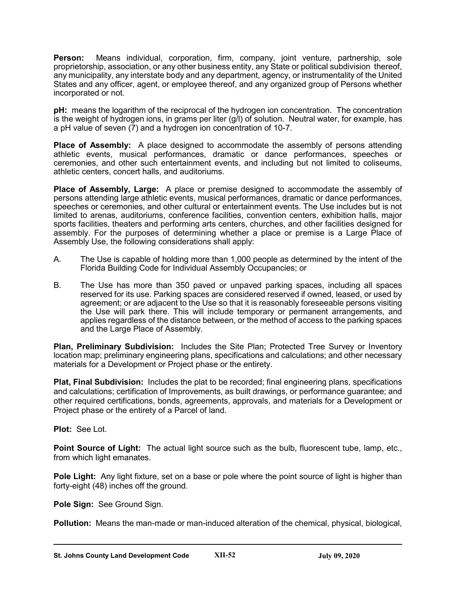**Person:** Means individual, corporation, firm, company, joint venture, partnership, sole proprietorship, association, or any other business entity, any State or political subdivision thereof, any municipality, any interstate body and any department, agency, or instrumentality of the United States and any officer, agent, or employee thereof, and any organized group of Persons whether incorporated or not.

**pH:** means the logarithm of the reciprocal of the hydrogen ion concentration. The concentration is the weight of hydrogen ions, in grams per liter (g/l) of solution. Neutral water, for example, has a pH value of seven (7) and a hydrogen ion concentration of 10-7.

**Place of Assembly:** A place designed to accommodate the assembly of persons attending athletic events, musical performances, dramatic or dance performances, speeches or ceremonies, and other such entertainment events, and including but not limited to coliseums, athletic centers, concert halls, and auditoriums.

**Place of Assembly, Large:** A place or premise designed to accommodate the assembly of persons attending large athletic events, musical performances, dramatic or dance performances, speeches or ceremonies, and other cultural or entertainment events. The Use includes but is not limited to arenas, auditoriums, conference facilities, convention centers, exhibition halls, major sports facilities, theaters and performing arts centers, churches, and other facilities designed for assembly. For the purposes of determining whether a place or premise is a Large Place of Assembly Use, the following considerations shall apply:

- A. The Use is capable of holding more than 1,000 people as determined by the intent of the Florida Building Code for Individual Assembly Occupancies; or
- B. The Use has more than 350 paved or unpaved parking spaces, including all spaces reserved for its use. Parking spaces are considered reserved if owned, leased, or used by agreement; or are adjacent to the Use so that it is reasonably foreseeable persons visiting the Use will park there. This will include temporary or permanent arrangements, and applies regardless of the distance between, or the method of access to the parking spaces and the Large Place of Assembly.

**Plan, Preliminary Subdivision:** Includes the Site Plan; Protected Tree Survey or Inventory location map; preliminary engineering plans, specifications and calculations; and other necessary materials for a Development or Project phase or the entirety.

**Plat, Final Subdivision:** Includes the plat to be recorded; final engineering plans, specifications and calculations; certification of Improvements, as built drawings, or performance guarantee; and other required certifications, bonds, agreements, approvals, and materials for a Development or Project phase or the entirety of a Parcel of land.

**Plot:** See Lot.

**Point Source of Light:** The actual light source such as the bulb, fluorescent tube, lamp, etc., from which light emanates.

**Pole Light:** Any light fixture, set on a base or pole where the point source of light is higher than forty-eight (48) inches off the ground.

**Pole Sign:** See Ground Sign.

**Pollution:** Means the man-made or man-induced alteration of the chemical, physical, biological,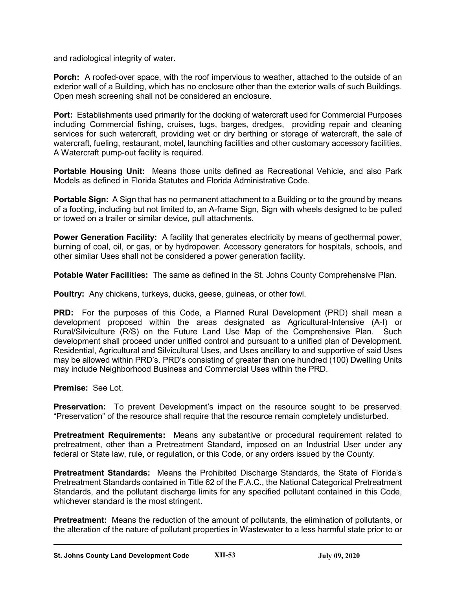and radiological integrity of water.

**Porch:** A roofed-over space, with the roof impervious to weather, attached to the outside of an exterior wall of a Building, which has no enclosure other than the exterior walls of such Buildings. Open mesh screening shall not be considered an enclosure.

**Port:** Establishments used primarily for the docking of watercraft used for Commercial Purposes including Commercial fishing, cruises, tugs, barges, dredges, providing repair and cleaning services for such watercraft, providing wet or dry berthing or storage of watercraft, the sale of watercraft, fueling, restaurant, motel, launching facilities and other customary accessory facilities. A Watercraft pump-out facility is required.

**Portable Housing Unit:** Means those units defined as Recreational Vehicle, and also Park Models as defined in Florida Statutes and Florida Administrative Code.

**Portable Sign:** A Sign that has no permanent attachment to a Building or to the ground by means of a footing, including but not limited to, an A-frame Sign, Sign with wheels designed to be pulled or towed on a trailer or similar device, pull attachments.

**Power Generation Facility:** A facility that generates electricity by means of geothermal power, burning of coal, oil, or gas, or by hydropower. Accessory generators for hospitals, schools, and other similar Uses shall not be considered a power generation facility.

**Potable Water Facilities:** The same as defined in the St. Johns County Comprehensive Plan.

**Poultry:** Any chickens, turkeys, ducks, geese, guineas, or other fowl.

**PRD:** For the purposes of this Code, a Planned Rural Development (PRD) shall mean a development proposed within the areas designated as Agricultural-Intensive (A-I) or Rural/Silviculture (R/S) on the Future Land Use Map of the Comprehensive Plan. Such development shall proceed under unified control and pursuant to a unified plan of Development. Residential, Agricultural and Silvicultural Uses, and Uses ancillary to and supportive of said Uses may be allowed within PRD's. PRD's consisting of greater than one hundred (100) Dwelling Units may include Neighborhood Business and Commercial Uses within the PRD.

### **Premise:** See Lot.

**Preservation:** To prevent Development's impact on the resource sought to be preserved. "Preservation" of the resource shall require that the resource remain completely undisturbed.

**Pretreatment Requirements:** Means any substantive or procedural requirement related to pretreatment, other than a Pretreatment Standard, imposed on an Industrial User under any federal or State law, rule, or regulation, or this Code, or any orders issued by the County.

**Pretreatment Standards:** Means the Prohibited Discharge Standards, the State of Florida's Pretreatment Standards contained in Title 62 of the F.A.C., the National Categorical Pretreatment Standards, and the pollutant discharge limits for any specified pollutant contained in this Code, whichever standard is the most stringent.

**Pretreatment:** Means the reduction of the amount of pollutants, the elimination of pollutants, or the alteration of the nature of pollutant properties in Wastewater to a less harmful state prior to or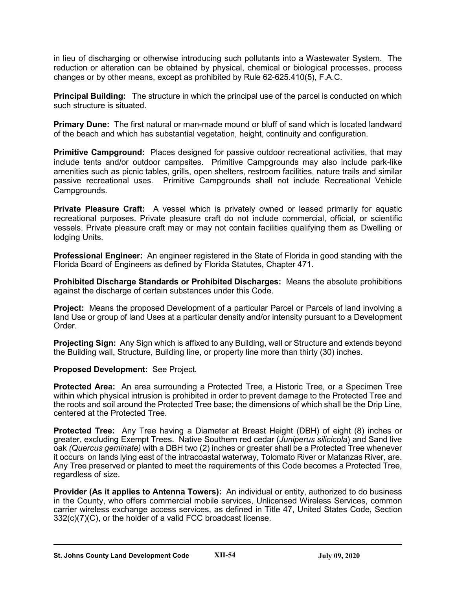in lieu of discharging or otherwise introducing such pollutants into a Wastewater System. The reduction or alteration can be obtained by physical, chemical or biological processes, process changes or by other means, except as prohibited by Rule 62-625.410(5), F.A.C.

**Principal Building:** The structure in which the principal use of the parcel is conducted on which such structure is situated.

**Primary Dune:** The first natural or man-made mound or bluff of sand which is located landward of the beach and which has substantial vegetation, height, continuity and configuration.

**Primitive Campground:** Places designed for passive outdoor recreational activities, that may include tents and/or outdoor campsites. Primitive Campgrounds may also include park-like amenities such as picnic tables, grills, open shelters, restroom facilities, nature trails and similar passive recreational uses. Primitive Campgrounds shall not include Recreational Vehicle Campgrounds.

**Private Pleasure Craft:** A vessel which is privately owned or leased primarily for aquatic recreational purposes. Private pleasure craft do not include commercial, official, or scientific vessels. Private pleasure craft may or may not contain facilities qualifying them as Dwelling or lodging Units.

**Professional Engineer:** An engineer registered in the State of Florida in good standing with the Florida Board of Engineers as defined by Florida Statutes, Chapter 471.

**Prohibited Discharge Standards or Prohibited Discharges:** Means the absolute prohibitions against the discharge of certain substances under this Code.

**Project:** Means the proposed Development of a particular Parcel or Parcels of land involving a land Use or group of land Uses at a particular density and/or intensity pursuant to a Development Order.

**Projecting Sign:** Any Sign which is affixed to any Building, wall or Structure and extends beyond the Building wall, Structure, Building line, or property line more than thirty (30) inches.

**Proposed Development:** See Project.

**Protected Area:** An area surrounding a Protected Tree, a Historic Tree, or a Specimen Tree within which physical intrusion is prohibited in order to prevent damage to the Protected Tree and the roots and soil around the Protected Tree base; the dimensions of which shall be the Drip Line, centered at the Protected Tree.

**Protected Tree:** Any Tree having a Diameter at Breast Height (DBH) of eight (8) inches or greater, excluding Exempt Trees. Native Southern red cedar (*Juniperus silicicola*) and Sand live oak *(Quercus geminate)* with a DBH two (2) inches or greater shall be a Protected Tree whenever it occurs on lands lying east of the intracoastal waterway, Tolomato River or Matanzas River, are. Any Tree preserved or planted to meet the requirements of this Code becomes a Protected Tree, regardless of size.

**Provider (As it applies to Antenna Towers):** An individual or entity, authorized to do business in the County, who offers commercial mobile services, Unlicensed Wireless Services, common carrier wireless exchange access services, as defined in Title 47, United States Code, Section 332(c)(7)(C), or the holder of a valid FCC broadcast license.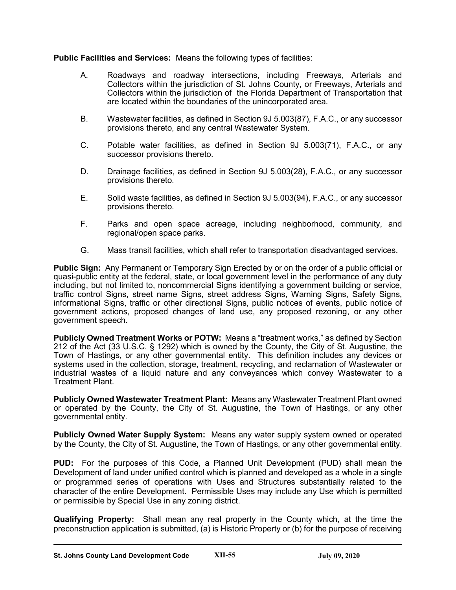# **Public Facilities and Services:** Means the following types of facilities:

- A. Roadways and roadway intersections, including Freeways, Arterials and Collectors within the jurisdiction of St. Johns County, or Freeways, Arterials and Collectors within the jurisdiction of the Florida Department of Transportation that are located within the boundaries of the unincorporated area.
- B. Wastewater facilities, as defined in Section 9J 5.003(87), F.A.C., or any successor provisions thereto, and any central Wastewater System.
- C. Potable water facilities, as defined in Section 9J 5.003(71), F.A.C., or any successor provisions thereto.
- D. Drainage facilities, as defined in Section 9J 5.003(28), F.A.C., or any successor provisions thereto.
- E. Solid waste facilities, as defined in Section 9J 5.003(94), F.A.C., or any successor provisions thereto.
- F. Parks and open space acreage, including neighborhood, community, and regional/open space parks.
- G. Mass transit facilities, which shall refer to transportation disadvantaged services.

**Public Sign:** Any Permanent or Temporary Sign Erected by or on the order of a public official or quasi-public entity at the federal, state, or local government level in the performance of any duty including, but not limited to, noncommercial Signs identifying a government building or service, traffic control Signs, street name Signs, street address Signs, Warning Signs, Safety Signs, informational Signs, traffic or other directional Signs, public notices of events, public notice of government actions, proposed changes of land use, any proposed rezoning, or any other government speech.

**Publicly Owned Treatment Works or POTW:** Means a "treatment works," as defined by Section 212 of the Act (33 U.S.C. § 1292) which is owned by the County, the City of St. Augustine, the Town of Hastings, or any other governmental entity. This definition includes any devices or systems used in the collection, storage, treatment, recycling, and reclamation of Wastewater or industrial wastes of a liquid nature and any conveyances which convey Wastewater to a Treatment Plant.

**Publicly Owned Wastewater Treatment Plant:** Means any Wastewater Treatment Plant owned or operated by the County, the City of St. Augustine, the Town of Hastings, or any other governmental entity.

**Publicly Owned Water Supply System:** Means any water supply system owned or operated by the County, the City of St. Augustine, the Town of Hastings, or any other governmental entity.

**PUD:** For the purposes of this Code, a Planned Unit Development (PUD) shall mean the Development of land under unified control which is planned and developed as a whole in a single or programmed series of operations with Uses and Structures substantially related to the character of the entire Development. Permissible Uses may include any Use which is permitted or permissible by Special Use in any zoning district.

**Qualifying Property:** Shall mean any real property in the County which, at the time the preconstruction application is submitted, (a) is Historic Property or (b) for the purpose of receiving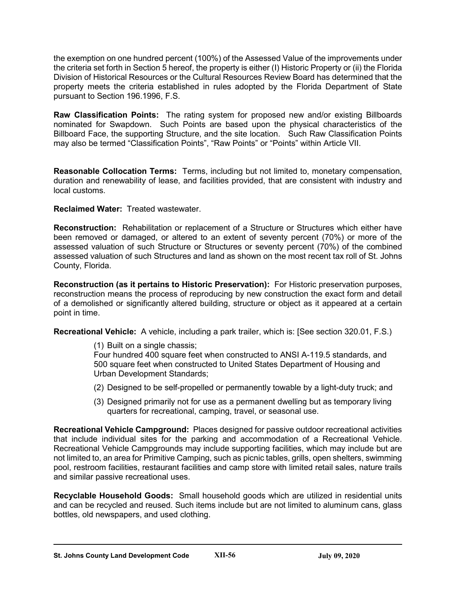the exemption on one hundred percent (100%) of the Assessed Value of the improvements under the criteria set forth in Section 5 hereof, the property is either (I) Historic Property or (ii) the Florida Division of Historical Resources or the Cultural Resources Review Board has determined that the property meets the criteria established in rules adopted by the Florida Department of State pursuant to Section 196.1996, F.S.

**Raw Classification Points:** The rating system for proposed new and/or existing Billboards nominated for Swapdown. Such Points are based upon the physical characteristics of the Billboard Face, the supporting Structure, and the site location. Such Raw Classification Points may also be termed "Classification Points", "Raw Points" or "Points" within Article VII.

**Reasonable Collocation Terms:** Terms, including but not limited to, monetary compensation, duration and renewability of lease, and facilities provided, that are consistent with industry and local customs.

**Reclaimed Water:** Treated wastewater.

**Reconstruction:** Rehabilitation or replacement of a Structure or Structures which either have been removed or damaged, or altered to an extent of seventy percent (70%) or more of the assessed valuation of such Structure or Structures or seventy percent (70%) of the combined assessed valuation of such Structures and land as shown on the most recent tax roll of St. Johns County, Florida.

**Reconstruction (as it pertains to Historic Preservation):** For Historic preservation purposes, reconstruction means the process of reproducing by new construction the exact form and detail of a demolished or significantly altered building, structure or object as it appeared at a certain point in time.

**Recreational Vehicle:** A vehicle, including a park trailer, which is: [See section 320.01, F.S.)

(1) Built on a single chassis;

Four hundred 400 square feet when constructed to ANSI A-119.5 standards, and 500 square feet when constructed to United States Department of Housing and Urban Development Standards;

- (2) Designed to be self-propelled or permanently towable by a light-duty truck; and
- (3) Designed primarily not for use as a permanent dwelling but as temporary living quarters for recreational, camping, travel, or seasonal use.

**Recreational Vehicle Campground:** Places designed for passive outdoor recreational activities that include individual sites for the parking and accommodation of a Recreational Vehicle. Recreational Vehicle Campgrounds may include supporting facilities, which may include but are not limited to, an area for Primitive Camping, such as picnic tables, grills, open shelters, swimming pool, restroom facilities, restaurant facilities and camp store with limited retail sales, nature trails and similar passive recreational uses.

**Recyclable Household Goods:** Small household goods which are utilized in residential units and can be recycled and reused. Such items include but are not limited to aluminum cans, glass bottles, old newspapers, and used clothing.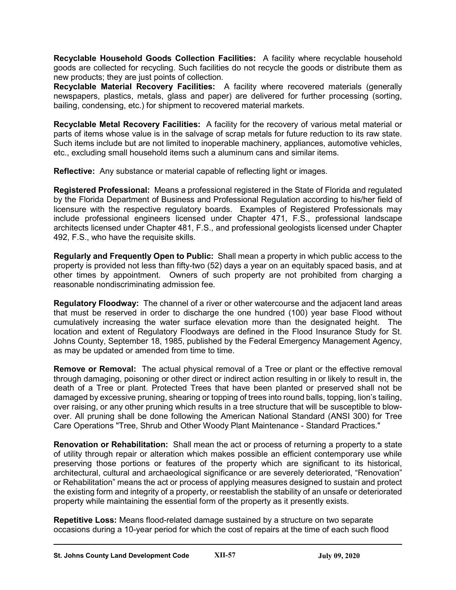**Recyclable Household Goods Collection Facilities:** A facility where recyclable household goods are collected for recycling. Such facilities do not recycle the goods or distribute them as new products; they are just points of collection.

**Recyclable Material Recovery Facilities:** A facility where recovered materials (generally newspapers, plastics, metals, glass and paper) are delivered for further processing (sorting, bailing, condensing, etc.) for shipment to recovered material markets.

**Recyclable Metal Recovery Facilities:** A facility for the recovery of various metal material or parts of items whose value is in the salvage of scrap metals for future reduction to its raw state. Such items include but are not limited to inoperable machinery, appliances, automotive vehicles, etc., excluding small household items such a aluminum cans and similar items.

**Reflective:** Any substance or material capable of reflecting light or images.

**Registered Professional:** Means a professional registered in the State of Florida and regulated by the Florida Department of Business and Professional Regulation according to his/her field of licensure with the respective regulatory boards. Examples of Registered Professionals may include professional engineers licensed under Chapter 471, F.S., professional landscape architects licensed under Chapter 481, F.S., and professional geologists licensed under Chapter 492, F.S., who have the requisite skills.

**Regularly and Frequently Open to Public:** Shall mean a property in which public access to the property is provided not less than fifty-two (52) days a year on an equitably spaced basis, and at other times by appointment. Owners of such property are not prohibited from charging a reasonable nondiscriminating admission fee.

**Regulatory Floodway:** The channel of a river or other watercourse and the adjacent land areas that must be reserved in order to discharge the one hundred (100) year base Flood without cumulatively increasing the water surface elevation more than the designated height. The location and extent of Regulatory Floodways are defined in the Flood Insurance Study for St. Johns County, September 18, 1985, published by the Federal Emergency Management Agency, as may be updated or amended from time to time.

**Remove or Removal:** The actual physical removal of a Tree or plant or the effective removal through damaging, poisoning or other direct or indirect action resulting in or likely to result in, the death of a Tree or plant. Protected Trees that have been planted or preserved shall not be damaged by excessive pruning, shearing or topping of trees into round balls, topping, lion's tailing, over raising, or any other pruning which results in a tree structure that will be susceptible to blowover. All pruning shall be done following the American National Standard (ANSI 300) for Tree Care Operations "Tree, Shrub and Other Woody Plant Maintenance - Standard Practices."

**Renovation or Rehabilitation:** Shall mean the act or process of returning a property to a state of utility through repair or alteration which makes possible an efficient contemporary use while preserving those portions or features of the property which are significant to its historical, architectural, cultural and archaeological significance or are severely deteriorated, "Renovation" or Rehabilitation" means the act or process of applying measures designed to sustain and protect the existing form and integrity of a property, or reestablish the stability of an unsafe or deteriorated property while maintaining the essential form of the property as it presently exists.

**Repetitive Loss:** Means flood-related damage sustained by a structure on two separate occasions during a 10-year period for which the cost of repairs at the time of each such flood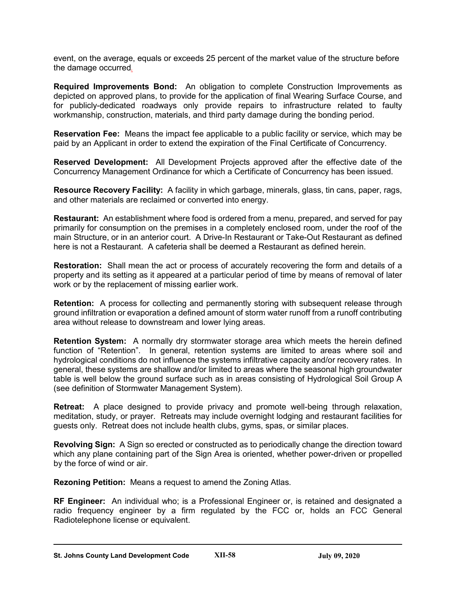event, on the average, equals or exceeds 25 percent of the market value of the structure before the damage occurred*.*

**Required Improvements Bond:** An obligation to complete Construction Improvements as depicted on approved plans, to provide for the application of final Wearing Surface Course, and for publicly-dedicated roadways only provide repairs to infrastructure related to faulty workmanship, construction, materials, and third party damage during the bonding period.

**Reservation Fee:** Means the impact fee applicable to a public facility or service, which may be paid by an Applicant in order to extend the expiration of the Final Certificate of Concurrency.

**Reserved Development:** All Development Projects approved after the effective date of the Concurrency Management Ordinance for which a Certificate of Concurrency has been issued.

**Resource Recovery Facility:** A facility in which garbage, minerals, glass, tin cans, paper, rags, and other materials are reclaimed or converted into energy.

**Restaurant:** An establishment where food is ordered from a menu, prepared, and served for pay primarily for consumption on the premises in a completely enclosed room, under the roof of the main Structure, or in an anterior court. A Drive-In Restaurant or Take-Out Restaurant as defined here is not a Restaurant. A cafeteria shall be deemed a Restaurant as defined herein.

**Restoration:** Shall mean the act or process of accurately recovering the form and details of a property and its setting as it appeared at a particular period of time by means of removal of later work or by the replacement of missing earlier work.

**Retention:** A process for collecting and permanently storing with subsequent release through ground infiltration or evaporation a defined amount of storm water runoff from a runoff contributing area without release to downstream and lower lying areas.

**Retention System:** A normally dry stormwater storage area which meets the herein defined function of "Retention". In general, retention systems are limited to areas where soil and hydrological conditions do not influence the systems infiltrative capacity and/or recovery rates. In general, these systems are shallow and/or limited to areas where the seasonal high groundwater table is well below the ground surface such as in areas consisting of Hydrological Soil Group A (see definition of Stormwater Management System).

**Retreat:** A place designed to provide privacy and promote well-being through relaxation, meditation, study, or prayer. Retreats may include overnight lodging and restaurant facilities for guests only. Retreat does not include health clubs, gyms, spas, or similar places.

**Revolving Sign:** A Sign so erected or constructed as to periodically change the direction toward which any plane containing part of the Sign Area is oriented, whether power-driven or propelled by the force of wind or air.

**Rezoning Petition:** Means a request to amend the Zoning Atlas.

**RF Engineer:** An individual who; is a Professional Engineer or, is retained and designated a radio frequency engineer by a firm regulated by the FCC or, holds an FCC General Radiotelephone license or equivalent.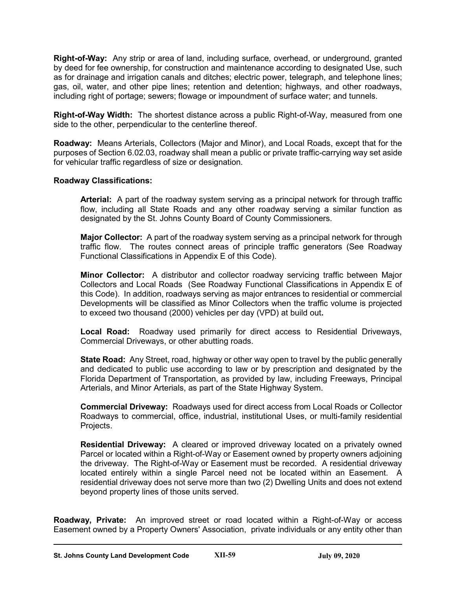**Right-of-Way:** Any strip or area of land, including surface, overhead, or underground, granted by deed for fee ownership, for construction and maintenance according to designated Use, such as for drainage and irrigation canals and ditches; electric power, telegraph, and telephone lines; gas, oil, water, and other pipe lines; retention and detention; highways, and other roadways, including right of portage; sewers; flowage or impoundment of surface water; and tunnels.

**Right-of-Way Width:** The shortest distance across a public Right-of-Way, measured from one side to the other, perpendicular to the centerline thereof.

**Roadway:** Means Arterials, Collectors (Major and Minor), and Local Roads, except that for the purposes of Section 6.02.03, roadway shall mean a public or private traffic-carrying way set aside for vehicular traffic regardless of size or designation.

### **Roadway Classifications:**

**Arterial:** A part of the roadway system serving as a principal network for through traffic flow, including all State Roads and any other roadway serving a similar function as designated by the St. Johns County Board of County Commissioners.

**Major Collector:** A part of the roadway system serving as a principal network for through traffic flow. The routes connect areas of principle traffic generators (See Roadway Functional Classifications in Appendix E of this Code).

**Minor Collector:** A distributor and collector roadway servicing traffic between Major Collectors and Local Roads (See Roadway Functional Classifications in Appendix E of this Code). In addition, roadways serving as major entrances to residential or commercial Developments will be classified as Minor Collectors when the traffic volume is projected to exceed two thousand (2000) vehicles per day (VPD) at build out**.**

**Local Road:** Roadway used primarily for direct access to Residential Driveways, Commercial Driveways, or other abutting roads.

**State Road:** Any Street, road, highway or other way open to travel by the public generally and dedicated to public use according to law or by prescription and designated by the Florida Department of Transportation, as provided by law, including Freeways, Principal Arterials, and Minor Arterials, as part of the State Highway System.

**Commercial Driveway:** Roadways used for direct access from Local Roads or Collector Roadways to commercial, office, industrial, institutional Uses, or multi-family residential Projects.

**Residential Driveway:** A cleared or improved driveway located on a privately owned Parcel or located within a Right-of-Way or Easement owned by property owners adjoining the driveway. The Right-of-Way or Easement must be recorded. A residential driveway located entirely within a single Parcel need not be located within an Easement. A residential driveway does not serve more than two (2) Dwelling Units and does not extend beyond property lines of those units served.

**Roadway, Private:** An improved street or road located within a Right-of-Way or access Easement owned by a Property Owners' Association, private individuals or any entity other than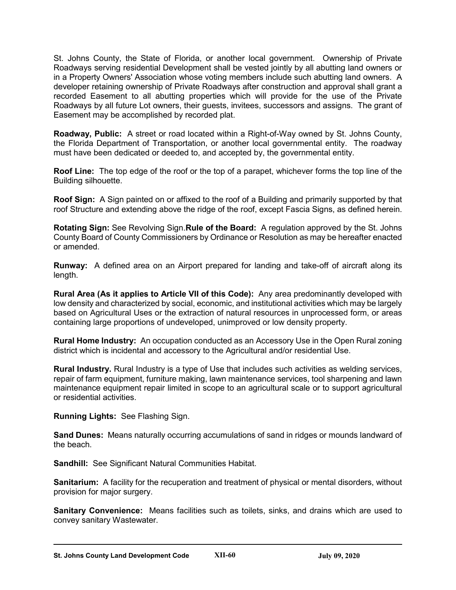St. Johns County, the State of Florida, or another local government. Ownership of Private Roadways serving residential Development shall be vested jointly by all abutting land owners or in a Property Owners' Association whose voting members include such abutting land owners. A developer retaining ownership of Private Roadways after construction and approval shall grant a recorded Easement to all abutting properties which will provide for the use of the Private Roadways by all future Lot owners, their guests, invitees, successors and assigns. The grant of Easement may be accomplished by recorded plat.

**Roadway, Public:** A street or road located within a Right-of-Way owned by St. Johns County, the Florida Department of Transportation, or another local governmental entity. The roadway must have been dedicated or deeded to, and accepted by, the governmental entity.

**Roof Line:** The top edge of the roof or the top of a parapet, whichever forms the top line of the Building silhouette.

**Roof Sign:** A Sign painted on or affixed to the roof of a Building and primarily supported by that roof Structure and extending above the ridge of the roof, except Fascia Signs, as defined herein.

**Rotating Sign:** See Revolving Sign.**Rule of the Board:** A regulation approved by the St. Johns County Board of County Commissioners by Ordinance or Resolution as may be hereafter enacted or amended.

**Runway:** A defined area on an Airport prepared for landing and take-off of aircraft along its length.

**Rural Area (As it applies to Article VII of this Code):** Any area predominantly developed with low density and characterized by social, economic, and institutional activities which may be largely based on Agricultural Uses or the extraction of natural resources in unprocessed form, or areas containing large proportions of undeveloped, unimproved or low density property.

**Rural Home Industry:** An occupation conducted as an Accessory Use in the Open Rural zoning district which is incidental and accessory to the Agricultural and/or residential Use.

**Rural Industry.** Rural Industry is a type of Use that includes such activities as welding services, repair of farm equipment, furniture making, lawn maintenance services, tool sharpening and lawn maintenance equipment repair limited in scope to an agricultural scale or to support agricultural or residential activities.

**Running Lights:** See Flashing Sign.

**Sand Dunes:** Means naturally occurring accumulations of sand in ridges or mounds landward of the beach.

**Sandhill:** See Significant Natural Communities Habitat.

**Sanitarium:** A facility for the recuperation and treatment of physical or mental disorders, without provision for major surgery.

**Sanitary Convenience:** Means facilities such as toilets, sinks, and drains which are used to convey sanitary Wastewater.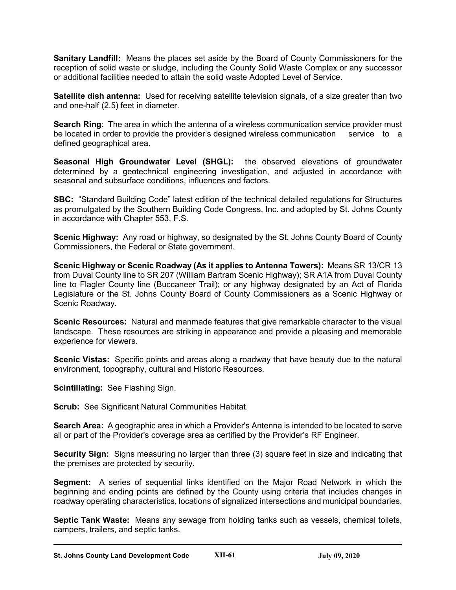**Sanitary Landfill:** Means the places set aside by the Board of County Commissioners for the reception of solid waste or sludge, including the County Solid Waste Complex or any successor or additional facilities needed to attain the solid waste Adopted Level of Service.

**Satellite dish antenna:** Used for receiving satellite television signals, of a size greater than two and one-half (2.5) feet in diameter.

**Search Ring**: The area in which the antenna of a wireless communication service provider must be located in order to provide the provider's designed wireless communication service to a defined geographical area.

**Seasonal High Groundwater Level (SHGL):** the observed elevations of groundwater determined by a geotechnical engineering investigation, and adjusted in accordance with seasonal and subsurface conditions, influences and factors.

**SBC:** "Standard Building Code" latest edition of the technical detailed regulations for Structures as promulgated by the Southern Building Code Congress, Inc. and adopted by St. Johns County in accordance with Chapter 553, F.S.

**Scenic Highway:** Any road or highway, so designated by the St. Johns County Board of County Commissioners, the Federal or State government.

**Scenic Highway or Scenic Roadway (As it applies to Antenna Towers):** Means SR 13/CR 13 from Duval County line to SR 207 (William Bartram Scenic Highway); SR A1A from Duval County line to Flagler County line (Buccaneer Trail); or any highway designated by an Act of Florida Legislature or the St. Johns County Board of County Commissioners as a Scenic Highway or Scenic Roadway.

**Scenic Resources:** Natural and manmade features that give remarkable character to the visual landscape. These resources are striking in appearance and provide a pleasing and memorable experience for viewers.

**Scenic Vistas:** Specific points and areas along a roadway that have beauty due to the natural environment, topography, cultural and Historic Resources.

**Scintillating:** See Flashing Sign.

**Scrub:** See Significant Natural Communities Habitat.

**Search Area:** A geographic area in which a Provider's Antenna is intended to be located to serve all or part of the Provider's coverage area as certified by the Provider's RF Engineer.

**Security Sign:** Signs measuring no larger than three (3) square feet in size and indicating that the premises are protected by security.

**Segment:** A series of sequential links identified on the Major Road Network in which the beginning and ending points are defined by the County using criteria that includes changes in roadway operating characteristics, locations of signalized intersections and municipal boundaries.

**Septic Tank Waste:** Means any sewage from holding tanks such as vessels, chemical toilets, campers, trailers, and septic tanks.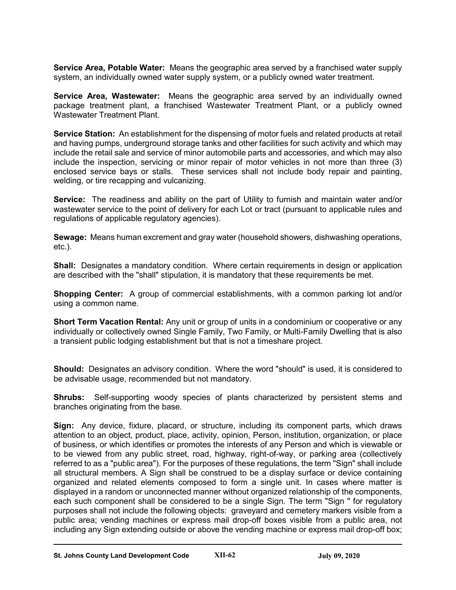**Service Area, Potable Water:** Means the geographic area served by a franchised water supply system, an individually owned water supply system, or a publicly owned water treatment.

**Service Area, Wastewater:** Means the geographic area served by an individually owned package treatment plant, a franchised Wastewater Treatment Plant, or a publicly owned Wastewater Treatment Plant.

**Service Station:** An establishment for the dispensing of motor fuels and related products at retail and having pumps, underground storage tanks and other facilities for such activity and which may include the retail sale and service of minor automobile parts and accessories, and which may also include the inspection, servicing or minor repair of motor vehicles in not more than three (3) enclosed service bays or stalls. These services shall not include body repair and painting, welding, or tire recapping and vulcanizing.

**Service:** The readiness and ability on the part of Utility to furnish and maintain water and/or wastewater service to the point of delivery for each Lot or tract (pursuant to applicable rules and regulations of applicable regulatory agencies).

**Sewage:** Means human excrement and gray water (household showers, dishwashing operations, etc.).

**Shall:** Designates a mandatory condition. Where certain requirements in design or application are described with the "shall" stipulation, it is mandatory that these requirements be met.

**Shopping Center:** A group of commercial establishments, with a common parking lot and/or using a common name.

**Short Term Vacation Rental:** Any unit or group of units in a condominium or cooperative or any individually or collectively owned Single Family, Two Family, or Multi-Family Dwelling that is also a transient public lodging establishment but that is not a timeshare project.

**Should:** Designates an advisory condition. Where the word "should" is used, it is considered to be advisable usage, recommended but not mandatory.

**Shrubs:** Self-supporting woody species of plants characterized by persistent stems and branches originating from the base.

**Sign:** Any device, fixture, placard, or structure, including its component parts, which draws attention to an object, product, place, activity, opinion, Person, institution, organization, or place of business, or which identifies or promotes the interests of any Person and which is viewable or to be viewed from any public street, road, highway, right-of-way, or parking area (collectively referred to as a "public area"). For the purposes of these regulations, the term "Sign" shall include all structural members. A Sign shall be construed to be a display surface or device containing organized and related elements composed to form a single unit. In cases where matter is displayed in a random or unconnected manner without organized relationship of the components, each such component shall be considered to be a single Sign. The term "Sign " for regulatory purposes shall not include the following objects: graveyard and cemetery markers visible from a public area; vending machines or express mail drop-off boxes visible from a public area, not including any Sign extending outside or above the vending machine or express mail drop-off box;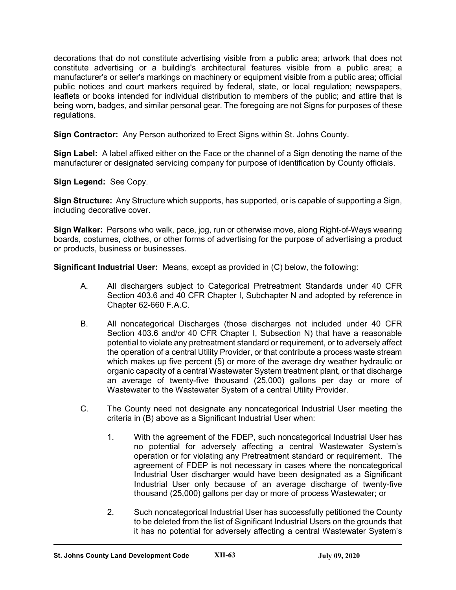decorations that do not constitute advertising visible from a public area; artwork that does not constitute advertising or a building's architectural features visible from a public area; a manufacturer's or seller's markings on machinery or equipment visible from a public area; official public notices and court markers required by federal, state, or local regulation; newspapers, leaflets or books intended for individual distribution to members of the public; and attire that is being worn, badges, and similar personal gear. The foregoing are not Signs for purposes of these regulations.

**Sign Contractor:** Any Person authorized to Erect Signs within St. Johns County.

**Sign Label:** A label affixed either on the Face or the channel of a Sign denoting the name of the manufacturer or designated servicing company for purpose of identification by County officials.

**Sign Legend:** See Copy.

**Sign Structure:** Any Structure which supports, has supported, or is capable of supporting a Sign, including decorative cover.

**Sign Walker:** Persons who walk, pace, jog, run or otherwise move, along Right-of-Ways wearing boards, costumes, clothes, or other forms of advertising for the purpose of advertising a product or products, business or businesses.

**Significant Industrial User:** Means, except as provided in (C) below, the following:

- A. All dischargers subject to Categorical Pretreatment Standards under 40 CFR Section 403.6 and 40 CFR Chapter I, Subchapter N and adopted by reference in Chapter 62-660 F.A.C.
- B. All noncategorical Discharges (those discharges not included under 40 CFR Section 403.6 and/or 40 CFR Chapter I, Subsection N) that have a reasonable potential to violate any pretreatment standard or requirement, or to adversely affect the operation of a central Utility Provider, or that contribute a process waste stream which makes up five percent (5) or more of the average dry weather hydraulic or organic capacity of a central Wastewater System treatment plant, or that discharge an average of twenty-five thousand (25,000) gallons per day or more of Wastewater to the Wastewater System of a central Utility Provider.
- C. The County need not designate any noncategorical Industrial User meeting the criteria in (B) above as a Significant Industrial User when:
	- 1. With the agreement of the FDEP, such noncategorical Industrial User has no potential for adversely affecting a central Wastewater System's operation or for violating any Pretreatment standard or requirement. The agreement of FDEP is not necessary in cases where the noncategorical Industrial User discharger would have been designated as a Significant Industrial User only because of an average discharge of twenty-five thousand (25,000) gallons per day or more of process Wastewater; or
	- 2. Such noncategorical Industrial User has successfully petitioned the County to be deleted from the list of Significant Industrial Users on the grounds that it has no potential for adversely affecting a central Wastewater System's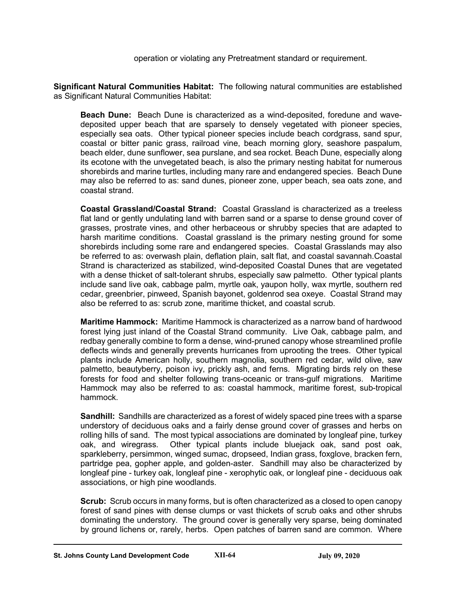operation or violating any Pretreatment standard or requirement.

**Significant Natural Communities Habitat:** The following natural communities are established as Significant Natural Communities Habitat:

**Beach Dune:** Beach Dune is characterized as a wind-deposited, foredune and wavedeposited upper beach that are sparsely to densely vegetated with pioneer species, especially sea oats. Other typical pioneer species include beach cordgrass, sand spur, coastal or bitter panic grass, railroad vine, beach morning glory, seashore paspalum, beach elder, dune sunflower, sea purslane, and sea rocket. Beach Dune, especially along its ecotone with the unvegetated beach, is also the primary nesting habitat for numerous shorebirds and marine turtles, including many rare and endangered species. Beach Dune may also be referred to as: sand dunes, pioneer zone, upper beach, sea oats zone, and coastal strand.

**Coastal Grassland/Coastal Strand:** Coastal Grassland is characterized as a treeless flat land or gently undulating land with barren sand or a sparse to dense ground cover of grasses, prostrate vines, and other herbaceous or shrubby species that are adapted to harsh maritime conditions. Coastal grassland is the primary nesting ground for some shorebirds including some rare and endangered species. Coastal Grasslands may also be referred to as: overwash plain, deflation plain, salt flat, and coastal savannah.Coastal Strand is characterized as stabilized, wind-deposited Coastal Dunes that are vegetated with a dense thicket of salt-tolerant shrubs, especially saw palmetto. Other typical plants include sand live oak, cabbage palm, myrtle oak, yaupon holly, wax myrtle, southern red cedar, greenbrier, pinweed, Spanish bayonet, goldenrod sea oxeye. Coastal Strand may also be referred to as: scrub zone, maritime thicket, and coastal scrub.

**Maritime Hammock:** Maritime Hammock is characterized as a narrow band of hardwood forest lying just inland of the Coastal Strand community. Live Oak, cabbage palm, and redbay generally combine to form a dense, wind-pruned canopy whose streamlined profile deflects winds and generally prevents hurricanes from uprooting the trees. Other typical plants include American holly, southern magnolia, southern red cedar, wild olive, saw palmetto, beautyberry, poison ivy, prickly ash, and ferns. Migrating birds rely on these forests for food and shelter following trans-oceanic or trans-gulf migrations. Maritime Hammock may also be referred to as: coastal hammock, maritime forest, sub-tropical hammock.

**Sandhill:** Sandhills are characterized as a forest of widely spaced pine trees with a sparse understory of deciduous oaks and a fairly dense ground cover of grasses and herbs on rolling hills of sand. The most typical associations are dominated by longleaf pine, turkey oak, and wiregrass. Other typical plants include bluejack oak, sand post oak, sparkleberry, persimmon, winged sumac, dropseed, Indian grass, foxglove, bracken fern, partridge pea, gopher apple, and golden-aster. Sandhill may also be characterized by longleaf pine - turkey oak, longleaf pine - xerophytic oak, or longleaf pine - deciduous oak associations, or high pine woodlands.

**Scrub:** Scrub occurs in many forms, but is often characterized as a closed to open canopy forest of sand pines with dense clumps or vast thickets of scrub oaks and other shrubs dominating the understory. The ground cover is generally very sparse, being dominated by ground lichens or, rarely, herbs. Open patches of barren sand are common. Where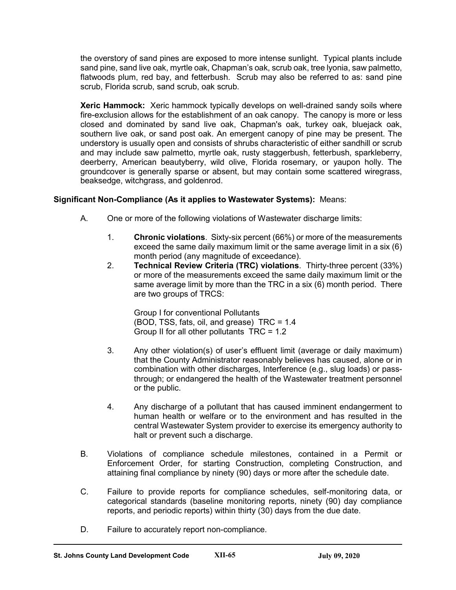the overstory of sand pines are exposed to more intense sunlight. Typical plants include sand pine, sand live oak, myrtle oak, Chapman's oak, scrub oak, tree lyonia, saw palmetto, flatwoods plum, red bay, and fetterbush. Scrub may also be referred to as: sand pine scrub, Florida scrub, sand scrub, oak scrub.

**Xeric Hammock:** Xeric hammock typically develops on well-drained sandy soils where fire-exclusion allows for the establishment of an oak canopy. The canopy is more or less closed and dominated by sand live oak, Chapman's oak, turkey oak, bluejack oak, southern live oak, or sand post oak. An emergent canopy of pine may be present. The understory is usually open and consists of shrubs characteristic of either sandhill or scrub and may include saw palmetto, myrtle oak, rusty staggerbush, fetterbush, sparkleberry, deerberry, American beautyberry, wild olive, Florida rosemary, or yaupon holly. The groundcover is generally sparse or absent, but may contain some scattered wiregrass, beaksedge, witchgrass, and goldenrod.

# **Significant Non-Compliance (As it applies to Wastewater Systems):** Means:

- A. One or more of the following violations of Wastewater discharge limits:
	- 1. **Chronic violations**. Sixty-six percent (66%) or more of the measurements exceed the same daily maximum limit or the same average limit in a six (6) month period (any magnitude of exceedance).
	- 2. **Technical Review Criteria (TRC) violations**. Thirty-three percent (33%) or more of the measurements exceed the same daily maximum limit or the same average limit by more than the TRC in a six (6) month period. There are two groups of TRCS:

Group I for conventional Pollutants (BOD, TSS, fats, oil, and grease) TRC = 1.4 Group II for all other pollutants TRC = 1.2

- 3. Any other violation(s) of user's effluent limit (average or daily maximum) that the County Administrator reasonably believes has caused, alone or in combination with other discharges, Interference (e.g., slug loads) or passthrough; or endangered the health of the Wastewater treatment personnel or the public.
- 4. Any discharge of a pollutant that has caused imminent endangerment to human health or welfare or to the environment and has resulted in the central Wastewater System provider to exercise its emergency authority to halt or prevent such a discharge.
- B. Violations of compliance schedule milestones, contained in a Permit or Enforcement Order, for starting Construction, completing Construction, and attaining final compliance by ninety (90) days or more after the schedule date.
- C. Failure to provide reports for compliance schedules, self-monitoring data, or categorical standards (baseline monitoring reports, ninety (90) day compliance reports, and periodic reports) within thirty (30) days from the due date.
- D. Failure to accurately report non-compliance.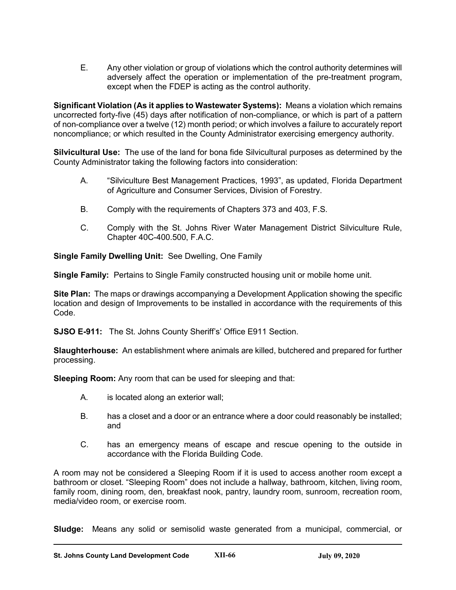E. Any other violation or group of violations which the control authority determines will adversely affect the operation or implementation of the pre-treatment program, except when the FDEP is acting as the control authority.

**Significant Violation (As it applies to Wastewater Systems):** Means a violation which remains uncorrected forty-five (45) days after notification of non-compliance, or which is part of a pattern of non-compliance over a twelve (12) month period; or which involves a failure to accurately report noncompliance; or which resulted in the County Administrator exercising emergency authority.

**Silvicultural Use:** The use of the land for bona fide Silvicultural purposes as determined by the County Administrator taking the following factors into consideration:

- A. "Silviculture Best Management Practices, 1993", as updated, Florida Department of Agriculture and Consumer Services, Division of Forestry.
- B. Comply with the requirements of Chapters 373 and 403, F.S.
- C. Comply with the St. Johns River Water Management District Silviculture Rule, Chapter 40C-400.500, F.A.C.

**Single Family Dwelling Unit:** See Dwelling, One Family

**Single Family:** Pertains to Single Family constructed housing unit or mobile home unit.

**Site Plan:** The maps or drawings accompanying a Development Application showing the specific location and design of Improvements to be installed in accordance with the requirements of this Code.

**SJSO E-911:** The St. Johns County Sheriff's' Office E911 Section.

**Slaughterhouse:** An establishment where animals are killed, butchered and prepared for further processing.

**Sleeping Room:** Any room that can be used for sleeping and that:

- A. is located along an exterior wall;
- B. has a closet and a door or an entrance where a door could reasonably be installed; and
- C. has an emergency means of escape and rescue opening to the outside in accordance with the Florida Building Code.

A room may not be considered a Sleeping Room if it is used to access another room except a bathroom or closet. "Sleeping Room" does not include a hallway, bathroom, kitchen, living room, family room, dining room, den, breakfast nook, pantry, laundry room, sunroom, recreation room, media/video room, or exercise room.

**Sludge:** Means any solid or semisolid waste generated from a municipal, commercial, or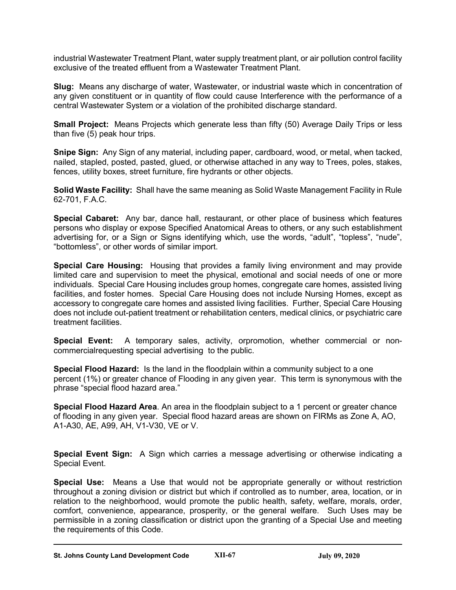industrial Wastewater Treatment Plant, water supply treatment plant, or air pollution control facility exclusive of the treated effluent from a Wastewater Treatment Plant.

**Slug:** Means any discharge of water, Wastewater, or industrial waste which in concentration of any given constituent or in quantity of flow could cause Interference with the performance of a central Wastewater System or a violation of the prohibited discharge standard.

**Small Project:** Means Projects which generate less than fifty (50) Average Daily Trips or less than five (5) peak hour trips.

**Snipe Sign:** Any Sign of any material, including paper, cardboard, wood, or metal, when tacked, nailed, stapled, posted, pasted, glued, or otherwise attached in any way to Trees, poles, stakes, fences, utility boxes, street furniture, fire hydrants or other objects.

**Solid Waste Facility:** Shall have the same meaning as Solid Waste Management Facility in Rule 62-701, F.A.C.

**Special Cabaret:** Any bar, dance hall, restaurant, or other place of business which features persons who display or expose Specified Anatomical Areas to others, or any such establishment advertising for, or a Sign or Signs identifying which, use the words, "adult", "topless", "nude", "bottomless", or other words of similar import.

**Special Care Housing:** Housing that provides a family living environment and may provide limited care and supervision to meet the physical, emotional and social needs of one or more individuals. Special Care Housing includes group homes, congregate care homes, assisted living facilities, and foster homes. Special Care Housing does not include Nursing Homes, except as accessory to congregate care homes and assisted living facilities. Further, Special Care Housing does not include out-patient treatment or rehabilitation centers, medical clinics, or psychiatric care treatment facilities.

**Special Event:** A temporary sales, activity, orpromotion, whether commercial or noncommercialrequesting special advertising to the public.

**Special Flood Hazard:** Is the land in the floodplain within a community subject to a one percent (1%) or greater chance of Flooding in any given year. This term is synonymous with the phrase "special flood hazard area."

**Special Flood Hazard Area**. An area in the floodplain subject to a 1 percent or greater chance of flooding in any given year. Special flood hazard areas are shown on FIRMs as Zone A, AO, A1-A30, AE, A99, AH, V1-V30, VE or V.

**Special Event Sign:** A Sign which carries a message advertising or otherwise indicating a Special Event.

**Special Use:** Means a Use that would not be appropriate generally or without restriction throughout a zoning division or district but which if controlled as to number, area, location, or in relation to the neighborhood, would promote the public health, safety, welfare, morals, order, comfort, convenience, appearance, prosperity, or the general welfare. Such Uses may be permissible in a zoning classification or district upon the granting of a Special Use and meeting the requirements of this Code.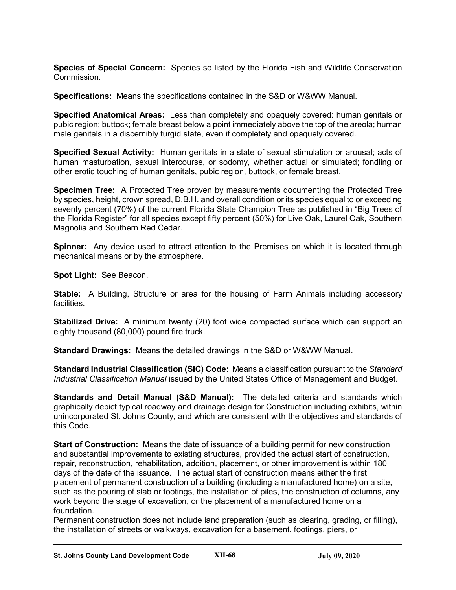**Species of Special Concern:** Species so listed by the Florida Fish and Wildlife Conservation Commission.

**Specifications:** Means the specifications contained in the S&D or W&WW Manual.

**Specified Anatomical Areas:** Less than completely and opaquely covered: human genitals or pubic region; buttock; female breast below a point immediately above the top of the areola; human male genitals in a discernibly turgid state, even if completely and opaquely covered.

**Specified Sexual Activity:** Human genitals in a state of sexual stimulation or arousal; acts of human masturbation, sexual intercourse, or sodomy, whether actual or simulated; fondling or other erotic touching of human genitals, pubic region, buttock, or female breast.

**Specimen Tree:** A Protected Tree proven by measurements documenting the Protected Tree by species, height, crown spread, D.B.H. and overall condition or its species equal to or exceeding seventy percent (70%) of the current Florida State Champion Tree as published in "Big Trees of the Florida Register" for all species except fifty percent (50%) for Live Oak, Laurel Oak, Southern Magnolia and Southern Red Cedar.

**Spinner:** Any device used to attract attention to the Premises on which it is located through mechanical means or by the atmosphere.

**Spot Light:** See Beacon.

**Stable:** A Building, Structure or area for the housing of Farm Animals including accessory facilities.

**Stabilized Drive:** A minimum twenty (20) foot wide compacted surface which can support an eighty thousand (80,000) pound fire truck.

**Standard Drawings:** Means the detailed drawings in the S&D or W&WW Manual.

**Standard Industrial Classification (SIC) Code:** Means a classification pursuant to the *Standard Industrial Classification Manual* issued by the United States Office of Management and Budget.

**Standards and Detail Manual (S&D Manual):** The detailed criteria and standards which graphically depict typical roadway and drainage design for Construction including exhibits, within unincorporated St. Johns County, and which are consistent with the objectives and standards of this Code.

**Start of Construction:** Means the date of issuance of a building permit for new construction and substantial improvements to existing structures, provided the actual start of construction, repair, reconstruction, rehabilitation, addition, placement, or other improvement is within 180 days of the date of the issuance. The actual start of construction means either the first placement of permanent construction of a building (including a manufactured home) on a site, such as the pouring of slab or footings, the installation of piles, the construction of columns, any work beyond the stage of excavation, or the placement of a manufactured home on a foundation.

Permanent construction does not include land preparation (such as clearing, grading, or filling), the installation of streets or walkways, excavation for a basement, footings, piers, or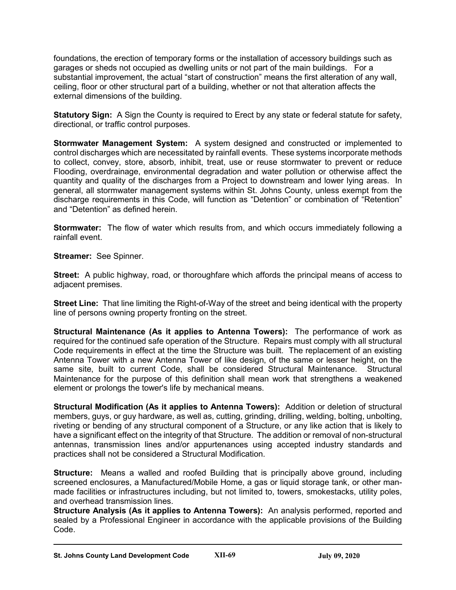foundations, the erection of temporary forms or the installation of accessory buildings such as garages or sheds not occupied as dwelling units or not part of the main buildings. For a substantial improvement, the actual "start of construction" means the first alteration of any wall, ceiling, floor or other structural part of a building, whether or not that alteration affects the external dimensions of the building.

**Statutory Sign:** A Sign the County is required to Erect by any state or federal statute for safety, directional, or traffic control purposes.

**Stormwater Management System:** A system designed and constructed or implemented to control discharges which are necessitated by rainfall events. These systems incorporate methods to collect, convey, store, absorb, inhibit, treat, use or reuse stormwater to prevent or reduce Flooding, overdrainage, environmental degradation and water pollution or otherwise affect the quantity and quality of the discharges from a Project to downstream and lower lying areas. In general, all stormwater management systems within St. Johns County, unless exempt from the discharge requirements in this Code, will function as "Detention" or combination of "Retention" and "Detention" as defined herein.

**Stormwater:** The flow of water which results from, and which occurs immediately following a rainfall event.

**Streamer:** See Spinner.

**Street:** A public highway, road, or thoroughfare which affords the principal means of access to adjacent premises.

**Street Line:** That line limiting the Right-of-Way of the street and being identical with the property line of persons owning property fronting on the street.

**Structural Maintenance (As it applies to Antenna Towers):** The performance of work as required for the continued safe operation of the Structure. Repairs must comply with all structural Code requirements in effect at the time the Structure was built. The replacement of an existing Antenna Tower with a new Antenna Tower of like design, of the same or lesser height, on the same site, built to current Code, shall be considered Structural Maintenance. Structural Maintenance for the purpose of this definition shall mean work that strengthens a weakened element or prolongs the tower's life by mechanical means.

**Structural Modification (As it applies to Antenna Towers):** Addition or deletion of structural members, guys, or guy hardware, as well as, cutting, grinding, drilling, welding, bolting, unbolting, riveting or bending of any structural component of a Structure, or any like action that is likely to have a significant effect on the integrity of that Structure. The addition or removal of non-structural antennas, transmission lines and/or appurtenances using accepted industry standards and practices shall not be considered a Structural Modification.

**Structure:** Means a walled and roofed Building that is principally above ground, including screened enclosures, a Manufactured/Mobile Home, a gas or liquid storage tank, or other manmade facilities or infrastructures including, but not limited to, towers, smokestacks, utility poles, and overhead transmission lines.

**Structure Analysis (As it applies to Antenna Towers):** An analysis performed, reported and sealed by a Professional Engineer in accordance with the applicable provisions of the Building Code.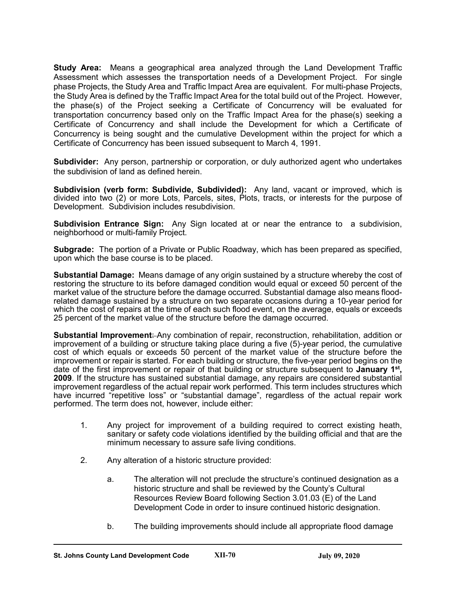**Study Area:** Means a geographical area analyzed through the Land Development Traffic Assessment which assesses the transportation needs of a Development Project. For single phase Projects, the Study Area and Traffic Impact Area are equivalent. For multi-phase Projects, the Study Area is defined by the Traffic Impact Area for the total build out of the Project. However, the phase(s) of the Project seeking a Certificate of Concurrency will be evaluated for transportation concurrency based only on the Traffic Impact Area for the phase(s) seeking a Certificate of Concurrency and shall include the Development for which a Certificate of Concurrency is being sought and the cumulative Development within the project for which a Certificate of Concurrency has been issued subsequent to March 4, 1991.

**Subdivider:** Any person, partnership or corporation, or duly authorized agent who undertakes the subdivision of land as defined herein.

**Subdivision (verb form: Subdivide, Subdivided):** Any land, vacant or improved, which is divided into two (2) or more Lots, Parcels, sites, Plots, tracts, or interests for the purpose of Development. Subdivision includes resubdivision.

**Subdivision Entrance Sign:** Any Sign located at or near the entrance to a subdivision, neighborhood or multi-family Project.

**Subgrade:** The portion of a Private or Public Roadway, which has been prepared as specified, upon which the base course is to be placed.

**Substantial Damage:** Means damage of any origin sustained by a structure whereby the cost of restoring the structure to its before damaged condition would equal or exceed 50 percent of the market value of the structure before the damage occurred. Substantial damage also means floodrelated damage sustained by a structure on two separate occasions during a 10-year period for which the cost of repairs at the time of each such flood event, on the average, equals or exceeds 25 percent of the market value of the structure before the damage occurred.

**Substantial Improvement**: Any combination of repair, reconstruction, rehabilitation, addition or improvement of a building or structure taking place during a five (5)-year period, the cumulative cost of which equals or exceeds 50 percent of the market value of the structure before the improvement or repair is started. For each building or structure, the five-year period begins on the date of the first improvement or repair of that building or structure subsequent to **January 1st, 2009**. If the structure has sustained substantial damage, any repairs are considered substantial improvement regardless of the actual repair work performed. This term includes structures which have incurred "repetitive loss" or "substantial damage", regardless of the actual repair work performed. The term does not, however, include either:

- 1. Any project for improvement of a building required to correct existing heath, sanitary or safety code violations identified by the building official and that are the minimum necessary to assure safe living conditions.
- 2. Any alteration of a historic structure provided:
	- a. The alteration will not preclude the structure's continued designation as a historic structure and shall be reviewed by the County's Cultural Resources Review Board following Section 3.01.03 (E) of the Land Development Code in order to insure continued historic designation.
	- b. The building improvements should include all appropriate flood damage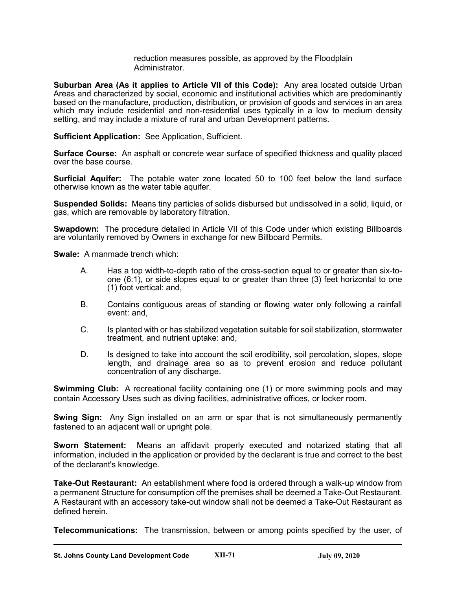reduction measures possible, as approved by the Floodplain Administrator.

**Suburban Area (As it applies to Article VII of this Code):** Any area located outside Urban Areas and characterized by social, economic and institutional activities which are predominantly based on the manufacture, production, distribution, or provision of goods and services in an area which may include residential and non-residential uses typically in a low to medium density setting, and may include a mixture of rural and urban Development patterns.

**Sufficient Application:** See Application, Sufficient.

**Surface Course:** An asphalt or concrete wear surface of specified thickness and quality placed over the base course.

**Surficial Aquifer:** The potable water zone located 50 to 100 feet below the land surface otherwise known as the water table aquifer.

**Suspended Solids:** Means tiny particles of solids disbursed but undissolved in a solid, liquid, or gas, which are removable by laboratory filtration.

**Swapdown:** The procedure detailed in Article VII of this Code under which existing Billboards are voluntarily removed by Owners in exchange for new Billboard Permits.

**Swale:** A manmade trench which:

- A. Has a top width-to-depth ratio of the cross-section equal to or greater than six-toone (6:1), or side slopes equal to or greater than three (3) feet horizontal to one (1) foot vertical: and,
- B. Contains contiguous areas of standing or flowing water only following a rainfall event: and,
- C. Is planted with or has stabilized vegetation suitable for soil stabilization, stormwater treatment, and nutrient uptake: and,
- D. Is designed to take into account the soil erodibility, soil percolation, slopes, slope length, and drainage area so as to prevent erosion and reduce pollutant concentration of any discharge.

**Swimming Club:** A recreational facility containing one (1) or more swimming pools and may contain Accessory Uses such as diving facilities, administrative offices, or locker room.

**Swing Sign:** Any Sign installed on an arm or spar that is not simultaneously permanently fastened to an adjacent wall or upright pole.

**Sworn Statement:** Means an affidavit properly executed and notarized stating that all information, included in the application or provided by the declarant is true and correct to the best of the declarant's knowledge.

**Take-Out Restaurant:** An establishment where food is ordered through a walk-up window from a permanent Structure for consumption off the premises shall be deemed a Take-Out Restaurant. A Restaurant with an accessory take-out window shall not be deemed a Take-Out Restaurant as defined herein.

**Telecommunications:** The transmission, between or among points specified by the user, of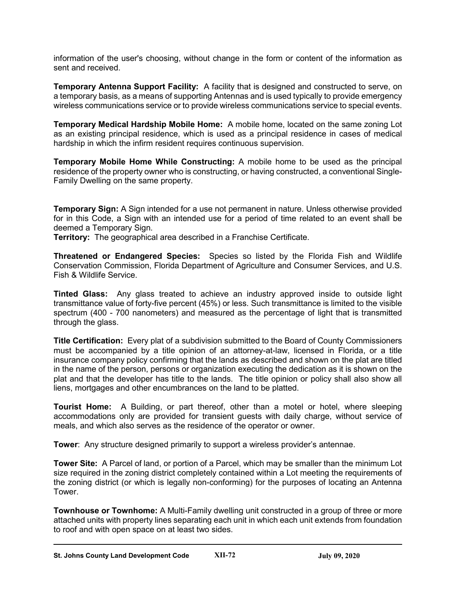information of the user's choosing, without change in the form or content of the information as sent and received.

**Temporary Antenna Support Facility:** A facility that is designed and constructed to serve, on a temporary basis, as a means of supporting Antennas and is used typically to provide emergency wireless communications service or to provide wireless communications service to special events.

**Temporary Medical Hardship Mobile Home:** A mobile home, located on the same zoning Lot as an existing principal residence, which is used as a principal residence in cases of medical hardship in which the infirm resident requires continuous supervision.

**Temporary Mobile Home While Constructing:** A mobile home to be used as the principal residence of the property owner who is constructing, or having constructed, a conventional Single-Family Dwelling on the same property.

**Temporary Sign:** A Sign intended for a use not permanent in nature. Unless otherwise provided for in this Code, a Sign with an intended use for a period of time related to an event shall be deemed a Temporary Sign.

**Territory:** The geographical area described in a Franchise Certificate.

**Threatened or Endangered Species:** Species so listed by the Florida Fish and Wildlife Conservation Commission, Florida Department of Agriculture and Consumer Services, and U.S. Fish & Wildlife Service.

**Tinted Glass:** Any glass treated to achieve an industry approved inside to outside light transmittance value of forty-five percent (45%) or less. Such transmittance is limited to the visible spectrum (400 - 700 nanometers) and measured as the percentage of light that is transmitted through the glass.

**Title Certification:** Every plat of a subdivision submitted to the Board of County Commissioners must be accompanied by a title opinion of an attorney-at-law, licensed in Florida, or a title insurance company policy confirming that the lands as described and shown on the plat are titled in the name of the person, persons or organization executing the dedication as it is shown on the plat and that the developer has title to the lands. The title opinion or policy shall also show all liens, mortgages and other encumbrances on the land to be platted.

**Tourist Home:** A Building, or part thereof, other than a motel or hotel, where sleeping accommodations only are provided for transient guests with daily charge, without service of meals, and which also serves as the residence of the operator or owner.

**Tower**: Any structure designed primarily to support a wireless provider's antennae.

**Tower Site:** A Parcel of land, or portion of a Parcel, which may be smaller than the minimum Lot size required in the zoning district completely contained within a Lot meeting the requirements of the zoning district (or which is legally non-conforming) for the purposes of locating an Antenna Tower.

**Townhouse or Townhome:** A Multi-Family dwelling unit constructed in a group of three or more attached units with property lines separating each unit in which each unit extends from foundation to roof and with open space on at least two sides.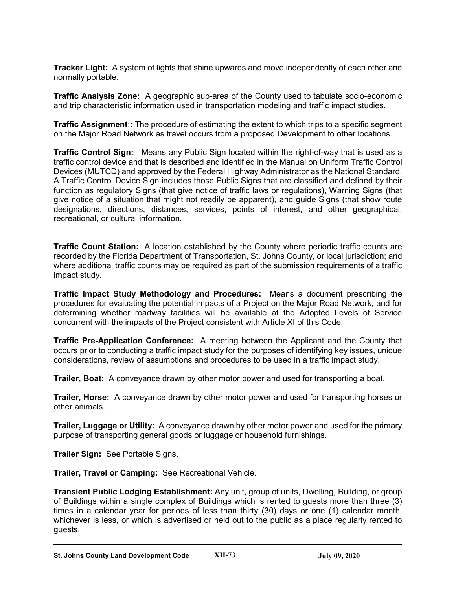**Tracker Light:** A system of lights that shine upwards and move independently of each other and normally portable.

**Traffic Analysis Zone:** A geographic sub-area of the County used to tabulate socio-economic and trip characteristic information used in transportation modeling and traffic impact studies.

**Traffic Assignment::** The procedure of estimating the extent to which trips to a specific segment on the Major Road Network as travel occurs from a proposed Development to other locations.

**Traffic Control Sign:** Means any Public Sign located within the right-of-way that is used as a traffic control device and that is described and identified in the Manual on Uniform Traffic Control Devices (MUTCD) and approved by the Federal Highway Administrator as the National Standard. A Traffic Control Device Sign includes those Public Signs that are classified and defined by their function as regulatory Signs (that give notice of traffic laws or regulations), Warning Signs (that give notice of a situation that might not readily be apparent), and guide Signs (that show route designations, directions, distances, services, points of interest, and other geographical, recreational, or cultural information.

**Traffic Count Station:** A location established by the County where periodic traffic counts are recorded by the Florida Department of Transportation, St. Johns County, or local jurisdiction; and where additional traffic counts may be required as part of the submission requirements of a traffic impact study.

**Traffic Impact Study Methodology and Procedures:** Means a document prescribing the procedures for evaluating the potential impacts of a Project on the Major Road Network, and for determining whether roadway facilities will be available at the Adopted Levels of Service concurrent with the impacts of the Project consistent with Article XI of this Code.

**Traffic Pre-Application Conference:** A meeting between the Applicant and the County that occurs prior to conducting a traffic impact study for the purposes of identifying key issues, unique considerations, review of assumptions and procedures to be used in a traffic impact study.

**Trailer, Boat:** A conveyance drawn by other motor power and used for transporting a boat.

**Trailer, Horse:** A conveyance drawn by other motor power and used for transporting horses or other animals.

**Trailer, Luggage or Utility:** A conveyance drawn by other motor power and used for the primary purpose of transporting general goods or luggage or household furnishings.

**Trailer Sign:** See Portable Signs.

**Trailer, Travel or Camping:** See Recreational Vehicle.

**Transient Public Lodging Establishment:** Any unit, group of units, Dwelling, Building, or group of Buildings within a single complex of Buildings which is rented to guests more than three (3) times in a calendar year for periods of less than thirty (30) days or one (1) calendar month, whichever is less, or which is advertised or held out to the public as a place regularly rented to guests.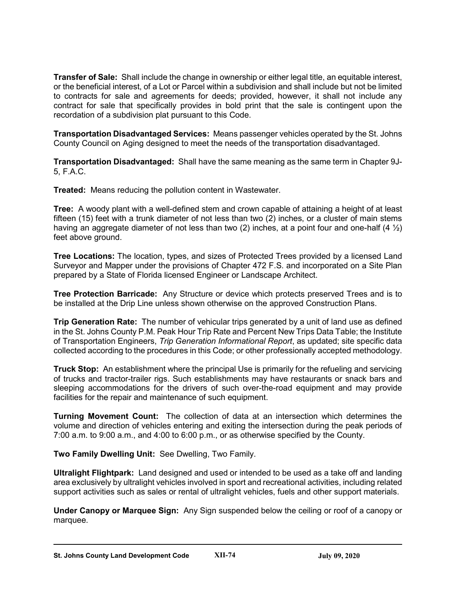**Transfer of Sale:** Shall include the change in ownership or either legal title, an equitable interest, or the beneficial interest, of a Lot or Parcel within a subdivision and shall include but not be limited to contracts for sale and agreements for deeds; provided, however, it shall not include any contract for sale that specifically provides in bold print that the sale is contingent upon the recordation of a subdivision plat pursuant to this Code.

**Transportation Disadvantaged Services:** Means passenger vehicles operated by the St. Johns County Council on Aging designed to meet the needs of the transportation disadvantaged.

**Transportation Disadvantaged:** Shall have the same meaning as the same term in Chapter 9J-5, F.A.C.

**Treated:** Means reducing the pollution content in Wastewater.

**Tree:** A woody plant with a well-defined stem and crown capable of attaining a height of at least fifteen (15) feet with a trunk diameter of not less than two (2) inches, or a cluster of main stems having an aggregate diameter of not less than two (2) inches, at a point four and one-half (4  $\frac{1}{2}$ ) feet above ground.

**Tree Locations:** The location, types, and sizes of Protected Trees provided by a licensed Land Surveyor and Mapper under the provisions of Chapter 472 F.S. and incorporated on a Site Plan prepared by a State of Florida licensed Engineer or Landscape Architect.

**Tree Protection Barricade:** Any Structure or device which protects preserved Trees and is to be installed at the Drip Line unless shown otherwise on the approved Construction Plans.

**Trip Generation Rate:** The number of vehicular trips generated by a unit of land use as defined in the St. Johns County P.M. Peak Hour Trip Rate and Percent New Trips Data Table; the Institute of Transportation Engineers, *Trip Generation Informational Report*, as updated; site specific data collected according to the procedures in this Code; or other professionally accepted methodology.

**Truck Stop:** An establishment where the principal Use is primarily for the refueling and servicing of trucks and tractor-trailer rigs. Such establishments may have restaurants or snack bars and sleeping accommodations for the drivers of such over-the-road equipment and may provide facilities for the repair and maintenance of such equipment.

**Turning Movement Count:** The collection of data at an intersection which determines the volume and direction of vehicles entering and exiting the intersection during the peak periods of 7:00 a.m. to 9:00 a.m., and 4:00 to 6:00 p.m., or as otherwise specified by the County.

**Two Family Dwelling Unit:** See Dwelling, Two Family.

**Ultralight Flightpark:** Land designed and used or intended to be used as a take off and landing area exclusively by ultralight vehicles involved in sport and recreational activities, including related support activities such as sales or rental of ultralight vehicles, fuels and other support materials.

**Under Canopy or Marquee Sign:** Any Sign suspended below the ceiling or roof of a canopy or marquee.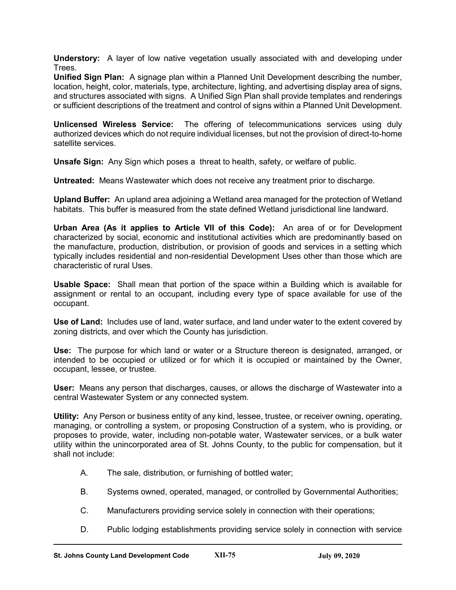**Understory:** A layer of low native vegetation usually associated with and developing under Trees.

**Unified Sign Plan:** A signage plan within a Planned Unit Development describing the number, location, height, color, materials, type, architecture, lighting, and advertising display area of signs, and structures associated with signs. A Unified Sign Plan shall provide templates and renderings or sufficient descriptions of the treatment and control of signs within a Planned Unit Development.

**Unlicensed Wireless Service:** The offering of telecommunications services using duly authorized devices which do not require individual licenses, but not the provision of direct-to-home satellite services.

**Unsafe Sign:** Any Sign which poses a threat to health, safety, or welfare of public.

**Untreated:** Means Wastewater which does not receive any treatment prior to discharge.

**Upland Buffer:** An upland area adjoining a Wetland area managed for the protection of Wetland habitats. This buffer is measured from the state defined Wetland jurisdictional line landward.

**Urban Area (As it applies to Article VII of this Code):** An area of or for Development characterized by social, economic and institutional activities which are predominantly based on the manufacture, production, distribution, or provision of goods and services in a setting which typically includes residential and non-residential Development Uses other than those which are characteristic of rural Uses.

**Usable Space:** Shall mean that portion of the space within a Building which is available for assignment or rental to an occupant, including every type of space available for use of the occupant.

**Use of Land:** Includes use of land, water surface, and land under water to the extent covered by zoning districts, and over which the County has jurisdiction.

**Use:** The purpose for which land or water or a Structure thereon is designated, arranged, or intended to be occupied or utilized or for which it is occupied or maintained by the Owner, occupant, lessee, or trustee.

**User:** Means any person that discharges, causes, or allows the discharge of Wastewater into a central Wastewater System or any connected system.

**Utility:** Any Person or business entity of any kind, lessee, trustee, or receiver owning, operating, managing, or controlling a system, or proposing Construction of a system, who is providing, or proposes to provide, water, including non-potable water, Wastewater services, or a bulk water utility within the unincorporated area of St. Johns County, to the public for compensation, but it shall not include:

- A. The sale, distribution, or furnishing of bottled water;
- B. Systems owned, operated, managed, or controlled by Governmental Authorities;
- C. Manufacturers providing service solely in connection with their operations;
- D. Public lodging establishments providing service solely in connection with service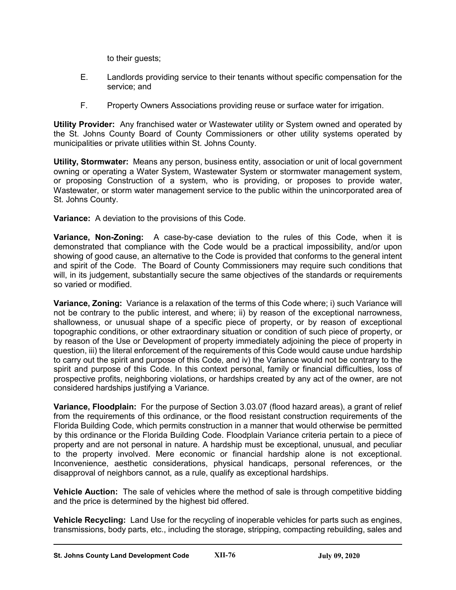to their guests;

- E. Landlords providing service to their tenants without specific compensation for the service; and
- F. Property Owners Associations providing reuse or surface water for irrigation.

**Utility Provider:** Any franchised water or Wastewater utility or System owned and operated by the St. Johns County Board of County Commissioners or other utility systems operated by municipalities or private utilities within St. Johns County.

**Utility, Stormwater:** Means any person, business entity, association or unit of local government owning or operating a Water System, Wastewater System or stormwater management system, or proposing Construction of a system, who is providing, or proposes to provide water, Wastewater, or storm water management service to the public within the unincorporated area of St. Johns County.

**Variance:** A deviation to the provisions of this Code.

**Variance, Non-Zoning:** A case-by-case deviation to the rules of this Code, when it is demonstrated that compliance with the Code would be a practical impossibility, and/or upon showing of good cause, an alternative to the Code is provided that conforms to the general intent and spirit of the Code. The Board of County Commissioners may require such conditions that will, in its judgement, substantially secure the same objectives of the standards or requirements so varied or modified.

**Variance, Zoning:** Variance is a relaxation of the terms of this Code where; i) such Variance will not be contrary to the public interest, and where; ii) by reason of the exceptional narrowness, shallowness, or unusual shape of a specific piece of property, or by reason of exceptional topographic conditions, or other extraordinary situation or condition of such piece of property, or by reason of the Use or Development of property immediately adjoining the piece of property in question, iii) the literal enforcement of the requirements of this Code would cause undue hardship to carry out the spirit and purpose of this Code, and iv) the Variance would not be contrary to the spirit and purpose of this Code. In this context personal, family or financial difficulties, loss of prospective profits, neighboring violations, or hardships created by any act of the owner, are not considered hardships justifying a Variance.

**Variance, Floodplain:** For the purpose of Section 3.03.07 (flood hazard areas), a grant of relief from the requirements of this ordinance, or the flood resistant construction requirements of the Florida Building Code, which permits construction in a manner that would otherwise be permitted by this ordinance or the Florida Building Code. Floodplain Variance criteria pertain to a piece of property and are not personal in nature. A hardship must be exceptional, unusual, and peculiar to the property involved. Mere economic or financial hardship alone is not exceptional. Inconvenience, aesthetic considerations, physical handicaps, personal references, or the disapproval of neighbors cannot, as a rule, qualify as exceptional hardships.

**Vehicle Auction:** The sale of vehicles where the method of sale is through competitive bidding and the price is determined by the highest bid offered.

**Vehicle Recycling:** Land Use for the recycling of inoperable vehicles for parts such as engines, transmissions, body parts, etc., including the storage, stripping, compacting rebuilding, sales and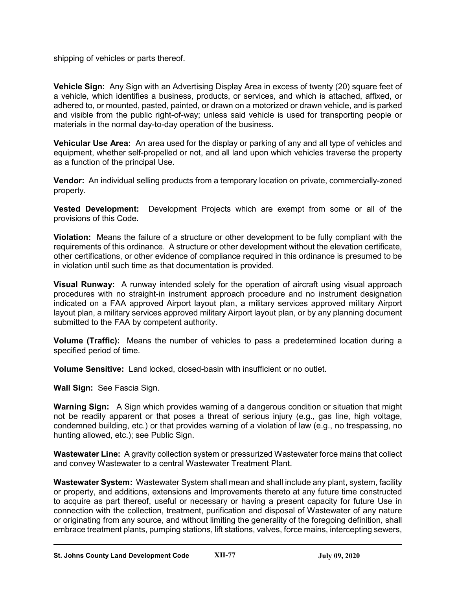shipping of vehicles or parts thereof.

**Vehicle Sign:** Any Sign with an Advertising Display Area in excess of twenty (20) square feet of a vehicle, which identifies a business, products, or services, and which is attached, affixed, or adhered to, or mounted, pasted, painted, or drawn on a motorized or drawn vehicle, and is parked and visible from the public right-of-way; unless said vehicle is used for transporting people or materials in the normal day-to-day operation of the business.

**Vehicular Use Area:** An area used for the display or parking of any and all type of vehicles and equipment, whether self-propelled or not, and all land upon which vehicles traverse the property as a function of the principal Use.

**Vendor:** An individual selling products from a temporary location on private, commercially-zoned property.

**Vested Development:** Development Projects which are exempt from some or all of the provisions of this Code.

**Violation:** Means the failure of a structure or other development to be fully compliant with the requirements of this ordinance. A structure or other development without the elevation certificate, other certifications, or other evidence of compliance required in this ordinance is presumed to be in violation until such time as that documentation is provided.

**Visual Runway:** A runway intended solely for the operation of aircraft using visual approach procedures with no straight-in instrument approach procedure and no instrument designation indicated on a FAA approved Airport layout plan, a military services approved military Airport layout plan, a military services approved military Airport layout plan, or by any planning document submitted to the FAA by competent authority.

**Volume (Traffic):** Means the number of vehicles to pass a predetermined location during a specified period of time.

**Volume Sensitive:** Land locked, closed-basin with insufficient or no outlet.

**Wall Sign:** See Fascia Sign.

**Warning Sign:** A Sign which provides warning of a dangerous condition or situation that might not be readily apparent or that poses a threat of serious injury (e.g., gas line, high voltage, condemned building, etc.) or that provides warning of a violation of law (e.g., no trespassing, no hunting allowed, etc.); see Public Sign.

**Wastewater Line:** A gravity collection system or pressurized Wastewater force mains that collect and convey Wastewater to a central Wastewater Treatment Plant.

**Wastewater System:** Wastewater System shall mean and shall include any plant, system, facility or property, and additions, extensions and Improvements thereto at any future time constructed to acquire as part thereof, useful or necessary or having a present capacity for future Use in connection with the collection, treatment, purification and disposal of Wastewater of any nature or originating from any source, and without limiting the generality of the foregoing definition, shall embrace treatment plants, pumping stations, lift stations, valves, force mains, intercepting sewers,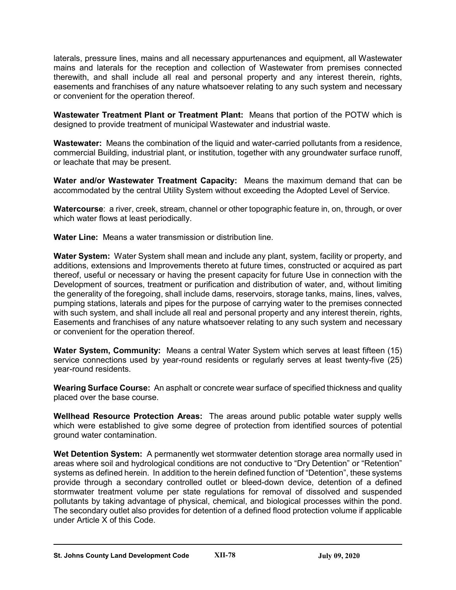laterals, pressure lines, mains and all necessary appurtenances and equipment, all Wastewater mains and laterals for the reception and collection of Wastewater from premises connected therewith, and shall include all real and personal property and any interest therein, rights, easements and franchises of any nature whatsoever relating to any such system and necessary or convenient for the operation thereof.

**Wastewater Treatment Plant or Treatment Plant:** Means that portion of the POTW which is designed to provide treatment of municipal Wastewater and industrial waste.

**Wastewater:** Means the combination of the liquid and water-carried pollutants from a residence, commercial Building, industrial plant, or institution, together with any groundwater surface runoff, or leachate that may be present.

**Water and/or Wastewater Treatment Capacity:** Means the maximum demand that can be accommodated by the central Utility System without exceeding the Adopted Level of Service.

**Watercourse**: a river, creek, stream, channel or other topographic feature in, on, through, or over which water flows at least periodically.

**Water Line:** Means a water transmission or distribution line.

**Water System:** Water System shall mean and include any plant, system, facility or property, and additions, extensions and Improvements thereto at future times, constructed or acquired as part thereof, useful or necessary or having the present capacity for future Use in connection with the Development of sources, treatment or purification and distribution of water, and, without limiting the generality of the foregoing, shall include dams, reservoirs, storage tanks, mains, lines, valves, pumping stations, laterals and pipes for the purpose of carrying water to the premises connected with such system, and shall include all real and personal property and any interest therein, rights, Easements and franchises of any nature whatsoever relating to any such system and necessary or convenient for the operation thereof.

**Water System, Community:** Means a central Water System which serves at least fifteen (15) service connections used by year-round residents or regularly serves at least twenty-five (25) year-round residents.

**Wearing Surface Course:** An asphalt or concrete wear surface of specified thickness and quality placed over the base course.

**Wellhead Resource Protection Areas:** The areas around public potable water supply wells which were established to give some degree of protection from identified sources of potential ground water contamination.

**Wet Detention System:** A permanently wet stormwater detention storage area normally used in areas where soil and hydrological conditions are not conductive to "Dry Detention" or "Retention" systems as defined herein. In addition to the herein defined function of "Detention", these systems provide through a secondary controlled outlet or bleed-down device, detention of a defined stormwater treatment volume per state regulations for removal of dissolved and suspended pollutants by taking advantage of physical, chemical, and biological processes within the pond. The secondary outlet also provides for detention of a defined flood protection volume if applicable under Article X of this Code.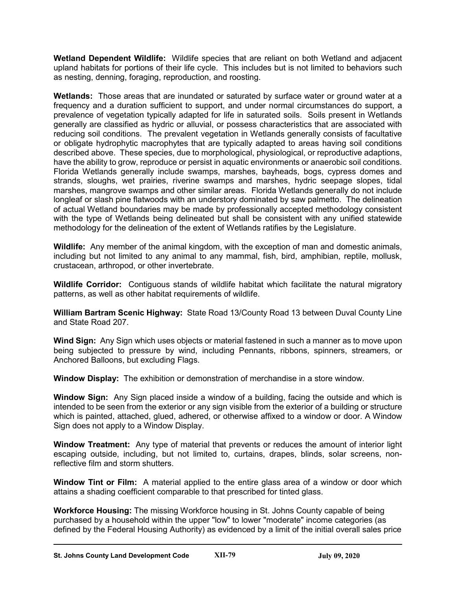**Wetland Dependent Wildlife:** Wildlife species that are reliant on both Wetland and adjacent upland habitats for portions of their life cycle. This includes but is not limited to behaviors such as nesting, denning, foraging, reproduction, and roosting.

**Wetlands:** Those areas that are inundated or saturated by surface water or ground water at a frequency and a duration sufficient to support, and under normal circumstances do support, a prevalence of vegetation typically adapted for life in saturated soils. Soils present in Wetlands generally are classified as hydric or alluvial, or possess characteristics that are associated with reducing soil conditions. The prevalent vegetation in Wetlands generally consists of facultative or obligate hydrophytic macrophytes that are typically adapted to areas having soil conditions described above. These species, due to morphological, physiological, or reproductive adaptions, have the ability to grow, reproduce or persist in aquatic environments or anaerobic soil conditions. Florida Wetlands generally include swamps, marshes, bayheads, bogs, cypress domes and strands, sloughs, wet prairies, riverine swamps and marshes, hydric seepage slopes, tidal marshes, mangrove swamps and other similar areas. Florida Wetlands generally do not include longleaf or slash pine flatwoods with an understory dominated by saw palmetto. The delineation of actual Wetland boundaries may be made by professionally accepted methodology consistent with the type of Wetlands being delineated but shall be consistent with any unified statewide methodology for the delineation of the extent of Wetlands ratifies by the Legislature.

**Wildlife:** Any member of the animal kingdom, with the exception of man and domestic animals, including but not limited to any animal to any mammal, fish, bird, amphibian, reptile, mollusk, crustacean, arthropod, or other invertebrate.

**Wildlife Corridor:** Contiguous stands of wildlife habitat which facilitate the natural migratory patterns, as well as other habitat requirements of wildlife.

**William Bartram Scenic Highway:** State Road 13/County Road 13 between Duval County Line and State Road 207.

**Wind Sign:** Any Sign which uses objects or material fastened in such a manner as to move upon being subjected to pressure by wind, including Pennants, ribbons, spinners, streamers, or Anchored Balloons, but excluding Flags.

**Window Display:** The exhibition or demonstration of merchandise in a store window.

**Window Sign:** Any Sign placed inside a window of a building, facing the outside and which is intended to be seen from the exterior or any sign visible from the exterior of a building or structure which is painted, attached, glued, adhered, or otherwise affixed to a window or door. A Window Sign does not apply to a Window Display.

**Window Treatment:** Any type of material that prevents or reduces the amount of interior light escaping outside, including, but not limited to, curtains, drapes, blinds, solar screens, nonreflective film and storm shutters.

**Window Tint or Film:** A material applied to the entire glass area of a window or door which attains a shading coefficient comparable to that prescribed for tinted glass.

**Workforce Housing:** The missing Workforce housing in St. Johns County capable of being purchased by a household within the upper "low" to lower "moderate" income categories (as defined by the Federal Housing Authority) as evidenced by a limit of the initial overall sales price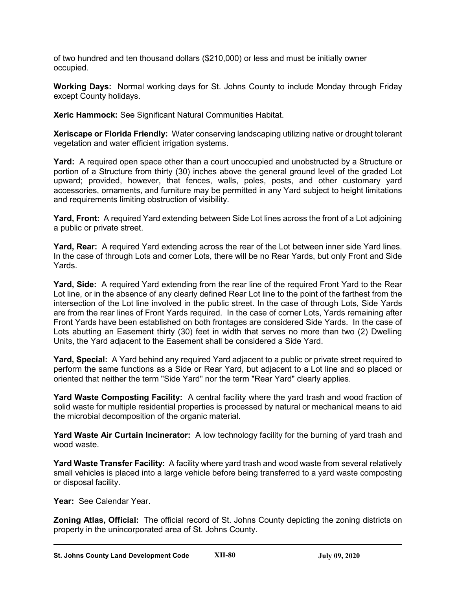of two hundred and ten thousand dollars (\$210,000) or less and must be initially owner occupied.

**Working Days:** Normal working days for St. Johns County to include Monday through Friday except County holidays.

**Xeric Hammock:** See Significant Natural Communities Habitat.

**Xeriscape or Florida Friendly:** Water conserving landscaping utilizing native or drought tolerant vegetation and water efficient irrigation systems.

**Yard:** A required open space other than a court unoccupied and unobstructed by a Structure or portion of a Structure from thirty (30) inches above the general ground level of the graded Lot upward; provided, however, that fences, walls, poles, posts, and other customary yard accessories, ornaments, and furniture may be permitted in any Yard subject to height limitations and requirements limiting obstruction of visibility.

**Yard, Front:** A required Yard extending between Side Lot lines across the front of a Lot adjoining a public or private street.

**Yard, Rear:** A required Yard extending across the rear of the Lot between inner side Yard lines. In the case of through Lots and corner Lots, there will be no Rear Yards, but only Front and Side Yards.

**Yard, Side:** A required Yard extending from the rear line of the required Front Yard to the Rear Lot line, or in the absence of any clearly defined Rear Lot line to the point of the farthest from the intersection of the Lot line involved in the public street. In the case of through Lots, Side Yards are from the rear lines of Front Yards required. In the case of corner Lots, Yards remaining after Front Yards have been established on both frontages are considered Side Yards. In the case of Lots abutting an Easement thirty (30) feet in width that serves no more than two (2) Dwelling Units, the Yard adjacent to the Easement shall be considered a Side Yard.

**Yard, Special:** A Yard behind any required Yard adjacent to a public or private street required to perform the same functions as a Side or Rear Yard, but adjacent to a Lot line and so placed or oriented that neither the term "Side Yard" nor the term "Rear Yard" clearly applies.

**Yard Waste Composting Facility:** A central facility where the yard trash and wood fraction of solid waste for multiple residential properties is processed by natural or mechanical means to aid the microbial decomposition of the organic material.

**Yard Waste Air Curtain Incinerator:** A low technology facility for the burning of yard trash and wood waste.

**Yard Waste Transfer Facility:** A facility where yard trash and wood waste from several relatively small vehicles is placed into a large vehicle before being transferred to a yard waste composting or disposal facility.

**Year:** See Calendar Year.

**Zoning Atlas, Official:** The official record of St. Johns County depicting the zoning districts on property in the unincorporated area of St. Johns County.